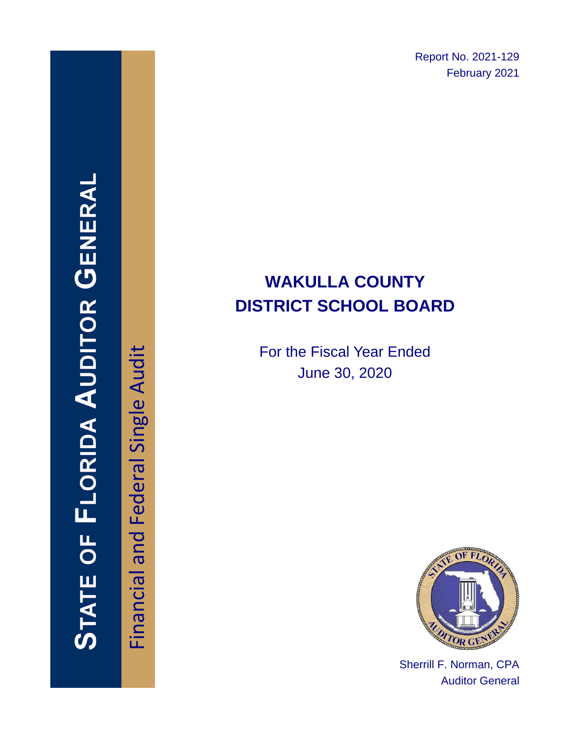Report No. 2021-129 February 2021

# **WAKULLA COUNTY DISTRICT SCHOOL BOARD**

For the Fiscal Year Ended June 30, 2020



Sherrill F. Norman, CPA Auditor General

Financial and Federal Single Audit Financial and Federal Single Audit

STATE OF FLORIDA AUDITOR GENERAI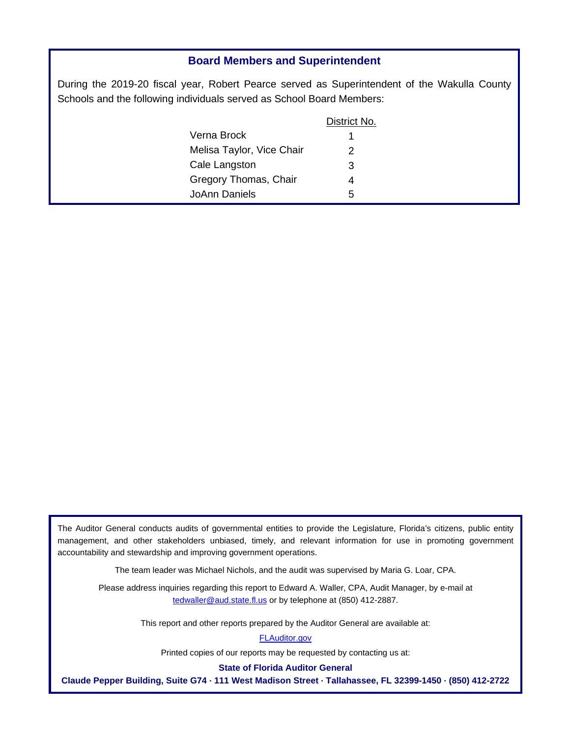#### **Board Members and Superintendent**

During the 2019-20 fiscal year, Robert Pearce served as Superintendent of the Wakulla County Schools and the following individuals served as School Board Members:

|                           | District No. |
|---------------------------|--------------|
| Verna Brock               |              |
| Melisa Taylor, Vice Chair |              |
| Cale Langston             | З            |
| Gregory Thomas, Chair     |              |
| <b>JoAnn Daniels</b>      | .5           |

The Auditor General conducts audits of governmental entities to provide the Legislature, Florida's citizens, public entity management, and other stakeholders unbiased, timely, and relevant information for use in promoting government accountability and stewardship and improving government operations.

The team leader was Michael Nichols, and the audit was supervised by Maria G. Loar, CPA.

Please address inquiries regarding this report to Edward A. Waller, CPA, Audit Manager, by e-mail at [tedwaller@aud.state.fl.us](mailto:tedwaller@aud.state.fl.us) or by telephone at (850) 412-2887.

This report and other reports prepared by the Auditor General are available at:

[FLAuditor.gov](https://flauditor.gov/)

Printed copies of our reports may be requested by contacting us at:

**State of Florida Auditor General**

**Claude Pepper Building, Suite G74 ∙ 111 West Madison Street ∙ Tallahassee, FL 32399-1450 ∙ (850) 412-2722**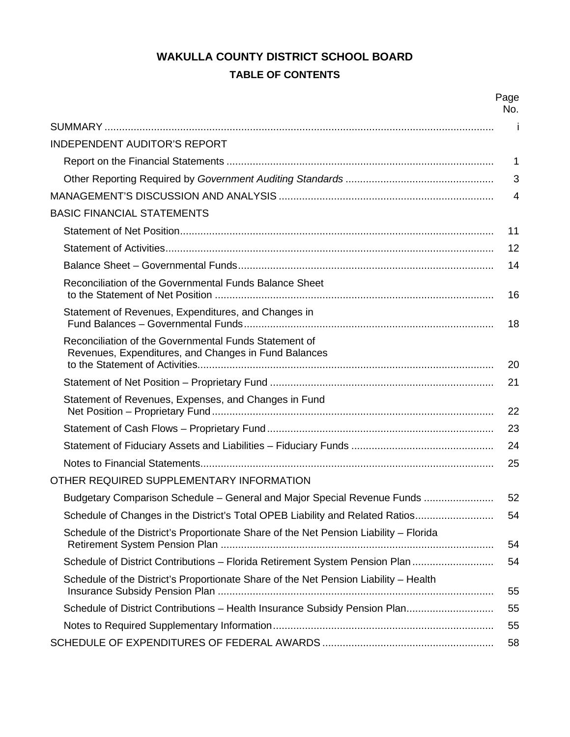# **WAKULLA COUNTY DISTRICT SCHOOL BOARD TABLE OF CONTENTS**

|                                                                                                               | Page<br>No.    |
|---------------------------------------------------------------------------------------------------------------|----------------|
|                                                                                                               | $\blacksquare$ |
| <b>INDEPENDENT AUDITOR'S REPORT</b>                                                                           |                |
|                                                                                                               | 1              |
|                                                                                                               | 3              |
|                                                                                                               | $\overline{4}$ |
| <b>BASIC FINANCIAL STATEMENTS</b>                                                                             |                |
|                                                                                                               | 11             |
|                                                                                                               | 12             |
|                                                                                                               | 14             |
| Reconciliation of the Governmental Funds Balance Sheet                                                        | 16             |
| Statement of Revenues, Expenditures, and Changes in                                                           | 18             |
| Reconciliation of the Governmental Funds Statement of<br>Revenues, Expenditures, and Changes in Fund Balances | 20             |
|                                                                                                               | 21             |
| Statement of Revenues, Expenses, and Changes in Fund                                                          | 22             |
|                                                                                                               | 23             |
|                                                                                                               | 24             |
|                                                                                                               | 25             |
| OTHER REQUIRED SUPPLEMENTARY INFORMATION                                                                      |                |
| Budgetary Comparison Schedule - General and Major Special Revenue Funds                                       | 52             |
| Schedule of Changes in the District's Total OPEB Liability and Related Ratios                                 | 54             |
| Schedule of the District's Proportionate Share of the Net Pension Liability - Florida                         | 54             |
| Schedule of District Contributions - Florida Retirement System Pension Plan                                   | 54             |
| Schedule of the District's Proportionate Share of the Net Pension Liability - Health                          | 55             |
| Schedule of District Contributions - Health Insurance Subsidy Pension Plan                                    | 55             |
|                                                                                                               | 55             |
|                                                                                                               | 58             |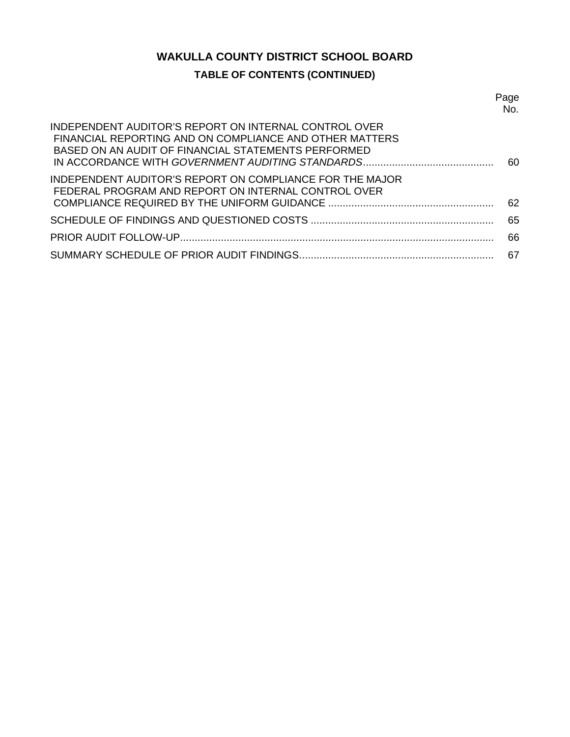# **WAKULLA COUNTY DISTRICT SCHOOL BOARD**

# **TABLE OF CONTENTS (CONTINUED)**

Page No.

| INDEPENDENT AUDITOR'S REPORT ON INTERNAL CONTROL OVER<br>FINANCIAL REPORTING AND ON COMPLIANCE AND OTHER MATTERS<br>BASED ON AN AUDIT OF FINANCIAL STATEMENTS PERFORMED | -60 |
|-------------------------------------------------------------------------------------------------------------------------------------------------------------------------|-----|
| INDEPENDENT AUDITOR'S REPORT ON COMPLIANCE FOR THE MAJOR<br>FEDERAL PROGRAM AND REPORT ON INTERNAL CONTROL OVER                                                         | -62 |
|                                                                                                                                                                         | 65  |
|                                                                                                                                                                         | 66  |
|                                                                                                                                                                         |     |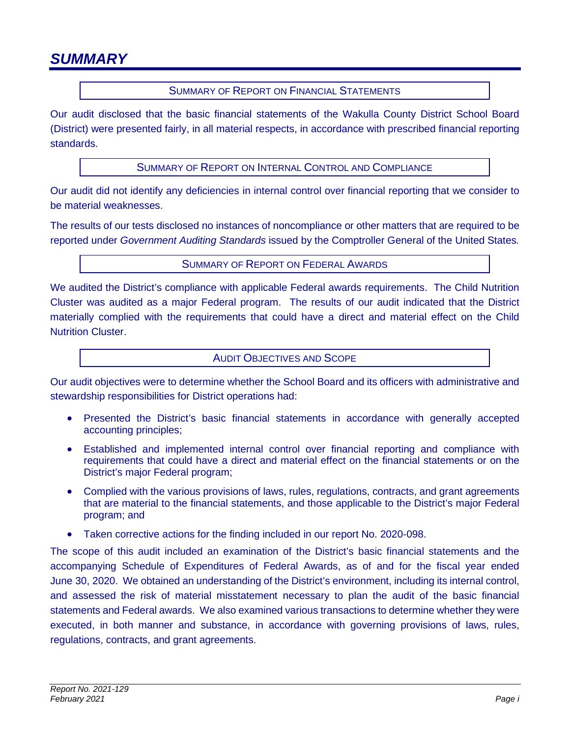#### SUMMARY OF REPORT ON FINANCIAL STATEMENTS

<span id="page-4-0"></span>Our audit disclosed that the basic financial statements of the Wakulla County District School Board (District) were presented fairly, in all material respects, in accordance with prescribed financial reporting standards.

SUMMARY OF REPORT ON INTERNAL CONTROL AND COMPLIANCE

Our audit did not identify any deficiencies in internal control over financial reporting that we consider to be material weaknesses.

The results of our tests disclosed no instances of noncompliance or other matters that are required to be reported under *Government Auditing Standards* issued by the Comptroller General of the United States*.* 

SUMMARY OF REPORT ON FEDERAL AWARDS

We audited the District's compliance with applicable Federal awards requirements. The Child Nutrition Cluster was audited as a major Federal program. The results of our audit indicated that the District materially complied with the requirements that could have a direct and material effect on the Child Nutrition Cluster.

#### AUDIT OBJECTIVES AND SCOPE

Our audit objectives were to determine whether the School Board and its officers with administrative and stewardship responsibilities for District operations had:

- Presented the District's basic financial statements in accordance with generally accepted accounting principles;
- Established and implemented internal control over financial reporting and compliance with requirements that could have a direct and material effect on the financial statements or on the District's major Federal program;
- Complied with the various provisions of laws, rules, regulations, contracts, and grant agreements that are material to the financial statements, and those applicable to the District's major Federal program; and
- Taken corrective actions for the finding included in our report No. 2020-098.

The scope of this audit included an examination of the District's basic financial statements and the accompanying Schedule of Expenditures of Federal Awards, as of and for the fiscal year ended June 30, 2020. We obtained an understanding of the District's environment, including its internal control, and assessed the risk of material misstatement necessary to plan the audit of the basic financial statements and Federal awards. We also examined various transactions to determine whether they were executed, in both manner and substance, in accordance with governing provisions of laws, rules, regulations, contracts, and grant agreements.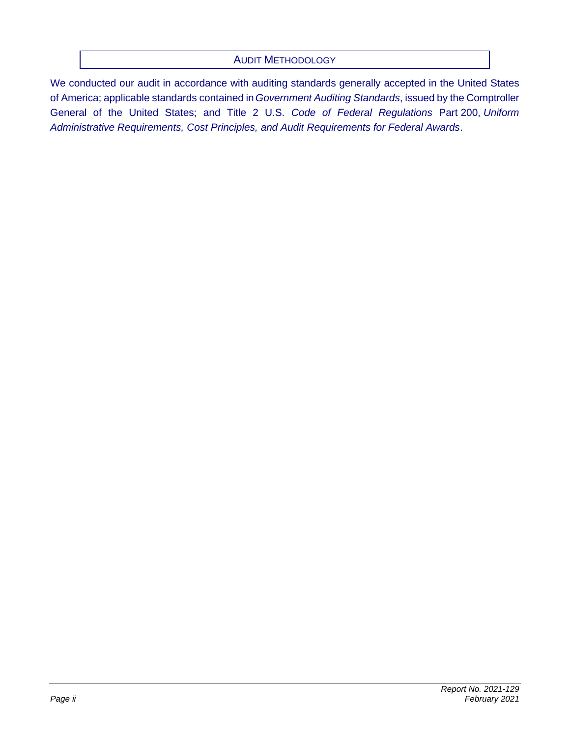### AUDIT METHODOLOGY

We conducted our audit in accordance with auditing standards generally accepted in the United States of America; applicable standards contained in*Government Auditing Standards*, issued by the Comptroller General of the United States; and Title 2 U.S. *Code of Federal Regulations* Part 200, *Uniform Administrative Requirements, Cost Principles, and Audit Requirements for Federal Awards*.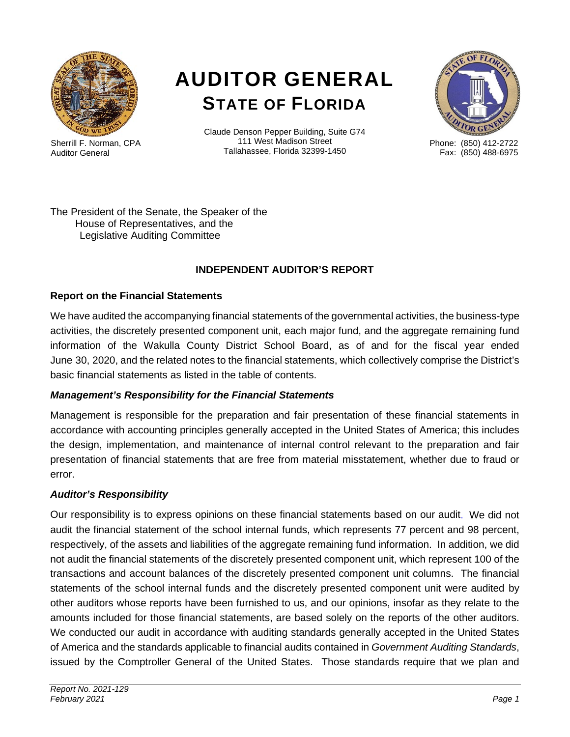<span id="page-6-1"></span>

Sherrill F. Norman, CPA Auditor General

# **AUDITOR GENERAL STATE OF FLORIDA**

Claude Denson Pepper Building, Suite G74 111 West Madison Street Tallahassee, Florida 32399-1450



Phone: (850) 412-2722 Fax: (850) 488-6975

The President of the Senate, the Speaker of the House of Representatives, and the Legislative Auditing Committee

### **INDEPENDENT AUDITOR'S REPORT**

#### <span id="page-6-0"></span>**Report on the Financial Statements**

We have audited the accompanying financial statements of the governmental activities, the business-type activities, the discretely presented component unit, each major fund, and the aggregate remaining fund information of the Wakulla County District School Board, as of and for the fiscal year ended June 30, 2020, and the related notes to the financial statements, which collectively comprise the District's basic financial statements as listed in the table of contents.

#### *Management's Responsibility for the Financial Statements*

Management is responsible for the preparation and fair presentation of these financial statements in accordance with accounting principles generally accepted in the United States of America; this includes the design, implementation, and maintenance of internal control relevant to the preparation and fair presentation of financial statements that are free from material misstatement, whether due to fraud or error.

#### *Auditor's Responsibility*

Our responsibility is to express opinions on these financial statements based on our audit. We did not audit the financial statement of the school internal funds, which represents 77 percent and 98 percent, respectively, of the assets and liabilities of the aggregate remaining fund information. In addition, we did not audit the financial statements of the discretely presented component unit, which represent 100 of the transactions and account balances of the discretely presented component unit columns. The financial statements of the school internal funds and the discretely presented component unit were audited by other auditors whose reports have been furnished to us, and our opinions, insofar as they relate to the amounts included for those financial statements, are based solely on the reports of the other auditors. We conducted our audit in accordance with auditing standards generally accepted in the United States of America and the standards applicable to financial audits contained in *Government Auditing Standards*, issued by the Comptroller General of the United States. Those standards require that we plan and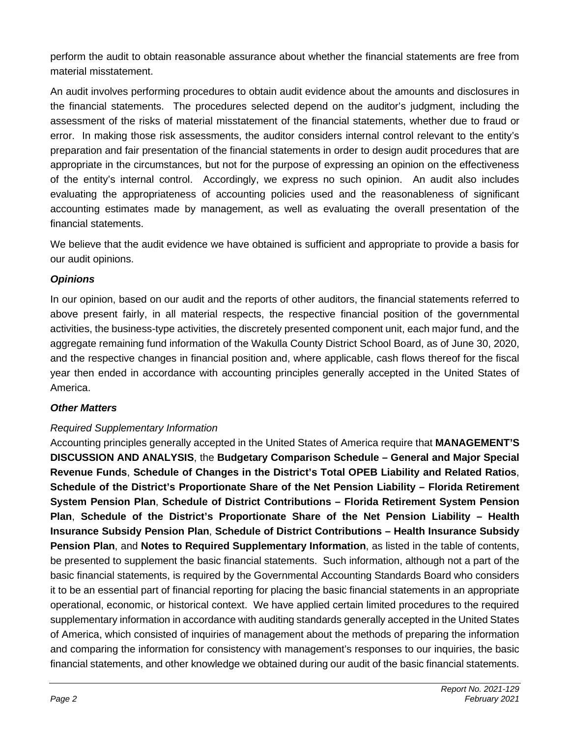perform the audit to obtain reasonable assurance about whether the financial statements are free from material misstatement.

An audit involves performing procedures to obtain audit evidence about the amounts and disclosures in the financial statements. The procedures selected depend on the auditor's judgment, including the assessment of the risks of material misstatement of the financial statements, whether due to fraud or error. In making those risk assessments, the auditor considers internal control relevant to the entity's preparation and fair presentation of the financial statements in order to design audit procedures that are appropriate in the circumstances, but not for the purpose of expressing an opinion on the effectiveness of the entity's internal control. Accordingly, we express no such opinion. An audit also includes evaluating the appropriateness of accounting policies used and the reasonableness of significant accounting estimates made by management, as well as evaluating the overall presentation of the financial statements.

We believe that the audit evidence we have obtained is sufficient and appropriate to provide a basis for our audit opinions.

## *Opinions*

In our opinion, based on our audit and the reports of other auditors, the financial statements referred to above present fairly, in all material respects, the respective financial position of the governmental activities, the business-type activities, the discretely presented component unit, each major fund, and the aggregate remaining fund information of the Wakulla County District School Board, as of June 30, 2020, and the respective changes in financial position and, where applicable, cash flows thereof for the fiscal year then ended in accordance with accounting principles generally accepted in the United States of America.

#### *Other Matters*

#### *Required Supplementary Information*

Accounting principles generally accepted in the United States of America require that **MANAGEMENT'S DISCUSSION AND ANALYSIS**, the **Budgetary Comparison Schedule – General and Major Special Revenue Funds**, **Schedule of Changes in the District's Total OPEB Liability and Related Ratios**, **Schedule of the District's Proportionate Share of the Net Pension Liability – Florida Retirement System Pension Plan**, **Schedule of District Contributions – Florida Retirement System Pension Plan**, **Schedule of the District's Proportionate Share of the Net Pension Liability – Health Insurance Subsidy Pension Plan**, **Schedule of District Contributions – Health Insurance Subsidy Pension Plan**, and **Notes to Required Supplementary Information**, as listed in the table of contents, be presented to supplement the basic financial statements. Such information, although not a part of the basic financial statements, is required by the Governmental Accounting Standards Board who considers it to be an essential part of financial reporting for placing the basic financial statements in an appropriate operational, economic, or historical context. We have applied certain limited procedures to the required supplementary information in accordance with auditing standards generally accepted in the United States of America, which consisted of inquiries of management about the methods of preparing the information and comparing the information for consistency with management's responses to our inquiries, the basic financial statements, and other knowledge we obtained during our audit of the basic financial statements.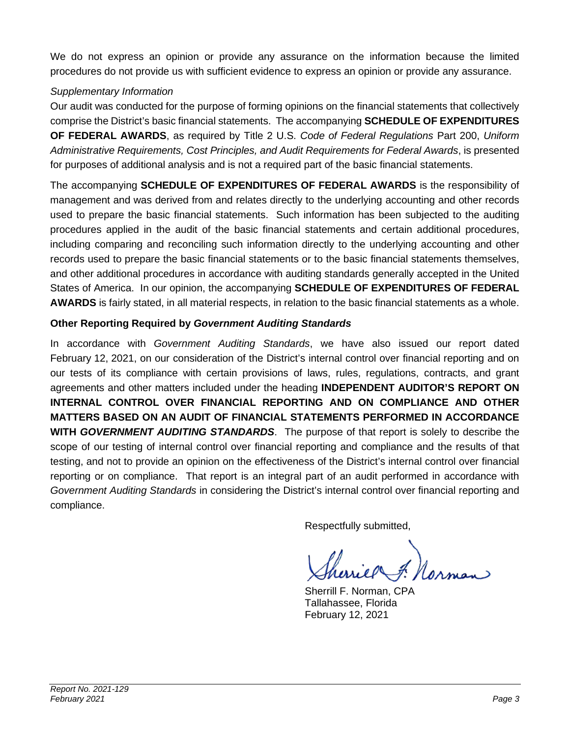<span id="page-8-1"></span>We do not express an opinion or provide any assurance on the information because the limited procedures do not provide us with sufficient evidence to express an opinion or provide any assurance.

### *Supplementary Information*

Our audit was conducted for the purpose of forming opinions on the financial statements that collectively comprise the District's basic financial statements. The accompanying **SCHEDULE OF EXPENDITURES OF FEDERAL AWARDS**, as required by Title 2 U.S. *Code of Federal Regulations* Part 200, *Uniform Administrative Requirements, Cost Principles, and Audit Requirements for Federal Awards*, is presented for purposes of additional analysis and is not a required part of the basic financial statements.

The accompanying **SCHEDULE OF EXPENDITURES OF FEDERAL AWARDS** is the responsibility of management and was derived from and relates directly to the underlying accounting and other records used to prepare the basic financial statements. Such information has been subjected to the auditing procedures applied in the audit of the basic financial statements and certain additional procedures, including comparing and reconciling such information directly to the underlying accounting and other records used to prepare the basic financial statements or to the basic financial statements themselves, and other additional procedures in accordance with auditing standards generally accepted in the United States of America. In our opinion, the accompanying **SCHEDULE OF EXPENDITURES OF FEDERAL AWARDS** is fairly stated, in all material respects, in relation to the basic financial statements as a whole.

## <span id="page-8-0"></span>**Other Reporting Required by** *Government Auditing Standards*

In accordance with *Government Auditing Standards*, we have also issued our report dated February 12, 2021, on our consideration of the District's internal control over financial reporting and on our tests of its compliance with certain provisions of laws, rules, regulations, contracts, and grant agreements and other matters included under the heading **INDEPENDENT AUDITOR'S REPORT ON INTERNAL CONTROL OVER FINANCIAL REPORTING AND ON COMPLIANCE AND OTHER MATTERS BASED ON AN AUDIT OF FINANCIAL STATEMENTS PERFORMED IN ACCORDANCE WITH** *GOVERNMENT AUDITING STANDARDS*. The purpose of that report is solely to describe the scope of our testing of internal control over financial reporting and compliance and the results of that testing, and not to provide an opinion on the effectiveness of the District's internal control over financial reporting or on compliance. That report is an integral part of an audit performed in accordance with *Government Auditing Standards* in considering the District's internal control over financial reporting and compliance.

Respectfully submitted,

Sherrill F. Norman, CPA Tallahassee, Florida February 12, 2021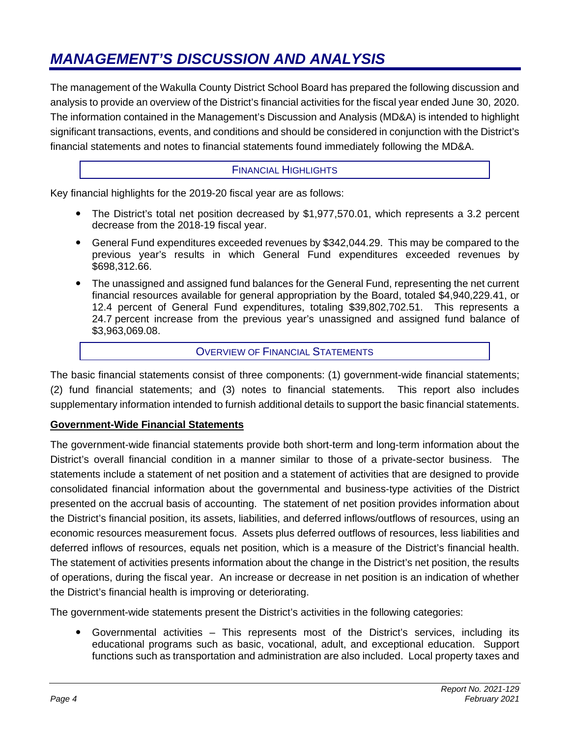# <span id="page-9-1"></span><span id="page-9-0"></span>*MANAGEMENT'S DISCUSSION AND ANALYSIS*

The management of the Wakulla County District School Board has prepared the following discussion and analysis to provide an overview of the District's financial activities for the fiscal year ended June 30, 2020. The information contained in the Management's Discussion and Analysis (MD&A) is intended to highlight significant transactions, events, and conditions and should be considered in conjunction with the District's financial statements and notes to financial statements found immediately following the MD&A.

#### FINANCIAL HIGHLIGHTS

Key financial highlights for the 2019-20 fiscal year are as follows:

- The District's total net position decreased by \$1,977,570.01, which represents a 3.2 percent decrease from the 2018-19 fiscal year.
- General Fund expenditures exceeded revenues by \$342,044.29. This may be compared to the previous year's results in which General Fund expenditures exceeded revenues by \$698,312.66.
- The unassigned and assigned fund balances for the General Fund, representing the net current financial resources available for general appropriation by the Board, totaled \$4,940,229.41, or 12.4 percent of General Fund expenditures, totaling \$39,802,702.51. This represents a 24.7 percent increase from the previous year's unassigned and assigned fund balance of \$3,963,069.08.

#### OVERVIEW OF FINANCIAL STATEMENTS

The basic financial statements consist of three components: (1) government-wide financial statements; (2) fund financial statements; and (3) notes to financial statements. This report also includes supplementary information intended to furnish additional details to support the basic financial statements.

#### **Government-Wide Financial Statements**

The government-wide financial statements provide both short-term and long-term information about the District's overall financial condition in a manner similar to those of a private-sector business. The statements include a statement of net position and a statement of activities that are designed to provide consolidated financial information about the governmental and business-type activities of the District presented on the accrual basis of accounting. The statement of net position provides information about the District's financial position, its assets, liabilities, and deferred inflows/outflows of resources, using an economic resources measurement focus. Assets plus deferred outflows of resources, less liabilities and deferred inflows of resources, equals net position, which is a measure of the District's financial health. The statement of activities presents information about the change in the District's net position, the results of operations, during the fiscal year. An increase or decrease in net position is an indication of whether the District's financial health is improving or deteriorating.

The government-wide statements present the District's activities in the following categories:

 Governmental activities – This represents most of the District's services, including its educational programs such as basic, vocational, adult, and exceptional education. Support functions such as transportation and administration are also included. Local property taxes and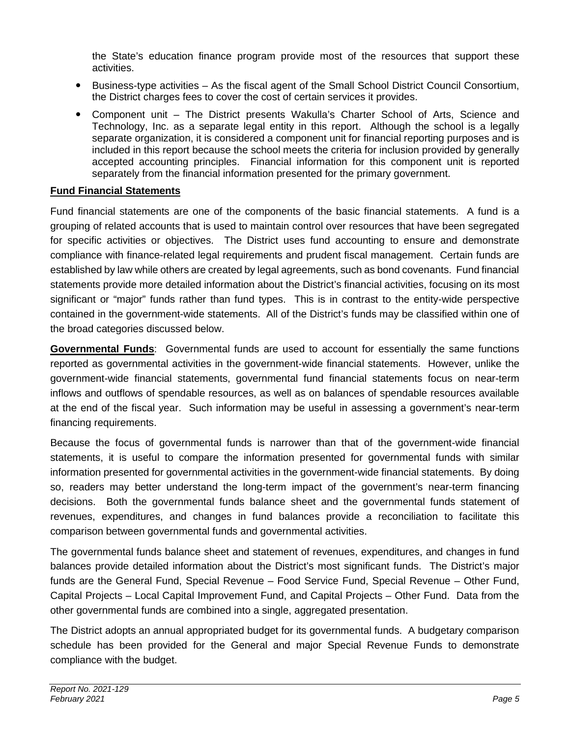the State's education finance program provide most of the resources that support these activities.

- Business-type activities As the fiscal agent of the Small School District Council Consortium, the District charges fees to cover the cost of certain services it provides.
- Component unit The District presents Wakulla's Charter School of Arts, Science and Technology, Inc. as a separate legal entity in this report. Although the school is a legally separate organization, it is considered a component unit for financial reporting purposes and is included in this report because the school meets the criteria for inclusion provided by generally accepted accounting principles. Financial information for this component unit is reported separately from the financial information presented for the primary government.

## **Fund Financial Statements**

Fund financial statements are one of the components of the basic financial statements. A fund is a grouping of related accounts that is used to maintain control over resources that have been segregated for specific activities or objectives. The District uses fund accounting to ensure and demonstrate compliance with finance-related legal requirements and prudent fiscal management. Certain funds are established by law while others are created by legal agreements, such as bond covenants. Fund financial statements provide more detailed information about the District's financial activities, focusing on its most significant or "major" funds rather than fund types. This is in contrast to the entity-wide perspective contained in the government-wide statements. All of the District's funds may be classified within one of the broad categories discussed below.

**Governmental Funds**: Governmental funds are used to account for essentially the same functions reported as governmental activities in the government-wide financial statements. However, unlike the government-wide financial statements, governmental fund financial statements focus on near-term inflows and outflows of spendable resources, as well as on balances of spendable resources available at the end of the fiscal year. Such information may be useful in assessing a government's near-term financing requirements.

Because the focus of governmental funds is narrower than that of the government-wide financial statements, it is useful to compare the information presented for governmental funds with similar information presented for governmental activities in the government-wide financial statements. By doing so, readers may better understand the long-term impact of the government's near-term financing decisions. Both the governmental funds balance sheet and the governmental funds statement of revenues, expenditures, and changes in fund balances provide a reconciliation to facilitate this comparison between governmental funds and governmental activities.

The governmental funds balance sheet and statement of revenues, expenditures, and changes in fund balances provide detailed information about the District's most significant funds. The District's major funds are the General Fund, Special Revenue – Food Service Fund, Special Revenue – Other Fund, Capital Projects – Local Capital Improvement Fund, and Capital Projects – Other Fund. Data from the other governmental funds are combined into a single, aggregated presentation.

The District adopts an annual appropriated budget for its governmental funds. A budgetary comparison schedule has been provided for the General and major Special Revenue Funds to demonstrate compliance with the budget.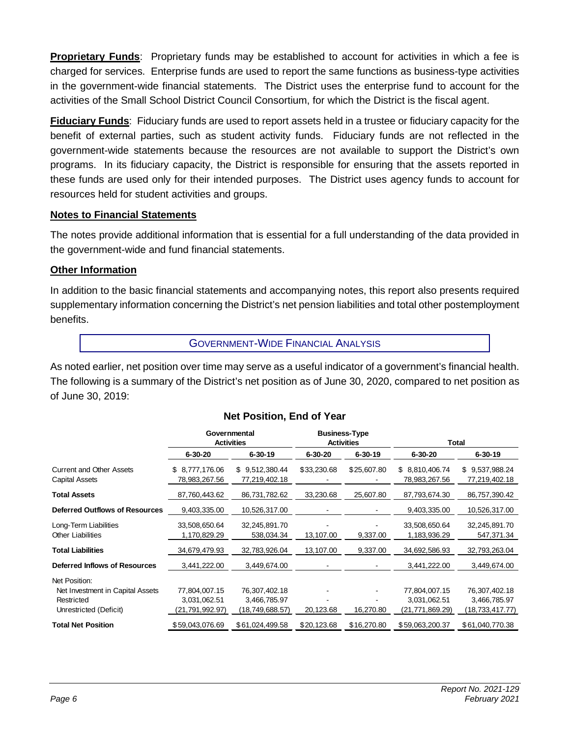**Proprietary Funds**: Proprietary funds may be established to account for activities in which a fee is charged for services. Enterprise funds are used to report the same functions as business-type activities in the government-wide financial statements. The District uses the enterprise fund to account for the activities of the Small School District Council Consortium, for which the District is the fiscal agent.

**Fiduciary Funds**: Fiduciary funds are used to report assets held in a trustee or fiduciary capacity for the benefit of external parties, such as student activity funds. Fiduciary funds are not reflected in the government-wide statements because the resources are not available to support the District's own programs. In its fiduciary capacity, the District is responsible for ensuring that the assets reported in these funds are used only for their intended purposes. The District uses agency funds to account for resources held for student activities and groups.

#### **Notes to Financial Statements**

The notes provide additional information that is essential for a full understanding of the data provided in the government-wide and fund financial statements.

#### **Other Information**

In addition to the basic financial statements and accompanying notes, this report also presents required supplementary information concerning the District's net pension liabilities and total other postemployment benefits.

#### GOVERNMENT-WIDE FINANCIAL ANALYSIS

As noted earlier, net position over time may serve as a useful indicator of a government's financial health. The following is a summary of the District's net position as of June 30, 2020, compared to net position as of June 30, 2019:

|                                                   | Governmental<br><b>Activities</b> |                                 |               | <b>Business-Type</b><br><b>Activities</b> | Total                            |                                 |  |
|---------------------------------------------------|-----------------------------------|---------------------------------|---------------|-------------------------------------------|----------------------------------|---------------------------------|--|
|                                                   | $6 - 30 - 20$                     | $6 - 30 - 19$                   | $6 - 30 - 20$ | $6 - 30 - 19$                             | 6-30-20                          | $6 - 30 - 19$                   |  |
| <b>Current and Other Assets</b><br>Capital Assets | \$ 8,777,176.06<br>78,983,267.56  | \$9,512,380.44<br>77,219,402.18 | \$33,230.68   | \$25,607.80                               | \$ 8,810,406.74<br>78,983,267.56 | \$9,537,988.24<br>77,219,402.18 |  |
| <b>Total Assets</b>                               | 87,760,443.62                     | 86,731,782.62                   | 33,230.68     | 25,607.80                                 | 87,793,674.30                    | 86,757,390.42                   |  |
| <b>Deferred Outflows of Resources</b>             | 9,403,335.00                      | 10,526,317.00                   |               | ۰.                                        | 9,403,335.00                     | 10,526,317.00                   |  |
| Long-Term Liabilities<br><b>Other Liabilities</b> | 33,508,650.64<br>1,170,829.29     | 32,245,891.70<br>538,034.34     | 13,107.00     | 9,337.00                                  | 33,508,650.64<br>1,183,936.29    | 32,245,891.70<br>547,371.34     |  |
| <b>Total Liabilities</b>                          | 34,679,479.93                     | 32,783,926.04                   | 13,107.00     | 9,337.00                                  | 34,692,586.93                    | 32,793,263.04                   |  |
| <b>Deferred Inflows of Resources</b>              | 3,441,222.00                      | 3,449,674.00                    |               |                                           | 3,441,222.00                     | 3,449,674.00                    |  |
| Net Position:                                     |                                   |                                 |               |                                           |                                  |                                 |  |
| Net Investment in Capital Assets                  | 77,804,007.15                     | 76,307,402.18                   |               |                                           | 77,804,007.15                    | 76,307,402.18                   |  |
| Restricted                                        | 3,031,062.51                      | 3,466,785.97                    |               |                                           | 3,031,062.51                     | 3,466,785.97                    |  |
| Unrestricted (Deficit)                            | (21, 791, 992.97)                 | (18,749,688.57)                 | 20,123.68     | 16,270.80                                 | (21, 771, 869.29)                | (18,733,417.77)                 |  |
| <b>Total Net Position</b>                         | \$59,043,076.69                   | \$61,024,499.58                 | \$20,123.68   | \$16,270.80                               | \$59,063,200.37                  | \$61,040,770.38                 |  |

#### **Net Position, End of Year**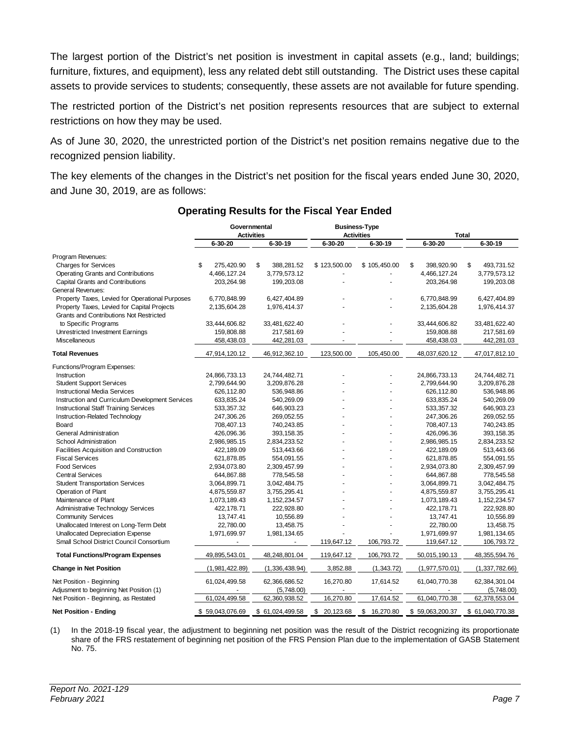The largest portion of the District's net position is investment in capital assets (e.g., land; buildings; furniture, fixtures, and equipment), less any related debt still outstanding. The District uses these capital assets to provide services to students; consequently, these assets are not available for future spending.

The restricted portion of the District's net position represents resources that are subject to external restrictions on how they may be used.

As of June 30, 2020, the unrestricted portion of the District's net position remains negative due to the recognized pension liability.

The key elements of the changes in the District's net position for the fiscal years ended June 30, 2020, and June 30, 2019, are as follows:

|                                                 | Governmental     |                   |                 | <b>Business-Type</b> |                  |                  |  |
|-------------------------------------------------|------------------|-------------------|-----------------|----------------------|------------------|------------------|--|
|                                                 |                  | <b>Activities</b> |                 | <b>Activities</b>    | Total            |                  |  |
|                                                 | 6-30-20          | $6 - 30 - 19$     | $6 - 30 - 20$   | 6-30-19              | 6-30-20          | $6 - 30 - 19$    |  |
| Program Revenues:                               |                  |                   |                 |                      |                  |                  |  |
| <b>Charges for Services</b>                     | 275,420.90<br>\$ | 388,281.52<br>\$  | \$123,500.00    | \$105,450.00         | 398,920.90<br>\$ | \$<br>493,731.52 |  |
| Operating Grants and Contributions              | 4,466,127.24     | 3,779,573.12      |                 |                      | 4,466,127.24     | 3,779,573.12     |  |
| Capital Grants and Contributions                | 203,264.98       | 199,203.08        |                 |                      | 203,264.98       | 199,203.08       |  |
| <b>General Revenues:</b>                        |                  |                   |                 |                      |                  |                  |  |
| Property Taxes, Levied for Operational Purposes | 6,770,848.99     | 6,427,404.89      |                 |                      | 6,770,848.99     | 6,427,404.89     |  |
| Property Taxes, Levied for Capital Projects     | 2,135,604.28     | 1,976,414.37      |                 |                      | 2,135,604.28     | 1,976,414.37     |  |
| Grants and Contributions Not Restricted         |                  |                   |                 |                      |                  |                  |  |
| to Specific Programs                            | 33,444,606.82    | 33,481,622.40     |                 |                      | 33,444,606.82    | 33,481,622.40    |  |
| Unrestricted Investment Earnings                | 159,808.88       | 217,581.69        |                 |                      | 159,808.88       | 217,581.69       |  |
| Miscellaneous                                   | 458,438.03       | 442,281.03        |                 |                      | 458,438.03       | 442,281.03       |  |
|                                                 |                  |                   |                 |                      |                  |                  |  |
| <b>Total Revenues</b>                           | 47,914,120.12    | 46,912,362.10     | 123,500.00      | 105,450.00           | 48,037,620.12    | 47,017,812.10    |  |
| Functions/Program Expenses:                     |                  |                   |                 |                      |                  |                  |  |
| Instruction                                     | 24,866,733.13    | 24,744,482.71     |                 |                      | 24,866,733.13    | 24,744,482.71    |  |
| <b>Student Support Services</b>                 | 2,799,644.90     | 3,209,876.28      |                 |                      | 2,799,644.90     | 3,209,876.28     |  |
| <b>Instructional Media Services</b>             | 626,112.80       | 536,948.86        |                 |                      | 626,112.80       | 536,948.86       |  |
| Instruction and Curriculum Development Services | 633,835.24       | 540,269.09        |                 |                      | 633,835.24       | 540,269.09       |  |
| <b>Instructional Staff Training Services</b>    | 533, 357. 32     | 646,903.23        |                 |                      | 533,357.32       | 646,903.23       |  |
| Instruction-Related Technology                  | 247,306.26       | 269,052.55        |                 |                      | 247,306.26       | 269,052.55       |  |
| Board                                           | 708,407.13       | 740,243.85        |                 |                      | 708,407.13       | 740,243.85       |  |
| <b>General Administration</b>                   | 426,096.36       | 393, 158.35       |                 |                      | 426,096.36       | 393, 158.35      |  |
| School Administration                           | 2,986,985.15     | 2,834,233.52      |                 |                      | 2,986,985.15     | 2,834,233.52     |  |
| Facilities Acquisition and Construction         | 422,189.09       | 513,443.66        |                 |                      | 422,189.09       | 513,443.66       |  |
| <b>Fiscal Services</b>                          | 621,878.85       | 554,091.55        |                 |                      | 621,878.85       | 554,091.55       |  |
| <b>Food Services</b>                            | 2,934,073.80     | 2,309,457.99      |                 |                      | 2,934,073.80     | 2,309,457.99     |  |
| <b>Central Services</b>                         | 644,867.88       | 778,545.58        |                 |                      | 644,867.88       | 778,545.58       |  |
| <b>Student Transportation Services</b>          | 3,064,899.71     | 3,042,484.75      |                 |                      | 3,064,899.71     | 3,042,484.75     |  |
| Operation of Plant                              | 4,875,559.87     | 3,755,295.41      |                 |                      | 4,875,559.87     | 3,755,295.41     |  |
| Maintenance of Plant                            | 1,073,189.43     | 1,152,234.57      |                 |                      | 1,073,189.43     | 1,152,234.57     |  |
| Administrative Technology Services              | 422,178.71       | 222,928.80        |                 |                      | 422,178.71       | 222,928.80       |  |
| <b>Community Services</b>                       | 13,747.41        | 10,556.89         |                 |                      | 13,747.41        | 10,556.89        |  |
| Unallocated Interest on Long-Term Debt          | 22,780.00        | 13,458.75         |                 |                      | 22,780.00        | 13,458.75        |  |
| <b>Unallocated Depreciation Expense</b>         | 1,971,699.97     | 1,981,134.65      |                 |                      | 1,971,699.97     | 1,981,134.65     |  |
| Small School District Council Consortium        |                  |                   | 119,647.12      | 106,793.72           | 119,647.12       | 106,793.72       |  |
| <b>Total Functions/Program Expenses</b>         | 49,895,543.01    | 48,248,801.04     | 119,647.12      | 106,793.72           | 50,015,190.13    | 48,355,594.76    |  |
| <b>Change in Net Position</b>                   | (1,981,422.89)   | (1,336,438.94)    | 3,852.88        | (1,343.72)           | (1,977,570.01)   | (1,337,782.66)   |  |
| Net Position - Beginning                        | 61,024,499.58    | 62,366,686.52     | 16,270.80       | 17,614.52            | 61,040,770.38    | 62,384,301.04    |  |
| Adjusment to beginning Net Position (1)         |                  | (5,748.00)        |                 |                      |                  | (5,748.00)       |  |
| Net Position - Beginning, as Restated           | 61,024,499.58    | 62,360,938.52     | 16,270.80       | 17,614.52            | 61,040,770.38    | 62,378,553.04    |  |
| <b>Net Position - Ending</b>                    | \$59,043,076.69  | \$61,024,499.58   | 20,123.68<br>\$ | \$16,270.80          | \$59,063,200.37  | \$61,040,770.38  |  |

#### **Operating Results for the Fiscal Year Ended**

(1) In the 2018-19 fiscal year, the adjustment to beginning net position was the result of the District recognizing its proportionate share of the FRS restatement of beginning net position of the FRS Pension Plan due to the implementation of GASB Statement No. 75.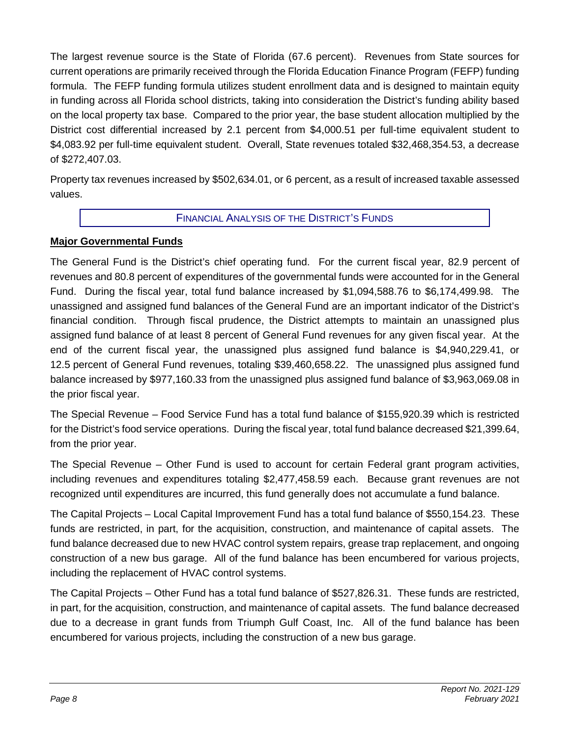The largest revenue source is the State of Florida (67.6 percent). Revenues from State sources for current operations are primarily received through the Florida Education Finance Program (FEFP) funding formula. The FEFP funding formula utilizes student enrollment data and is designed to maintain equity in funding across all Florida school districts, taking into consideration the District's funding ability based on the local property tax base. Compared to the prior year, the base student allocation multiplied by the District cost differential increased by 2.1 percent from \$4,000.51 per full-time equivalent student to \$4,083.92 per full-time equivalent student. Overall, State revenues totaled \$32,468,354.53, a decrease of \$272,407.03.

Property tax revenues increased by \$502,634.01, or 6 percent, as a result of increased taxable assessed values.

#### FINANCIAL ANALYSIS OF THE DISTRICT'S FUNDS

#### **Major Governmental Funds**

The General Fund is the District's chief operating fund. For the current fiscal year, 82.9 percent of revenues and 80.8 percent of expenditures of the governmental funds were accounted for in the General Fund. During the fiscal year, total fund balance increased by \$1,094,588.76 to \$6,174,499.98. The unassigned and assigned fund balances of the General Fund are an important indicator of the District's financial condition. Through fiscal prudence, the District attempts to maintain an unassigned plus assigned fund balance of at least 8 percent of General Fund revenues for any given fiscal year. At the end of the current fiscal year, the unassigned plus assigned fund balance is \$4,940,229.41, or 12.5 percent of General Fund revenues, totaling \$39,460,658.22. The unassigned plus assigned fund balance increased by \$977,160.33 from the unassigned plus assigned fund balance of \$3,963,069.08 in the prior fiscal year.

The Special Revenue – Food Service Fund has a total fund balance of \$155,920.39 which is restricted for the District's food service operations. During the fiscal year, total fund balance decreased \$21,399.64, from the prior year.

The Special Revenue – Other Fund is used to account for certain Federal grant program activities, including revenues and expenditures totaling \$2,477,458.59 each. Because grant revenues are not recognized until expenditures are incurred, this fund generally does not accumulate a fund balance.

The Capital Projects – Local Capital Improvement Fund has a total fund balance of \$550,154.23. These funds are restricted, in part, for the acquisition, construction, and maintenance of capital assets. The fund balance decreased due to new HVAC control system repairs, grease trap replacement, and ongoing construction of a new bus garage. All of the fund balance has been encumbered for various projects, including the replacement of HVAC control systems.

The Capital Projects – Other Fund has a total fund balance of \$527,826.31. These funds are restricted, in part, for the acquisition, construction, and maintenance of capital assets. The fund balance decreased due to a decrease in grant funds from Triumph Gulf Coast, Inc. All of the fund balance has been encumbered for various projects, including the construction of a new bus garage.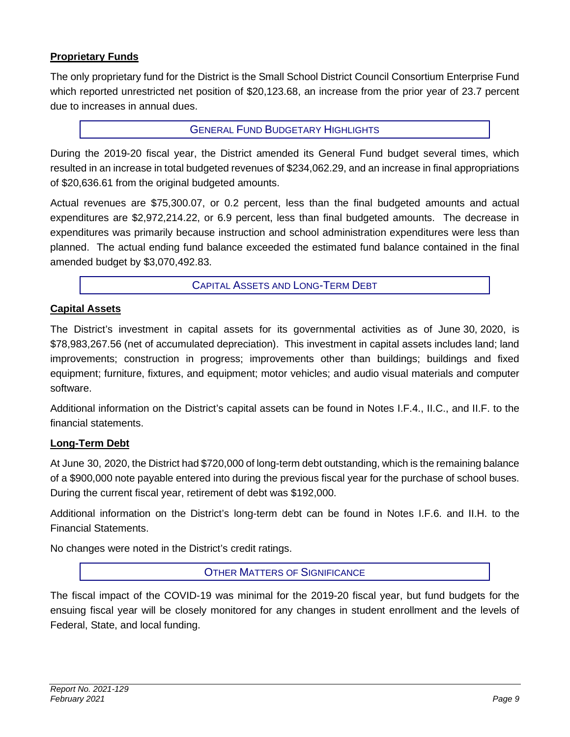## **Proprietary Funds**

The only proprietary fund for the District is the Small School District Council Consortium Enterprise Fund which reported unrestricted net position of \$20,123.68, an increase from the prior year of 23.7 percent due to increases in annual dues.

#### GENERAL FUND BUDGETARY HIGHLIGHTS

During the 2019-20 fiscal year, the District amended its General Fund budget several times, which resulted in an increase in total budgeted revenues of \$234,062.29, and an increase in final appropriations of \$20,636.61 from the original budgeted amounts.

Actual revenues are \$75,300.07, or 0.2 percent, less than the final budgeted amounts and actual expenditures are \$2,972,214.22, or 6.9 percent, less than final budgeted amounts. The decrease in expenditures was primarily because instruction and school administration expenditures were less than planned. The actual ending fund balance exceeded the estimated fund balance contained in the final amended budget by \$3,070,492.83.

CAPITAL ASSETS AND LONG-TERM DEBT

### **Capital Assets**

The District's investment in capital assets for its governmental activities as of June 30, 2020, is \$78,983,267.56 (net of accumulated depreciation). This investment in capital assets includes land; land improvements; construction in progress; improvements other than buildings; buildings and fixed equipment; furniture, fixtures, and equipment; motor vehicles; and audio visual materials and computer software.

Additional information on the District's capital assets can be found in Notes I.F.4., II.C., and II.F. to the financial statements.

#### **Long-Term Debt**

At June 30, 2020, the District had \$720,000 of long-term debt outstanding, which is the remaining balance of a \$900,000 note payable entered into during the previous fiscal year for the purchase of school buses. During the current fiscal year, retirement of debt was \$192,000.

Additional information on the District's long-term debt can be found in Notes I.F.6. and II.H. to the Financial Statements.

No changes were noted in the District's credit ratings.

#### OTHER MATTERS OF SIGNIFICANCE

The fiscal impact of the COVID-19 was minimal for the 2019-20 fiscal year, but fund budgets for the ensuing fiscal year will be closely monitored for any changes in student enrollment and the levels of Federal, State, and local funding.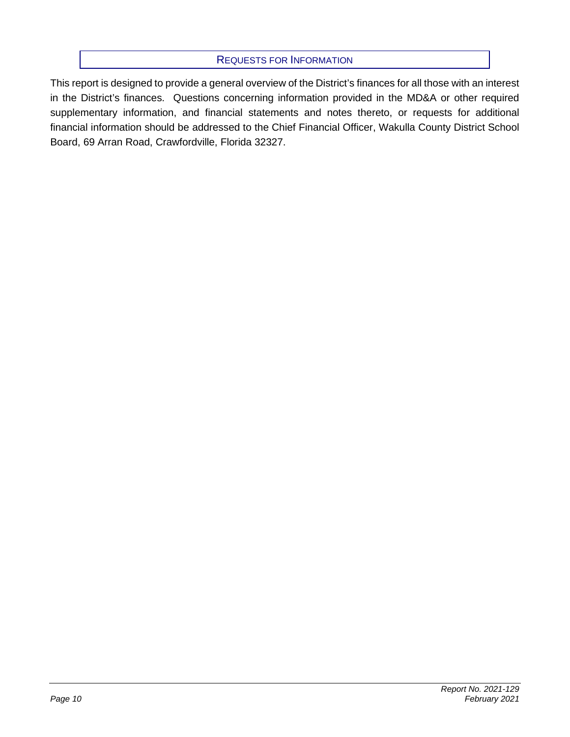#### REQUESTS FOR INFORMATION

This report is designed to provide a general overview of the District's finances for all those with an interest in the District's finances. Questions concerning information provided in the MD&A or other required supplementary information, and financial statements and notes thereto, or requests for additional financial information should be addressed to the Chief Financial Officer, Wakulla County District School Board, 69 Arran Road, Crawfordville, Florida 32327.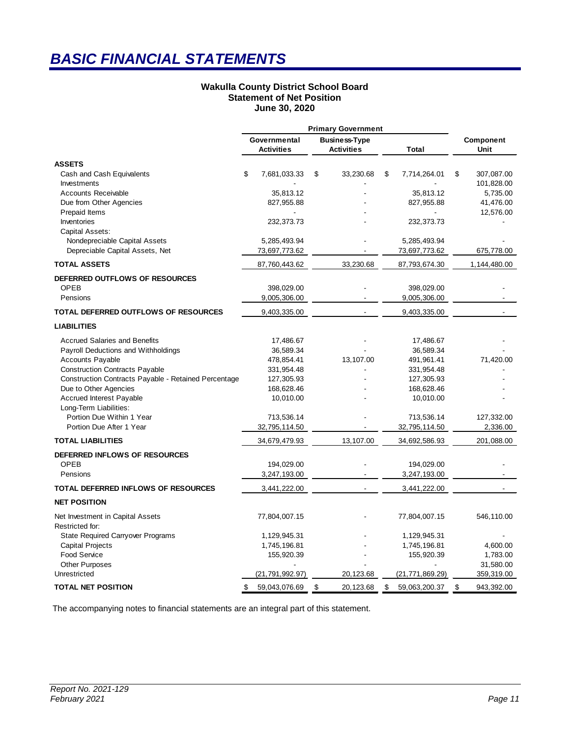# <span id="page-16-1"></span>*BASIC FINANCIAL STATEMENTS*

#### **Wakulla County District School Board Statement of Net Position June 30, 2020**

<span id="page-16-0"></span>

|                                                             | <b>Primary Government</b>         |                         |                                           |  |           |       |                         |                                |
|-------------------------------------------------------------|-----------------------------------|-------------------------|-------------------------------------------|--|-----------|-------|-------------------------|--------------------------------|
|                                                             | Governmental<br><b>Activities</b> |                         | <b>Business-Type</b><br><b>Activities</b> |  |           | Total |                         | Component<br>Unit              |
| <b>ASSETS</b>                                               |                                   |                         |                                           |  |           |       |                         |                                |
| Cash and Cash Equivalents<br>Investments                    | \$                                | 7,681,033.33            | \$                                        |  | 33,230.68 | \$    | 7,714,264.01            | \$<br>307,087.00<br>101,828.00 |
| <b>Accounts Receivable</b>                                  |                                   | 35,813.12               |                                           |  |           |       | 35,813.12               | 5,735.00                       |
| Due from Other Agencies<br>Prepaid Items                    |                                   | 827,955.88              |                                           |  |           |       | 827,955.88              | 41,476.00<br>12,576.00         |
| Inventories<br>Capital Assets:                              |                                   | 232, 373. 73            |                                           |  |           |       | 232,373.73              |                                |
| Nondepreciable Capital Assets                               |                                   | 5,285,493.94            |                                           |  |           |       | 5,285,493.94            |                                |
| Depreciable Capital Assets, Net                             |                                   | 73,697,773.62           |                                           |  |           |       | 73,697,773.62           | 675,778.00                     |
| <b>TOTAL ASSETS</b>                                         |                                   | 87,760,443.62           |                                           |  | 33,230.68 |       | 87,793,674.30           | 1,144,480.00                   |
| DEFERRED OUTFLOWS OF RESOURCES                              |                                   |                         |                                           |  |           |       |                         |                                |
| OPEB                                                        |                                   | 398,029.00              |                                           |  |           |       | 398,029.00              |                                |
| Pensions                                                    |                                   | 9,005,306.00            |                                           |  |           |       | 9,005,306.00            |                                |
| TOTAL DEFERRED OUTFLOWS OF RESOURCES                        |                                   | 9,403,335.00            |                                           |  |           |       | 9,403,335.00            |                                |
| <b>LIABILITIES</b>                                          |                                   |                         |                                           |  |           |       |                         |                                |
| <b>Accrued Salaries and Benefits</b>                        |                                   | 17,486.67               |                                           |  |           |       | 17,486.67               |                                |
| Payroll Deductions and Withholdings                         |                                   | 36,589.34               |                                           |  |           |       | 36,589.34               |                                |
| <b>Accounts Payable</b>                                     |                                   | 478,854.41              |                                           |  | 13,107.00 |       | 491,961.41              | 71,420.00                      |
| <b>Construction Contracts Payable</b>                       |                                   | 331,954.48              |                                           |  |           |       | 331,954.48              |                                |
| <b>Construction Contracts Payable - Retained Percentage</b> |                                   | 127,305.93              |                                           |  |           |       | 127,305.93              |                                |
| Due to Other Agencies<br><b>Accrued Interest Payable</b>    |                                   | 168,628.46<br>10,010.00 |                                           |  |           |       | 168,628.46<br>10,010.00 |                                |
| Long-Term Liabilities:                                      |                                   |                         |                                           |  |           |       |                         |                                |
| Portion Due Within 1 Year                                   |                                   | 713,536.14              |                                           |  |           |       | 713,536.14              | 127,332.00                     |
| Portion Due After 1 Year                                    |                                   | 32,795,114.50           |                                           |  |           |       | 32,795,114.50           | 2,336.00                       |
| <b>TOTAL LIABILITIES</b>                                    |                                   | 34,679,479.93           |                                           |  | 13,107.00 |       | 34,692,586.93           | 201,088.00                     |
| DEFERRED INFLOWS OF RESOURCES                               |                                   |                         |                                           |  |           |       |                         |                                |
| <b>OPEB</b>                                                 |                                   | 194,029.00              |                                           |  |           |       | 194,029.00              |                                |
| Pensions                                                    |                                   | 3,247,193.00            |                                           |  |           |       | 3,247,193.00            |                                |
| TOTAL DEFERRED INFLOWS OF RESOURCES                         |                                   | 3,441,222.00            |                                           |  |           |       | 3,441,222.00            |                                |
| <b>NET POSITION</b>                                         |                                   |                         |                                           |  |           |       |                         |                                |
| Net Investment in Capital Assets<br>Restricted for:         |                                   | 77,804,007.15           |                                           |  |           |       | 77,804,007.15           | 546,110.00                     |
| <b>State Required Carryover Programs</b>                    |                                   | 1,129,945.31            |                                           |  |           |       | 1,129,945.31            |                                |
| <b>Capital Projects</b>                                     |                                   | 1,745,196.81            |                                           |  |           |       | 1,745,196.81            | 4,600.00                       |
| <b>Food Service</b>                                         |                                   | 155,920.39              |                                           |  |           |       | 155,920.39              | 1,783.00                       |
| <b>Other Purposes</b>                                       |                                   |                         |                                           |  |           |       |                         | 31,580.00                      |
| Unrestricted                                                |                                   | (21, 791, 992.97)       |                                           |  | 20,123.68 |       | (21,771,869.29)         | 359,319.00                     |
| <b>TOTAL NET POSITION</b>                                   | \$                                | 59,043,076.69           | \$                                        |  | 20,123.68 | \$    | 59,063,200.37           | \$<br>943,392.00               |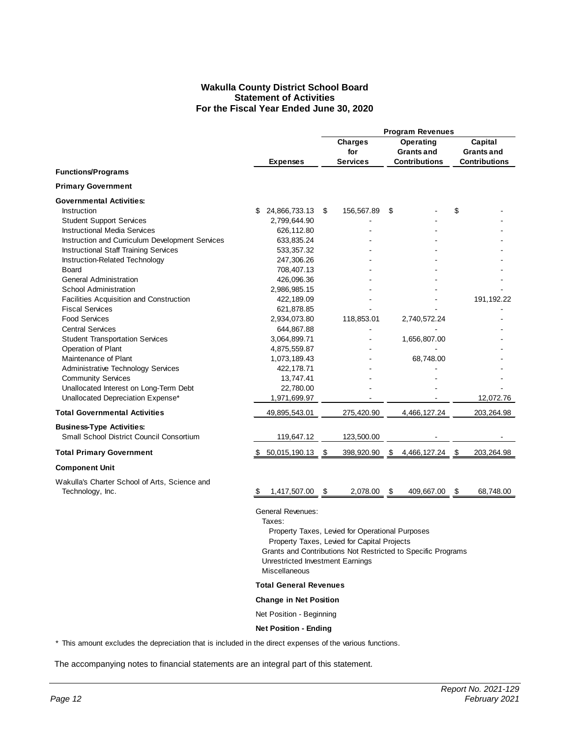#### **Wakulla County District School Board Statement of Activities For the Fiscal Year Ended June 30, 2020**

<span id="page-17-1"></span><span id="page-17-0"></span>

|                                                                              |                                                              | <b>Program Revenues</b> |                                                 |      |                                                        |      |                                                      |
|------------------------------------------------------------------------------|--------------------------------------------------------------|-------------------------|-------------------------------------------------|------|--------------------------------------------------------|------|------------------------------------------------------|
|                                                                              | <b>Expenses</b>                                              |                         | <b>Charges</b><br>for<br><b>Services</b>        |      | Operating<br><b>Grants and</b><br><b>Contributions</b> |      | Capital<br><b>Grants and</b><br><b>Contributions</b> |
| <b>Functions/Programs</b>                                                    |                                                              |                         |                                                 |      |                                                        |      |                                                      |
| <b>Primary Government</b>                                                    |                                                              |                         |                                                 |      |                                                        |      |                                                      |
| <b>Governmental Activities:</b>                                              |                                                              |                         |                                                 |      |                                                        |      |                                                      |
| Instruction                                                                  | 24,866,733.13<br>\$                                          | \$                      | 156,567.89                                      | \$   |                                                        | \$   |                                                      |
| <b>Student Support Services</b>                                              | 2,799,644.90                                                 |                         |                                                 |      |                                                        |      |                                                      |
| <b>Instructional Media Services</b>                                          | 626,112.80                                                   |                         |                                                 |      |                                                        |      |                                                      |
| Instruction and Curriculum Development Services                              | 633,835.24                                                   |                         |                                                 |      |                                                        |      |                                                      |
| <b>Instructional Staff Training Services</b>                                 | 533, 357. 32                                                 |                         |                                                 |      |                                                        |      |                                                      |
| Instruction-Related Technology                                               | 247,306.26                                                   |                         |                                                 |      |                                                        |      |                                                      |
| Board                                                                        | 708,407.13                                                   |                         |                                                 |      |                                                        |      |                                                      |
| <b>General Administration</b>                                                | 426,096.36                                                   |                         |                                                 |      |                                                        |      |                                                      |
| School Administration                                                        | 2,986,985.15                                                 |                         |                                                 |      |                                                        |      |                                                      |
| <b>Facilities Acquisition and Construction</b>                               | 422,189.09                                                   |                         |                                                 |      |                                                        |      | 191,192.22                                           |
| <b>Fiscal Services</b>                                                       | 621,878.85                                                   |                         |                                                 |      |                                                        |      |                                                      |
| <b>Food Services</b>                                                         | 2,934,073.80                                                 |                         | 118,853.01                                      |      | 2,740,572.24                                           |      |                                                      |
| <b>Central Services</b>                                                      | 644,867.88                                                   |                         |                                                 |      |                                                        |      |                                                      |
| <b>Student Transportation Services</b>                                       | 3,064,899.71                                                 |                         |                                                 |      | 1,656,807.00                                           |      |                                                      |
| Operation of Plant                                                           | 4,875,559.87                                                 |                         |                                                 |      |                                                        |      |                                                      |
| Maintenance of Plant                                                         | 1,073,189.43                                                 |                         |                                                 |      | 68,748.00                                              |      |                                                      |
| <b>Administrative Technology Services</b>                                    | 422,178.71                                                   |                         |                                                 |      |                                                        |      |                                                      |
| <b>Community Services</b>                                                    | 13,747.41                                                    |                         |                                                 |      |                                                        |      |                                                      |
| Unallocated Interest on Long-Term Debt                                       | 22,780.00                                                    |                         |                                                 |      |                                                        |      |                                                      |
| Unallocated Depreciation Expense*                                            | 1,971,699.97                                                 |                         |                                                 |      |                                                        |      | 12,072.76                                            |
| <b>Total Governmental Activities</b>                                         | 49,895,543.01                                                |                         | 275,420.90                                      |      | 4,466,127.24                                           |      | 203,264.98                                           |
| <b>Business-Type Activities:</b><br>Small School District Council Consortium | 119,647.12                                                   |                         | 123,500.00                                      |      |                                                        |      |                                                      |
| <b>Total Primary Government</b>                                              | \$<br>50,015,190.13                                          | \$                      | 398,920.90                                      | - \$ | 4,466,127.24 \$                                        |      | 203,264.98                                           |
|                                                                              |                                                              |                         |                                                 |      |                                                        |      |                                                      |
| <b>Component Unit</b>                                                        |                                                              |                         |                                                 |      |                                                        |      |                                                      |
| Wakulla's Charter School of Arts, Science and<br>Technology, Inc.            | 1,417,507.00<br>\$                                           | - \$                    | 2,078.00 \$                                     |      | 409,667.00                                             | - \$ | 68,748.00                                            |
|                                                                              |                                                              |                         |                                                 |      |                                                        |      |                                                      |
|                                                                              | <b>General Revenues:</b>                                     |                         |                                                 |      |                                                        |      |                                                      |
|                                                                              | Taxes:                                                       |                         |                                                 |      |                                                        |      |                                                      |
|                                                                              |                                                              |                         | Property Taxes, Levied for Operational Purposes |      |                                                        |      |                                                      |
|                                                                              |                                                              |                         | Property Taxes, Levied for Capital Projects     |      |                                                        |      |                                                      |
|                                                                              | Grants and Contributions Not Restricted to Specific Programs |                         |                                                 |      |                                                        |      |                                                      |
|                                                                              | Unrestricted Investment Earnings                             |                         |                                                 |      |                                                        |      |                                                      |
|                                                                              | Miscellaneous                                                |                         |                                                 |      |                                                        |      |                                                      |
|                                                                              | <b>Total General Revenues</b>                                |                         |                                                 |      |                                                        |      |                                                      |
|                                                                              | <b>Change in Net Position</b>                                |                         |                                                 |      |                                                        |      |                                                      |
|                                                                              | Net Position - Beginning                                     |                         |                                                 |      |                                                        |      |                                                      |
|                                                                              | <b>Net Position - Ending</b>                                 |                         |                                                 |      |                                                        |      |                                                      |

This amount excludes the depreciation that is included in the direct expenses of the various functions.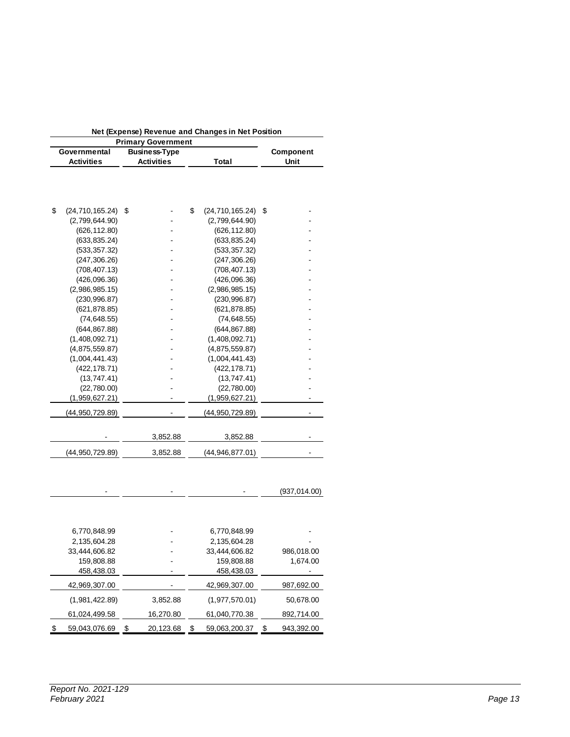| Net (Expense) Revenue and Changes in Net Position |                                                    |                           |    |                   |                  |
|---------------------------------------------------|----------------------------------------------------|---------------------------|----|-------------------|------------------|
|                                                   |                                                    | <b>Primary Government</b> |    |                   |                  |
| Governmental                                      | <b>Business-Type</b><br><b>Activities</b><br>Total |                           |    |                   | Component        |
| <b>Activities</b>                                 |                                                    |                           |    |                   | Unit             |
|                                                   |                                                    |                           |    |                   |                  |
|                                                   |                                                    |                           |    |                   |                  |
|                                                   |                                                    |                           |    |                   |                  |
| \$<br>(24, 710, 165.24)                           | \$                                                 |                           | \$ | (24, 710, 165.24) | \$               |
| (2,799,644.90)                                    |                                                    |                           |    | (2,799,644.90)    |                  |
| (626, 112.80)                                     |                                                    |                           |    | (626, 112.80)     |                  |
| (633, 835.24)                                     |                                                    |                           |    | (633, 835.24)     |                  |
| (533, 357.32)                                     |                                                    |                           |    | (533, 357.32)     |                  |
| (247, 306.26)                                     |                                                    |                           |    | (247, 306.26)     |                  |
| (708, 407.13)                                     |                                                    |                           |    | (708, 407.13)     |                  |
| (426,096.36)                                      |                                                    |                           |    | (426,096.36)      |                  |
| (2,986,985.15)                                    |                                                    |                           |    | (2,986,985.15)    |                  |
| (230, 996.87)                                     |                                                    |                           |    | (230, 996.87)     |                  |
| (621, 878.85)                                     |                                                    |                           |    | (621, 878.85)     |                  |
| (74, 648.55)                                      |                                                    |                           |    | (74, 648.55)      |                  |
| (644, 867.88)                                     |                                                    |                           |    | (644, 867.88)     |                  |
| (1,408,092.71)                                    |                                                    |                           |    | (1,408,092.71)    |                  |
| (4,875,559.87)                                    |                                                    |                           |    | (4,875,559.87)    |                  |
| (1,004,441.43)                                    |                                                    |                           |    | (1,004,441.43)    |                  |
| (422, 178.71)                                     |                                                    |                           |    | (422, 178.71)     |                  |
| (13, 747.41)                                      |                                                    |                           |    | (13, 747.41)      |                  |
| (22,780.00)                                       |                                                    |                           |    | (22,780.00)       |                  |
| (1,959,627.21)                                    |                                                    |                           |    | (1,959,627.21)    |                  |
|                                                   |                                                    |                           |    |                   |                  |
| (44, 950, 729.89)                                 |                                                    |                           |    | (44,950,729.89)   |                  |
|                                                   |                                                    |                           |    |                   |                  |
|                                                   |                                                    | 3,852.88                  |    | 3,852.88          |                  |
| (44, 950, 729.89)                                 |                                                    | 3,852.88                  |    | (44, 946, 877.01) |                  |
|                                                   |                                                    |                           |    |                   |                  |
|                                                   |                                                    |                           |    |                   |                  |
|                                                   |                                                    |                           |    |                   | (937, 014.00)    |
|                                                   |                                                    |                           |    |                   |                  |
|                                                   |                                                    |                           |    |                   |                  |
|                                                   |                                                    |                           |    |                   |                  |
| 6,770,848.99                                      |                                                    |                           |    | 6,770,848.99      |                  |
| 2,135,604.28                                      |                                                    |                           |    | 2,135,604.28      |                  |
| 33,444,606.82                                     |                                                    |                           |    | 33,444,606.82     | 986,018.00       |
| 159,808.88                                        |                                                    |                           |    | 159,808.88        | 1,674.00         |
| 458,438.03                                        |                                                    |                           |    | 458,438.03        |                  |
| 42,969,307.00                                     |                                                    |                           |    | 42,969,307.00     | 987,692.00       |
| (1,981,422.89)                                    |                                                    | 3,852.88                  |    | (1,977,570.01)    | 50,678.00        |
| 61,024,499.58                                     |                                                    | 16,270.80                 |    | 61,040,770.38     | 892,714.00       |
| \$<br>59,043,076.69                               | \$                                                 | 20,123.68                 | \$ | 59,063,200.37     | \$<br>943,392.00 |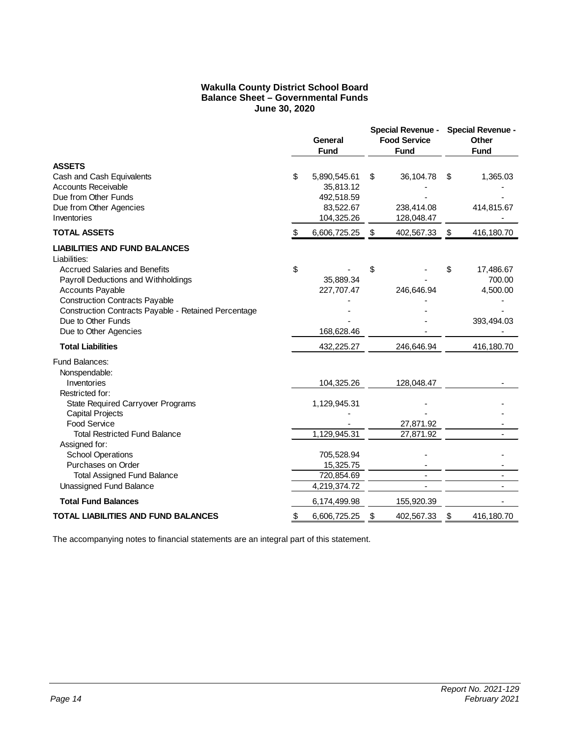#### **Wakulla County District School Board Balance Sheet – Governmental Funds June 30, 2020**

<span id="page-19-1"></span><span id="page-19-0"></span>

|                                                          | General<br><b>Fund</b>  |    | <b>Special Revenue -</b><br><b>Food Service</b><br><b>Fund</b> |      | <b>Special Revenue -</b><br>Other<br><b>Fund</b> |
|----------------------------------------------------------|-------------------------|----|----------------------------------------------------------------|------|--------------------------------------------------|
| <b>ASSETS</b>                                            |                         |    |                                                                |      |                                                  |
| Cash and Cash Equivalents                                | \$<br>5,890,545.61      | S  | 36,104.78                                                      | \$   | 1,365.03                                         |
| <b>Accounts Receivable</b>                               | 35,813.12               |    |                                                                |      |                                                  |
| Due from Other Funds                                     | 492,518.59              |    |                                                                |      |                                                  |
| Due from Other Agencies                                  | 83,522.67               |    | 238,414.08                                                     |      | 414,815.67                                       |
| Inventories                                              | 104,325.26              |    | 128,048.47                                                     |      |                                                  |
| <b>TOTAL ASSETS</b>                                      | \$<br>6,606,725.25      | \$ | 402,567.33                                                     | - \$ | 416,180.70                                       |
| <b>LIABILITIES AND FUND BALANCES</b>                     |                         |    |                                                                |      |                                                  |
| Liabilities:                                             |                         |    |                                                                |      |                                                  |
| <b>Accrued Salaries and Benefits</b>                     | \$                      | \$ |                                                                | \$   | 17,486.67                                        |
| Payroll Deductions and Withholdings                      | 35,889.34               |    |                                                                |      | 700.00                                           |
| Accounts Payable                                         | 227,707.47              |    | 246,646.94                                                     |      | 4,500.00                                         |
| <b>Construction Contracts Payable</b>                    |                         |    |                                                                |      |                                                  |
| Construction Contracts Payable - Retained Percentage     |                         |    |                                                                |      |                                                  |
| Due to Other Funds                                       |                         |    |                                                                |      | 393,494.03                                       |
| Due to Other Agencies                                    | 168,628.46              |    |                                                                |      |                                                  |
| <b>Total Liabilities</b>                                 | 432,225.27              |    | 246,646.94                                                     |      | 416,180.70                                       |
| Fund Balances:                                           |                         |    |                                                                |      |                                                  |
| Nonspendable:                                            |                         |    |                                                                |      |                                                  |
| Inventories                                              | 104,325.26              |    | 128,048.47                                                     |      |                                                  |
| Restricted for:                                          |                         |    |                                                                |      |                                                  |
| State Required Carryover Programs                        | 1,129,945.31            |    |                                                                |      |                                                  |
| <b>Capital Projects</b>                                  |                         |    |                                                                |      |                                                  |
| Food Service                                             |                         |    | 27,871.92                                                      |      |                                                  |
| <b>Total Restricted Fund Balance</b>                     | 1,129,945.31            |    | 27,871.92                                                      |      |                                                  |
| Assigned for:                                            |                         |    |                                                                |      |                                                  |
| <b>School Operations</b>                                 | 705,528.94              |    |                                                                |      |                                                  |
| Purchases on Order<br><b>Total Assigned Fund Balance</b> | 15,325.75<br>720,854.69 |    | ä,                                                             |      |                                                  |
| Unassigned Fund Balance                                  | 4,219,374.72            |    |                                                                |      |                                                  |
|                                                          |                         |    |                                                                |      |                                                  |
| <b>Total Fund Balances</b>                               | 6,174,499.98            |    | 155,920.39                                                     |      |                                                  |
| <b>TOTAL LIABILITIES AND FUND BALANCES</b>               | \$<br>6,606,725.25      | \$ | 402,567.33                                                     | \$   | 416,180.70                                       |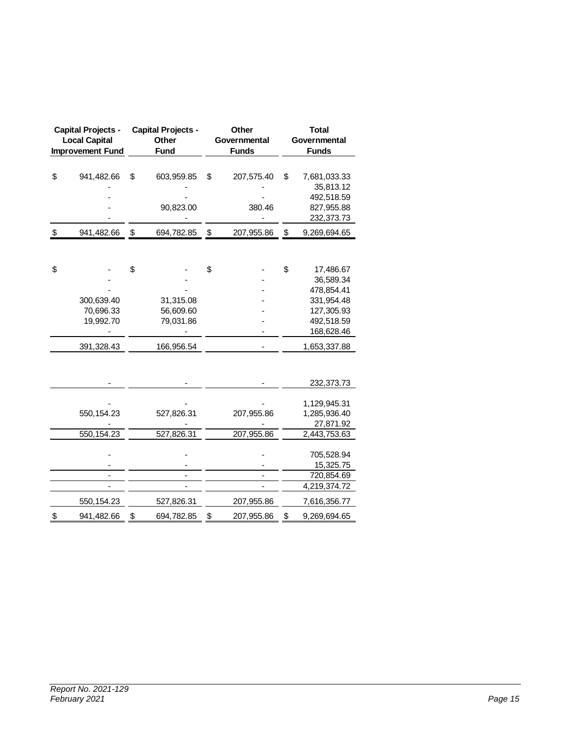|                         | <b>Capital Projects -</b><br><b>Local Capital</b><br><b>Improvement Fund</b> |                       | <b>Capital Projects -</b><br>Other<br><b>Fund</b> | Other<br>Governmental<br><b>Funds</b> |                         | <b>Total</b><br>Governmental<br><b>Funds</b> |
|-------------------------|------------------------------------------------------------------------------|-----------------------|---------------------------------------------------|---------------------------------------|-------------------------|----------------------------------------------|
|                         |                                                                              |                       |                                                   |                                       |                         |                                              |
| \$                      | 941,482.66                                                                   | \$                    | 603,959.85                                        | \$<br>207,575.40                      | \$                      | 7,681,033.33                                 |
|                         |                                                                              |                       |                                                   |                                       |                         | 35,813.12                                    |
|                         |                                                                              |                       |                                                   |                                       |                         | 492,518.59                                   |
|                         |                                                                              |                       | 90,823.00                                         | 380.46                                |                         | 827,955.88                                   |
|                         |                                                                              |                       |                                                   |                                       |                         | 232,373.73                                   |
| $\sqrt[6]{\frac{1}{2}}$ | 941,482.66                                                                   | $\boldsymbol{\theta}$ | 694,782.85                                        | \$<br>207,955.86                      | $\sqrt[6]{\frac{1}{2}}$ | 9,269,694.65                                 |
|                         |                                                                              |                       |                                                   |                                       |                         |                                              |
| \$                      |                                                                              | \$                    |                                                   | \$                                    | \$                      | 17,486.67                                    |
|                         |                                                                              |                       |                                                   |                                       |                         | 36,589.34                                    |
|                         |                                                                              |                       |                                                   |                                       |                         | 478,854.41                                   |
|                         | 300,639.40                                                                   |                       | 31,315.08                                         |                                       |                         | 331,954.48                                   |
|                         | 70,696.33                                                                    |                       | 56,609.60                                         |                                       |                         | 127,305.93                                   |
|                         | 19,992.70                                                                    |                       | 79,031.86                                         |                                       |                         | 492,518.59                                   |
|                         |                                                                              |                       |                                                   |                                       |                         | 168,628.46                                   |
|                         | 391,328.43                                                                   |                       | 166,956.54                                        |                                       |                         | 1,653,337.88                                 |
|                         |                                                                              |                       |                                                   |                                       |                         |                                              |
|                         |                                                                              |                       |                                                   |                                       |                         | 232,373.73                                   |
|                         |                                                                              |                       |                                                   |                                       |                         | 1,129,945.31                                 |
|                         | 550, 154.23                                                                  |                       | 527,826.31                                        | 207,955.86                            |                         | 1,285,936.40                                 |
|                         |                                                                              |                       |                                                   |                                       |                         | 27,871.92                                    |
|                         | 550, 154.23                                                                  |                       | 527,826.31                                        | 207,955.86                            |                         | 2,443,753.63                                 |
|                         |                                                                              |                       |                                                   |                                       |                         |                                              |
|                         |                                                                              |                       |                                                   |                                       |                         | 705,528.94                                   |
|                         |                                                                              |                       |                                                   |                                       |                         | 15,325.75                                    |
|                         |                                                                              |                       |                                                   |                                       |                         | 720,854.69                                   |
|                         |                                                                              |                       |                                                   | ÷,                                    |                         | 4,219,374.72                                 |
|                         | 550, 154.23                                                                  |                       | 527,826.31                                        | 207,955.86                            |                         | 7,616,356.77                                 |
| \$                      | 941,482.66                                                                   | \$                    | 694,782.85                                        | \$<br>207,955.86                      | \$                      | 9,269,694.65                                 |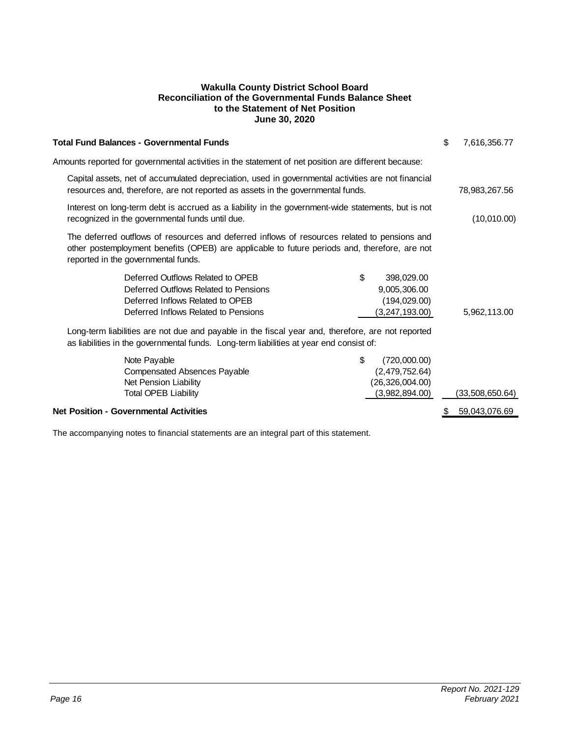#### **Wakulla County District School Board Reconciliation of the Governmental Funds Balance Sheet to the Statement of Net Position June 30, 2020**

<span id="page-21-1"></span><span id="page-21-0"></span>

| <b>Total Fund Balances - Governmental Funds</b>                                                                                                                                                                                      | \$<br>7,616,356.77 |
|--------------------------------------------------------------------------------------------------------------------------------------------------------------------------------------------------------------------------------------|--------------------|
| Amounts reported for governmental activities in the statement of net position are different because:                                                                                                                                 |                    |
| Capital assets, net of accumulated depreciation, used in governmental activities are not financial<br>resources and, therefore, are not reported as assets in the governmental funds.                                                | 78,983,267.56      |
| Interest on long-term debt is accrued as a liability in the government-wide statements, but is not<br>recognized in the governmental funds until due.                                                                                | (10,010.00)        |
| The deferred outflows of resources and deferred inflows of resources related to pensions and<br>other postemployment benefits (OPEB) are applicable to future periods and, therefore, are not<br>reported in the governmental funds. |                    |
| Deferred Outflows Related to OPEB<br>\$<br>398,029.00                                                                                                                                                                                |                    |
| 9,005,306.00<br>Deferred Outflows Related to Pensions                                                                                                                                                                                |                    |
| Deferred Inflows Related to OPEB<br>(194, 029.00)                                                                                                                                                                                    |                    |
| Deferred Inflows Related to Pensions<br>(3,247,193.00)                                                                                                                                                                               | 5,962,113.00       |
| Long-term liabilities are not due and payable in the fiscal year and, therefore, are not reported<br>as liabilities in the governmental funds. Long-term liabilities at year end consist of:                                         |                    |
| \$<br>Note Payable<br>(720,000.00)                                                                                                                                                                                                   |                    |
| (2,479,752.64)<br><b>Compensated Absences Payable</b>                                                                                                                                                                                |                    |
| Net Pension Liability<br>(26, 326, 004.00)                                                                                                                                                                                           |                    |
| <b>Total OPEB Liability</b><br>(3,982,894.00)                                                                                                                                                                                        | (33,508,650.64)    |
| <b>Net Position - Governmental Activities</b>                                                                                                                                                                                        | 59,043,076.69      |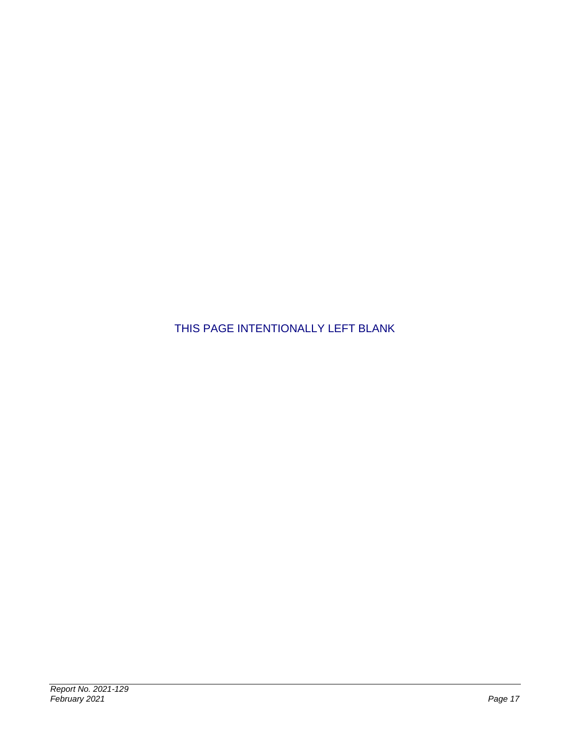THIS PAGE INTENTIONALLY LEFT BLANK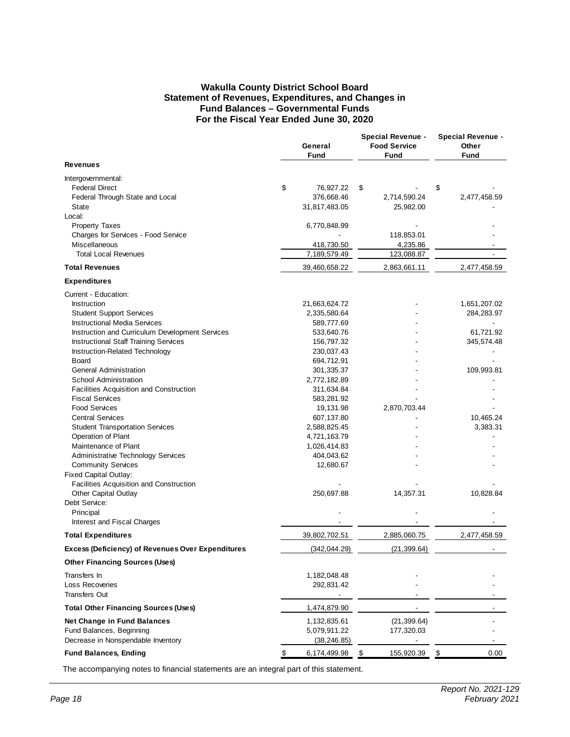#### **Wakulla County District School Board Statement of Revenues, Expenditures, and Changes in Fund Balances – Governmental Funds For the Fiscal Year Ended June 30, 2020**

<span id="page-23-1"></span><span id="page-23-0"></span>

|                                                                                                                                                                                                                                                                                                                                                                                                                                                                                                                                                                                                                                                                                                                                                         | General<br>Fund                                                                                                                                                                                                                                                                   | <b>Special Revenue -</b><br><b>Food Service</b><br>Fund | <b>Special Revenue -</b><br>Other<br><b>Fund</b>                                                          |
|---------------------------------------------------------------------------------------------------------------------------------------------------------------------------------------------------------------------------------------------------------------------------------------------------------------------------------------------------------------------------------------------------------------------------------------------------------------------------------------------------------------------------------------------------------------------------------------------------------------------------------------------------------------------------------------------------------------------------------------------------------|-----------------------------------------------------------------------------------------------------------------------------------------------------------------------------------------------------------------------------------------------------------------------------------|---------------------------------------------------------|-----------------------------------------------------------------------------------------------------------|
| <b>Revenues</b>                                                                                                                                                                                                                                                                                                                                                                                                                                                                                                                                                                                                                                                                                                                                         |                                                                                                                                                                                                                                                                                   |                                                         |                                                                                                           |
| Intergovernmental:<br><b>Federal Direct</b><br>Federal Through State and Local<br>State                                                                                                                                                                                                                                                                                                                                                                                                                                                                                                                                                                                                                                                                 | \$<br>76,927.22<br>376,668.46<br>31,817,483.05                                                                                                                                                                                                                                    | \$<br>2,714,590.24<br>25,982.00                         | \$<br>2,477,458.59                                                                                        |
| Local:<br><b>Property Taxes</b><br>Charges for Services - Food Service<br>Miscellaneous<br><b>Total Local Revenues</b>                                                                                                                                                                                                                                                                                                                                                                                                                                                                                                                                                                                                                                  | 6,770,848.99<br>418,730.50<br>7,189,579.49                                                                                                                                                                                                                                        | 118,853.01<br>4,235.86<br>123,088.87                    |                                                                                                           |
| <b>Total Revenues</b>                                                                                                                                                                                                                                                                                                                                                                                                                                                                                                                                                                                                                                                                                                                                   | 39,460,658.22                                                                                                                                                                                                                                                                     | 2,863,661.11                                            | 2,477,458.59                                                                                              |
| <b>Expenditures</b>                                                                                                                                                                                                                                                                                                                                                                                                                                                                                                                                                                                                                                                                                                                                     |                                                                                                                                                                                                                                                                                   |                                                         |                                                                                                           |
| Current - Education:<br>Instruction<br><b>Student Support Services</b><br><b>Instructional Media Services</b><br>Instruction and Curriculum Development Services<br><b>Instructional Staff Training Services</b><br>Instruction-Related Technology<br><b>Board</b><br><b>General Administration</b><br>School Administration<br>Facilities Acquisition and Construction<br><b>Fiscal Services</b><br><b>Food Services</b><br><b>Central Services</b><br><b>Student Transportation Services</b><br><b>Operation of Plant</b><br>Maintenance of Plant<br><b>Administrative Technology Services</b><br><b>Community Services</b><br>Fixed Capital Outlay:<br>Facilities Acquisition and Construction<br>Other Capital Outlay<br>Debt Service:<br>Principal | 21,663,624.72<br>2,335,580.64<br>589,777.69<br>533,640.76<br>156,797.32<br>230,037.43<br>694,712.91<br>301,335.37<br>2,772,182.89<br>311,634.84<br>583,281.92<br>19,131.98<br>607,137.80<br>2,588,825.45<br>4,721,163.79<br>1,026,414.83<br>404,043.62<br>12,680.67<br>250,697.88 | 2,870,703.44<br>14,357.31                               | 1,651,207.02<br>284,283.97<br>61,721.92<br>345,574.48<br>109,993.81<br>10,465.24<br>3,383.31<br>10,828.84 |
| Interest and Fiscal Charges                                                                                                                                                                                                                                                                                                                                                                                                                                                                                                                                                                                                                                                                                                                             |                                                                                                                                                                                                                                                                                   |                                                         |                                                                                                           |
| <b>Total Expenditures</b><br><b>Excess (Deficiency) of Revenues Over Expenditures</b>                                                                                                                                                                                                                                                                                                                                                                                                                                                                                                                                                                                                                                                                   | 39,802,702.51<br>(342.044.29)                                                                                                                                                                                                                                                     | 2,885,060.75<br>(21.399.64)                             | 2,477,458.59                                                                                              |
|                                                                                                                                                                                                                                                                                                                                                                                                                                                                                                                                                                                                                                                                                                                                                         |                                                                                                                                                                                                                                                                                   |                                                         |                                                                                                           |
| <b>Other Financing Sources (Uses)</b><br>Transfers In<br><b>Loss Recoveries</b><br><b>Transfers Out</b>                                                                                                                                                                                                                                                                                                                                                                                                                                                                                                                                                                                                                                                 | 1,182,048.48<br>292,831.42                                                                                                                                                                                                                                                        |                                                         |                                                                                                           |
| <b>Total Other Financing Sources (Uses)</b>                                                                                                                                                                                                                                                                                                                                                                                                                                                                                                                                                                                                                                                                                                             | 1,474,879.90                                                                                                                                                                                                                                                                      |                                                         |                                                                                                           |
| <b>Net Change in Fund Balances</b><br>Fund Balances, Beginning<br>Decrease in Nonspendable Inventory                                                                                                                                                                                                                                                                                                                                                                                                                                                                                                                                                                                                                                                    | 1,132,835.61<br>5,079,911.22<br>(38, 246.85)                                                                                                                                                                                                                                      | (21, 399.64)<br>177,320.03                              |                                                                                                           |
| <b>Fund Balances, Ending</b>                                                                                                                                                                                                                                                                                                                                                                                                                                                                                                                                                                                                                                                                                                                            | \$<br>6,174,499.98                                                                                                                                                                                                                                                                | \$<br>155,920.39                                        | \$<br>0.00                                                                                                |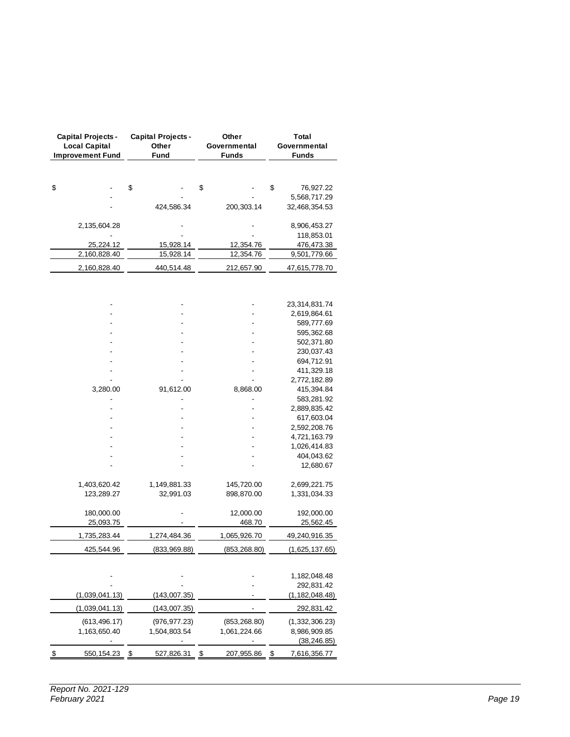| <b>Capital Projects -</b><br><b>Local Capital</b><br><b>Improvement Fund</b> |                | <b>Capital Projects -</b><br>Other<br><b>Fund</b> |    | Other<br>Governmental<br><b>Funds</b> | Total<br>Governmental<br><b>Funds</b> |  |
|------------------------------------------------------------------------------|----------------|---------------------------------------------------|----|---------------------------------------|---------------------------------------|--|
|                                                                              |                |                                                   |    |                                       |                                       |  |
|                                                                              |                |                                                   |    |                                       |                                       |  |
| \$                                                                           |                | \$                                                | \$ |                                       | \$<br>76,927.22                       |  |
|                                                                              |                |                                                   |    |                                       | 5,568,717.29                          |  |
|                                                                              |                | 424,586.34                                        |    | 200,303.14                            | 32,468,354.53                         |  |
|                                                                              | 2,135,604.28   |                                                   |    |                                       | 8,906,453.27                          |  |
|                                                                              |                |                                                   |    |                                       | 118,853.01                            |  |
|                                                                              | 25,224.12      | 15,928.14                                         |    | 12,354.76                             | 476, 473.38                           |  |
|                                                                              | 2,160,828.40   | 15,928.14                                         |    | 12,354.76                             | 9,501,779.66                          |  |
|                                                                              | 2,160,828.40   | 440,514.48                                        |    | 212,657.90                            | 47,615,778.70                         |  |
|                                                                              |                |                                                   |    |                                       |                                       |  |
|                                                                              |                |                                                   |    |                                       |                                       |  |
|                                                                              |                |                                                   |    |                                       | 23,314,831.74                         |  |
|                                                                              |                |                                                   |    |                                       | 2,619,864.61                          |  |
|                                                                              |                |                                                   |    |                                       | 589,777.69                            |  |
|                                                                              |                |                                                   |    |                                       | 595,362.68                            |  |
|                                                                              |                |                                                   |    |                                       | 502,371.80                            |  |
|                                                                              |                |                                                   |    |                                       | 230,037.43                            |  |
|                                                                              |                |                                                   |    |                                       | 694,712.91                            |  |
|                                                                              |                |                                                   |    |                                       | 411,329.18                            |  |
|                                                                              |                |                                                   |    |                                       | 2,772,182.89                          |  |
|                                                                              | 3,280.00       | 91,612.00                                         |    | 8,868.00                              | 415,394.84                            |  |
|                                                                              |                |                                                   |    |                                       | 583,281.92                            |  |
|                                                                              |                |                                                   |    |                                       | 2,889,835.42                          |  |
|                                                                              |                |                                                   |    |                                       | 617,603.04                            |  |
|                                                                              |                |                                                   |    |                                       | 2,592,208.76                          |  |
|                                                                              |                |                                                   |    |                                       | 4,721,163.79                          |  |
|                                                                              |                |                                                   |    |                                       | 1,026,414.83                          |  |
|                                                                              |                |                                                   |    |                                       | 404,043.62                            |  |
|                                                                              |                |                                                   |    |                                       | 12,680.67                             |  |
|                                                                              | 1,403,620.42   | 1,149,881.33                                      |    | 145,720.00                            | 2,699,221.75                          |  |
|                                                                              | 123,289.27     | 32,991.03                                         |    | 898,870.00                            | 1,331,034.33                          |  |
|                                                                              |                |                                                   |    |                                       |                                       |  |
|                                                                              | 180,000.00     |                                                   |    | 12,000.00                             | 192,000.00                            |  |
|                                                                              | 25,093.75      |                                                   |    | 468.70                                | 25,562.45                             |  |
|                                                                              | 1,735,283.44   | 1,274,484.36                                      |    | 1,065,926.70                          | 49,240,916.35                         |  |
|                                                                              | 425,544.96     | <u>(833,969.88)</u>                               |    | <u>(853,268.80)</u>                   | (1,625,137.65)                        |  |
|                                                                              |                |                                                   |    |                                       |                                       |  |
|                                                                              |                |                                                   |    |                                       | 1,182,048.48                          |  |
|                                                                              |                |                                                   |    |                                       | 292,831.42                            |  |
|                                                                              | (1,039,041.13) | (143,007.35)                                      |    |                                       | (1, 182, 048.48)                      |  |
|                                                                              | (1,039,041.13) | (143,007.35)                                      |    |                                       | 292,831.42                            |  |
|                                                                              | (613, 496.17)  | (976, 977.23)                                     |    | (853, 268.80)                         | (1,332,306.23)                        |  |
|                                                                              | 1,163,650.40   | 1,504,803.54                                      |    | 1,061,224.66                          | 8,986,909.85                          |  |
|                                                                              |                |                                                   |    |                                       | (38, 246.85)                          |  |
| \$                                                                           | 550, 154.23    | \$<br>527,826.31                                  | \$ | 207,955.86                            | \$<br>7,616,356.77                    |  |
|                                                                              |                |                                                   |    |                                       |                                       |  |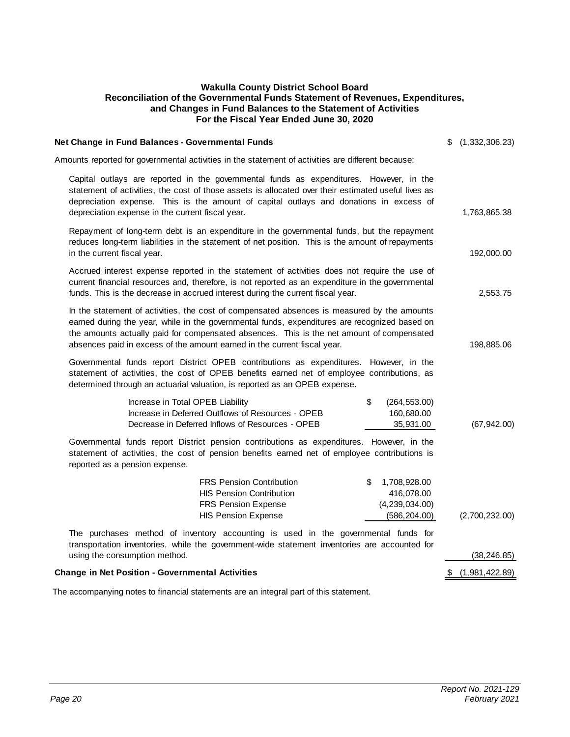#### <span id="page-25-1"></span>**Wakulla County District School Board Reconciliation of the Governmental Funds Statement of Revenues, Expenditures, and Changes in Fund Balances to the Statement of Activities For the Fiscal Year Ended June 30, 2020**

#### <span id="page-25-0"></span>**Net Change in Fund Balances - Governmental Funds 1.332,306.23 \$** (1,332,306.23) 1,763,865.38 192,000.00 2,553.75 198,885.06 Increase in Total OPEB Liability \$ (264,553.00) Increase in Deferred Outflows of Resources - OPEB 160,680.00 Decrease in Deferred Inflows of Resources - OPEB 35,931.00 (67,942.00) \$ 1,708,928.00 416,078.00 (4,239,034.00) (586,204.00) (2,700,232.00) (38,246.85) Amounts reported for governmental activities in the statement of activities are different because: Repayment of long-term debt is an expenditure in the governmental funds, but the repayment reduces long-term liabilities in the statement of net position. This is the amount of repayments in the current fiscal year. Accrued interest expense reported in the statement of activities does not require the use of current financial resources and, therefore, is not reported as an expenditure in the governmental funds. This is the decrease in accrued interest during the current fiscal year. The purchases method of inventory accounting is used in the governmental funds for transportation inventories, while the government-wide statement inventories are accounted for using the consumption method. Capital outlays are reported in the governmental funds as expenditures. However, in the statement of activities, the cost of those assets is allocated over their estimated useful lives as depreciation expense. This is the amount of capital outlays and donations in excess of depreciation expense in the current fiscal year. In the statement of activities, the cost of compensated absences is measured by the amounts earned during the year, while in the governmental funds, expenditures are recognized based on the amounts actually paid for compensated absences. This is the net amount of compensated absences paid in excess of the amount earned in the current fiscal year. Governmental funds report District pension contributions as expenditures. However, in the statement of activities, the cost of pension benefits earned net of employee contributions is reported as a pension expense. FRS Pension Contribution HIS Pension Contribution FRS Pension Expense HIS Pension Expense Governmental funds report District OPEB contributions as expenditures. However, in the statement of activities, the cost of OPEB benefits earned net of employee contributions, as determined through an actuarial valuation, is reported as an OPEB expense.

#### **Change in Net Position - Governmental Activities 6 and 1998 10 and 1998 10 and 1998 1,981,422.89)**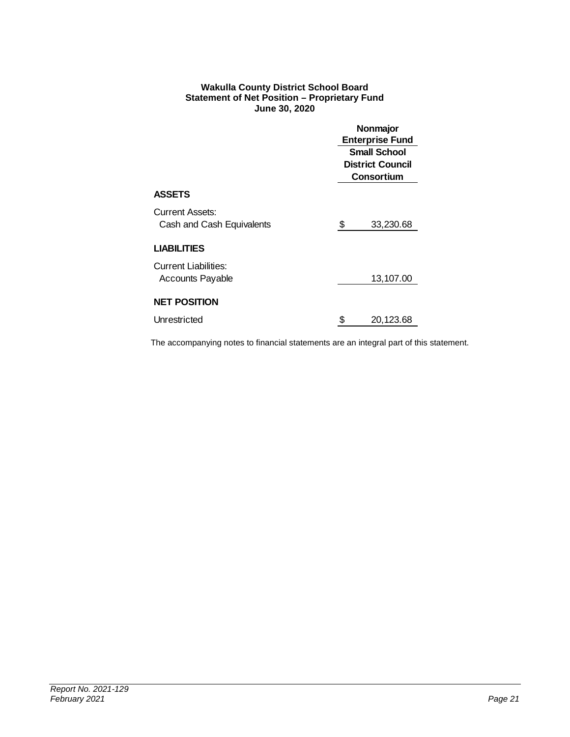#### **Wakulla County District School Board Statement of Net Position – Proprietary Fund June 30, 2020**

<span id="page-26-1"></span><span id="page-26-0"></span>

|                             |    | Nonmajor<br><b>Enterprise Fund</b><br><b>Small School</b><br><b>District Council</b><br><b>Consortium</b> |  |
|-----------------------------|----|-----------------------------------------------------------------------------------------------------------|--|
|                             |    |                                                                                                           |  |
|                             |    |                                                                                                           |  |
|                             |    |                                                                                                           |  |
| <b>ASSETS</b>               |    |                                                                                                           |  |
| <b>Current Assets:</b>      |    |                                                                                                           |  |
| Cash and Cash Equivalents   | \$ | 33,230.68                                                                                                 |  |
| <b>LIABILITIES</b>          |    |                                                                                                           |  |
| <b>Current Liabilities:</b> |    |                                                                                                           |  |
| <b>Accounts Payable</b>     |    | 13,107.00                                                                                                 |  |
| <b>NET POSITION</b>         |    |                                                                                                           |  |
| Unrestricted                |    | 20,123.68                                                                                                 |  |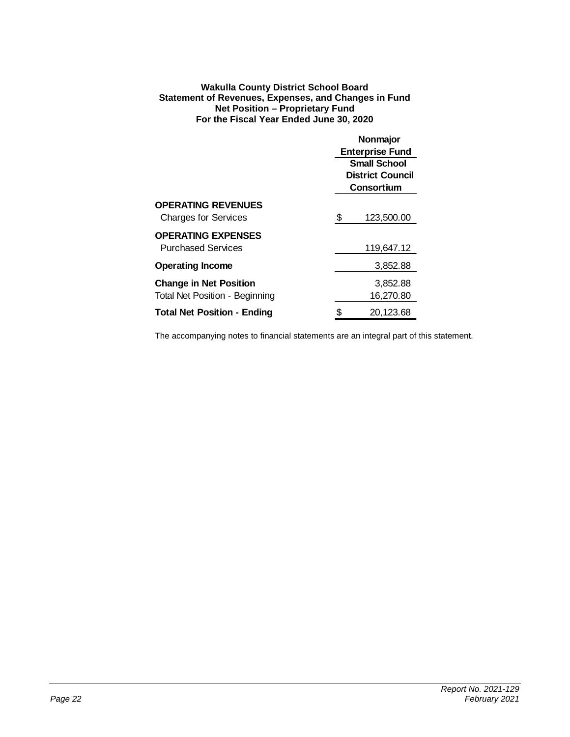#### <span id="page-27-1"></span><span id="page-27-0"></span>**Wakulla County District School Board Statement of Revenues, Expenses, and Changes in Fund Net Position – Proprietary Fund For the Fiscal Year Ended June 30, 2020**

|                                       |    | Nonmajor                                      |  |  |
|---------------------------------------|----|-----------------------------------------------|--|--|
|                                       |    | <b>Enterprise Fund</b><br><b>Small School</b> |  |  |
|                                       |    |                                               |  |  |
|                                       |    | <b>District Council</b><br>Consortium         |  |  |
|                                       |    |                                               |  |  |
| <b>OPERATING REVENUES</b>             |    |                                               |  |  |
| <b>Charges for Services</b>           | \$ | 123,500.00                                    |  |  |
| <b>OPERATING EXPENSES</b>             |    |                                               |  |  |
| <b>Purchased Services</b>             |    | 119,647.12                                    |  |  |
| <b>Operating Income</b>               |    | 3,852.88                                      |  |  |
| <b>Change in Net Position</b>         |    | 3,852.88                                      |  |  |
| <b>Total Net Position - Beginning</b> |    | 16,270.80                                     |  |  |
| <b>Total Net Position - Ending</b>    | \$ | 20,123.68                                     |  |  |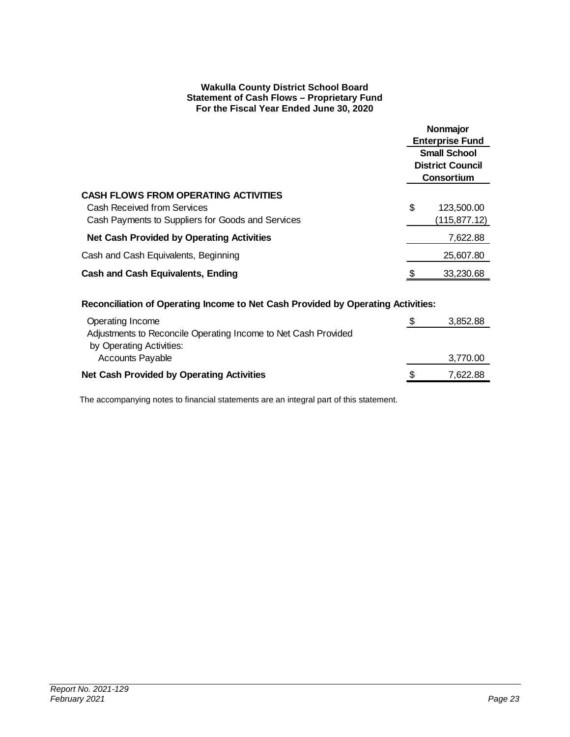#### **Wakulla County District School Board Statement of Cash Flows – Proprietary Fund For the Fiscal Year Ended June 30, 2020**

<span id="page-28-1"></span><span id="page-28-0"></span>

|                                                                                  | Nonmajor<br><b>Enterprise Fund</b><br><b>Small School</b><br><b>District Council</b><br><b>Consortium</b> |               |
|----------------------------------------------------------------------------------|-----------------------------------------------------------------------------------------------------------|---------------|
|                                                                                  |                                                                                                           |               |
| <b>CASH FLOWS FROM OPERATING ACTIVITIES</b>                                      |                                                                                                           |               |
| Cash Received from Services                                                      | \$                                                                                                        | 123,500.00    |
| Cash Payments to Suppliers for Goods and Services                                |                                                                                                           | (115, 877.12) |
| <b>Net Cash Provided by Operating Activities</b>                                 |                                                                                                           | 7,622.88      |
| Cash and Cash Equivalents, Beginning                                             |                                                                                                           | 25,607.80     |
| <b>Cash and Cash Equivalents, Ending</b>                                         |                                                                                                           | 33,230.68     |
| Reconciliation of Operating Income to Net Cash Provided by Operating Activities: |                                                                                                           |               |

| Operating Income                                               | 3,852.88 |
|----------------------------------------------------------------|----------|
| Adjustments to Reconcile Operating Income to Net Cash Provided |          |
| by Operating Activities:                                       |          |
| <b>Accounts Payable</b>                                        | 3,770.00 |
| <b>Net Cash Provided by Operating Activities</b>               | 7.622.88 |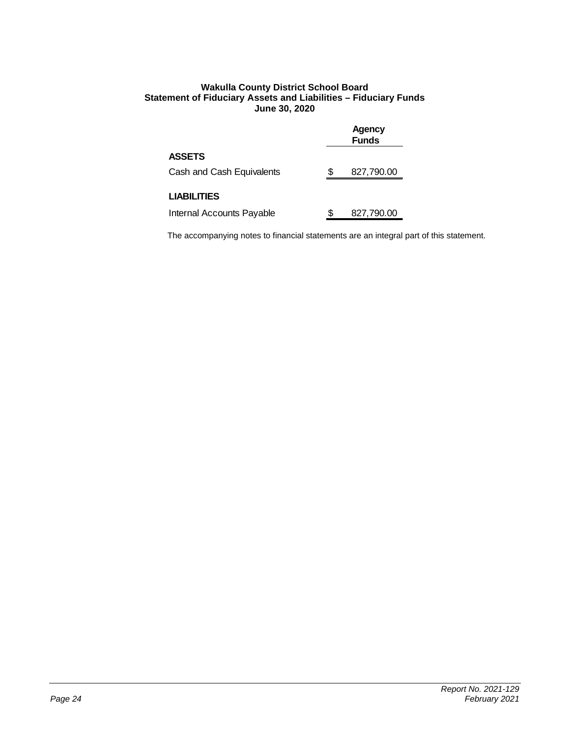#### <span id="page-29-1"></span><span id="page-29-0"></span>**Wakulla County District School Board Statement of Fiduciary Assets and Liabilities – Fiduciary Funds June 30, 2020**

|                           |   | <b>Agency</b><br><b>Funds</b> |
|---------------------------|---|-------------------------------|
| <b>ASSETS</b>             |   |                               |
| Cash and Cash Equivalents |   | 827,790.00                    |
| <b>LIABILITIES</b>        |   |                               |
| Internal Accounts Payable | S | 827,790.00                    |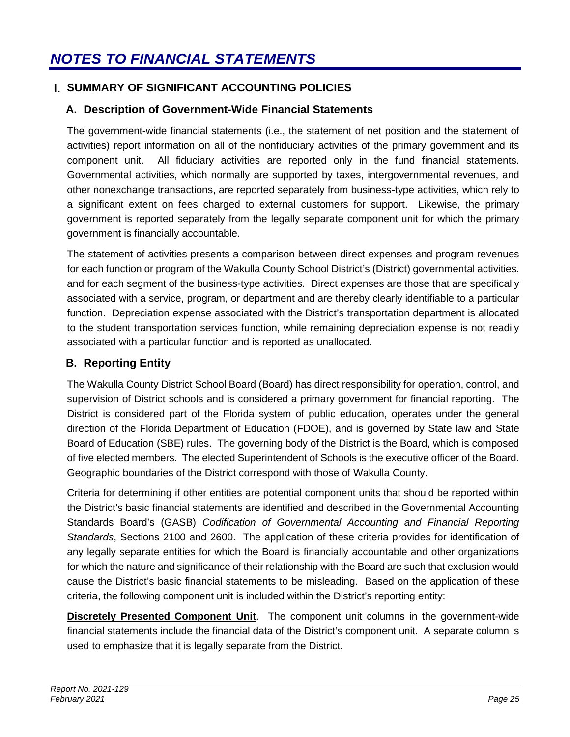## <span id="page-30-1"></span><span id="page-30-0"></span>**SUMMARY OF SIGNIFICANT ACCOUNTING POLICIES**

## **A. Description of Government-Wide Financial Statements**

The government-wide financial statements (i.e., the statement of net position and the statement of activities) report information on all of the nonfiduciary activities of the primary government and its component unit. All fiduciary activities are reported only in the fund financial statements. Governmental activities, which normally are supported by taxes, intergovernmental revenues, and other nonexchange transactions, are reported separately from business-type activities, which rely to a significant extent on fees charged to external customers for support. Likewise, the primary government is reported separately from the legally separate component unit for which the primary government is financially accountable.

The statement of activities presents a comparison between direct expenses and program revenues for each function or program of the Wakulla County School District's (District) governmental activities. and for each segment of the business-type activities. Direct expenses are those that are specifically associated with a service, program, or department and are thereby clearly identifiable to a particular function. Depreciation expense associated with the District's transportation department is allocated to the student transportation services function, while remaining depreciation expense is not readily associated with a particular function and is reported as unallocated.

## **B. Reporting Entity**

The Wakulla County District School Board (Board) has direct responsibility for operation, control, and supervision of District schools and is considered a primary government for financial reporting. The District is considered part of the Florida system of public education, operates under the general direction of the Florida Department of Education (FDOE), and is governed by State law and State Board of Education (SBE) rules. The governing body of the District is the Board, which is composed of five elected members. The elected Superintendent of Schools is the executive officer of the Board. Geographic boundaries of the District correspond with those of Wakulla County.

Criteria for determining if other entities are potential component units that should be reported within the District's basic financial statements are identified and described in the Governmental Accounting Standards Board's (GASB) *Codification of Governmental Accounting and Financial Reporting Standards*, Sections 2100 and 2600. The application of these criteria provides for identification of any legally separate entities for which the Board is financially accountable and other organizations for which the nature and significance of their relationship with the Board are such that exclusion would cause the District's basic financial statements to be misleading. Based on the application of these criteria, the following component unit is included within the District's reporting entity:

**Discretely Presented Component Unit**. The component unit columns in the government-wide financial statements include the financial data of the District's component unit. A separate column is used to emphasize that it is legally separate from the District.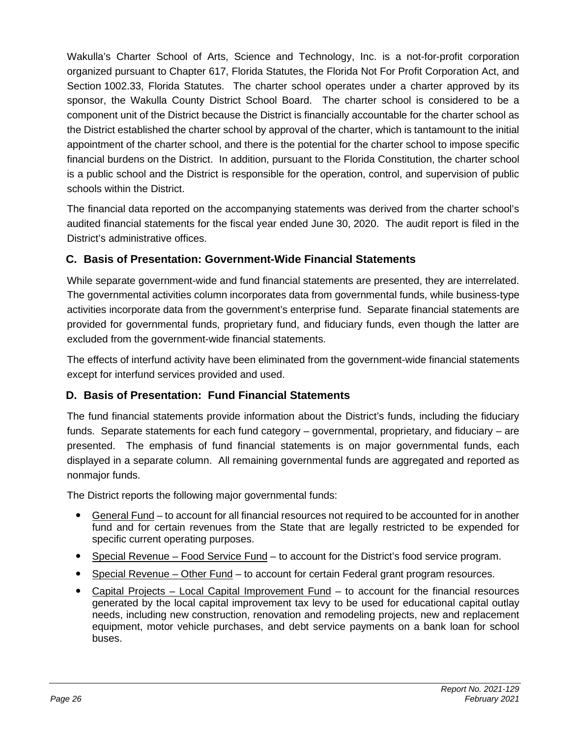Wakulla's Charter School of Arts, Science and Technology, Inc. is a not-for-profit corporation organized pursuant to Chapter 617, Florida Statutes, the Florida Not For Profit Corporation Act, and Section 1002.33, Florida Statutes. The charter school operates under a charter approved by its sponsor, the Wakulla County District School Board. The charter school is considered to be a component unit of the District because the District is financially accountable for the charter school as the District established the charter school by approval of the charter, which is tantamount to the initial appointment of the charter school, and there is the potential for the charter school to impose specific financial burdens on the District. In addition, pursuant to the Florida Constitution, the charter school is a public school and the District is responsible for the operation, control, and supervision of public schools within the District.

The financial data reported on the accompanying statements was derived from the charter school's audited financial statements for the fiscal year ended June 30, 2020. The audit report is filed in the District's administrative offices.

## **C. Basis of Presentation: Government-Wide Financial Statements**

While separate government-wide and fund financial statements are presented, they are interrelated. The governmental activities column incorporates data from governmental funds, while business-type activities incorporate data from the government's enterprise fund. Separate financial statements are provided for governmental funds, proprietary fund, and fiduciary funds, even though the latter are excluded from the government-wide financial statements.

The effects of interfund activity have been eliminated from the government-wide financial statements except for interfund services provided and used.

# **D. Basis of Presentation: Fund Financial Statements**

The fund financial statements provide information about the District's funds, including the fiduciary funds. Separate statements for each fund category – governmental, proprietary, and fiduciary – are presented. The emphasis of fund financial statements is on major governmental funds, each displayed in a separate column. All remaining governmental funds are aggregated and reported as nonmajor funds.

The District reports the following major governmental funds:

- General Fund to account for all financial resources not required to be accounted for in another fund and for certain revenues from the State that are legally restricted to be expended for specific current operating purposes.
- Special Revenue Food Service Fund to account for the District's food service program.
- Special Revenue Other Fund to account for certain Federal grant program resources.
- Capital Projects Local Capital Improvement Fund to account for the financial resources generated by the local capital improvement tax levy to be used for educational capital outlay needs, including new construction, renovation and remodeling projects, new and replacement equipment, motor vehicle purchases, and debt service payments on a bank loan for school buses.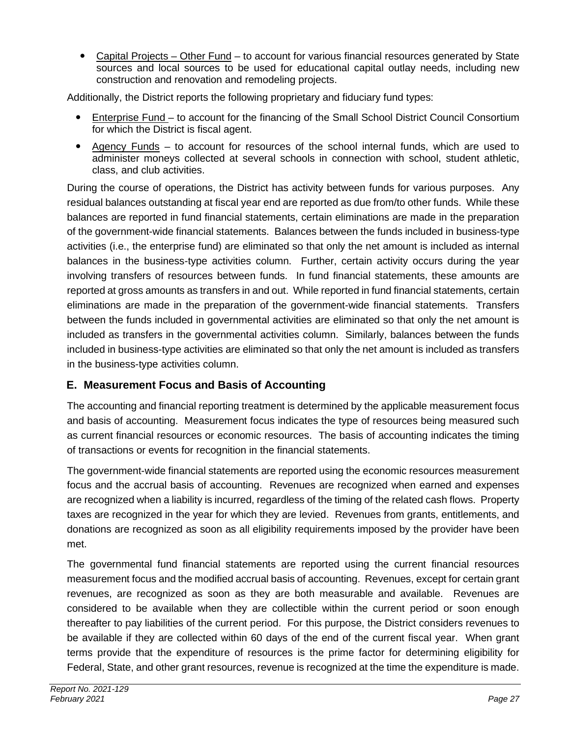Capital Projects – Other Fund – to account for various financial resources generated by State sources and local sources to be used for educational capital outlay needs, including new construction and renovation and remodeling projects.

Additionally, the District reports the following proprietary and fiduciary fund types:

- Enterprise Fund to account for the financing of the Small School District Council Consortium for which the District is fiscal agent.
- Agency Funds to account for resources of the school internal funds, which are used to administer moneys collected at several schools in connection with school, student athletic, class, and club activities.

During the course of operations, the District has activity between funds for various purposes. Any residual balances outstanding at fiscal year end are reported as due from/to other funds. While these balances are reported in fund financial statements, certain eliminations are made in the preparation of the government-wide financial statements. Balances between the funds included in business-type activities (i.e., the enterprise fund) are eliminated so that only the net amount is included as internal balances in the business-type activities column. Further, certain activity occurs during the year involving transfers of resources between funds. In fund financial statements, these amounts are reported at gross amounts as transfers in and out. While reported in fund financial statements, certain eliminations are made in the preparation of the government-wide financial statements. Transfers between the funds included in governmental activities are eliminated so that only the net amount is included as transfers in the governmental activities column. Similarly, balances between the funds included in business-type activities are eliminated so that only the net amount is included as transfers in the business-type activities column.

# **E. Measurement Focus and Basis of Accounting**

The accounting and financial reporting treatment is determined by the applicable measurement focus and basis of accounting. Measurement focus indicates the type of resources being measured such as current financial resources or economic resources. The basis of accounting indicates the timing of transactions or events for recognition in the financial statements.

The government-wide financial statements are reported using the economic resources measurement focus and the accrual basis of accounting. Revenues are recognized when earned and expenses are recognized when a liability is incurred, regardless of the timing of the related cash flows. Property taxes are recognized in the year for which they are levied. Revenues from grants, entitlements, and donations are recognized as soon as all eligibility requirements imposed by the provider have been met.

The governmental fund financial statements are reported using the current financial resources measurement focus and the modified accrual basis of accounting. Revenues, except for certain grant revenues, are recognized as soon as they are both measurable and available. Revenues are considered to be available when they are collectible within the current period or soon enough thereafter to pay liabilities of the current period. For this purpose, the District considers revenues to be available if they are collected within 60 days of the end of the current fiscal year. When grant terms provide that the expenditure of resources is the prime factor for determining eligibility for Federal, State, and other grant resources, revenue is recognized at the time the expenditure is made.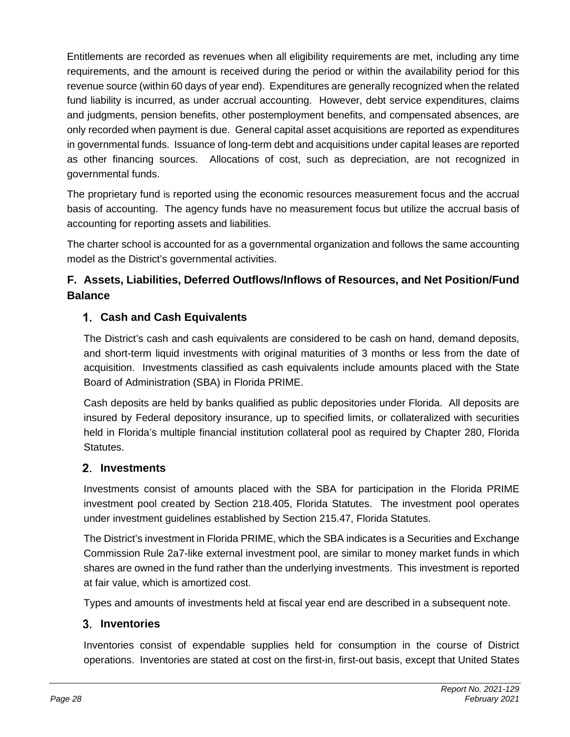Entitlements are recorded as revenues when all eligibility requirements are met, including any time requirements, and the amount is received during the period or within the availability period for this revenue source (within 60 days of year end). Expenditures are generally recognized when the related fund liability is incurred, as under accrual accounting. However, debt service expenditures, claims and judgments, pension benefits, other postemployment benefits, and compensated absences, are only recorded when payment is due. General capital asset acquisitions are reported as expenditures in governmental funds. Issuance of long-term debt and acquisitions under capital leases are reported as other financing sources. Allocations of cost, such as depreciation, are not recognized in governmental funds.

The proprietary fund is reported using the economic resources measurement focus and the accrual basis of accounting. The agency funds have no measurement focus but utilize the accrual basis of accounting for reporting assets and liabilities.

The charter school is accounted for as a governmental organization and follows the same accounting model as the District's governmental activities.

# **F. Assets, Liabilities, Deferred Outflows/Inflows of Resources, and Net Position/Fund Balance**

# **Cash and Cash Equivalents**

The District's cash and cash equivalents are considered to be cash on hand, demand deposits, and short-term liquid investments with original maturities of 3 months or less from the date of acquisition. Investments classified as cash equivalents include amounts placed with the State Board of Administration (SBA) in Florida PRIME.

Cash deposits are held by banks qualified as public depositories under Florida. All deposits are insured by Federal depository insurance, up to specified limits, or collateralized with securities held in Florida's multiple financial institution collateral pool as required by Chapter 280, Florida Statutes.

## **Investments**

Investments consist of amounts placed with the SBA for participation in the Florida PRIME investment pool created by Section 218.405, Florida Statutes. The investment pool operates under investment guidelines established by Section 215.47, Florida Statutes.

The District's investment in Florida PRIME, which the SBA indicates is a Securities and Exchange Commission Rule 2a7-like external investment pool, are similar to money market funds in which shares are owned in the fund rather than the underlying investments. This investment is reported at fair value, which is amortized cost.

Types and amounts of investments held at fiscal year end are described in a subsequent note.

## **Inventories**

Inventories consist of expendable supplies held for consumption in the course of District operations. Inventories are stated at cost on the first-in, first-out basis, except that United States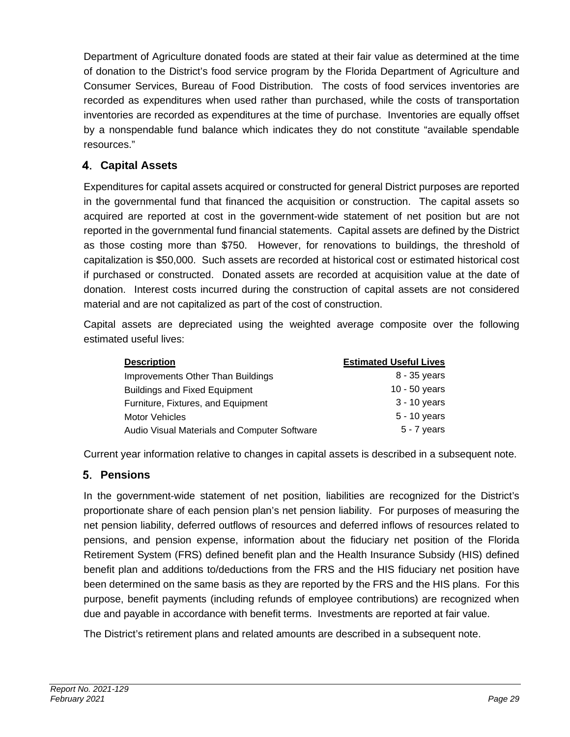Department of Agriculture donated foods are stated at their fair value as determined at the time of donation to the District's food service program by the Florida Department of Agriculture and Consumer Services, Bureau of Food Distribution. The costs of food services inventories are recorded as expenditures when used rather than purchased, while the costs of transportation inventories are recorded as expenditures at the time of purchase. Inventories are equally offset by a nonspendable fund balance which indicates they do not constitute "available spendable resources."

# **Capital Assets**

Expenditures for capital assets acquired or constructed for general District purposes are reported in the governmental fund that financed the acquisition or construction. The capital assets so acquired are reported at cost in the government-wide statement of net position but are not reported in the governmental fund financial statements. Capital assets are defined by the District as those costing more than \$750. However, for renovations to buildings, the threshold of capitalization is \$50,000. Such assets are recorded at historical cost or estimated historical cost if purchased or constructed. Donated assets are recorded at acquisition value at the date of donation. Interest costs incurred during the construction of capital assets are not considered material and are not capitalized as part of the cost of construction.

Capital assets are depreciated using the weighted average composite over the following estimated useful lives:

| <b>Description</b>                           | <b>Estimated Useful Lives</b> |
|----------------------------------------------|-------------------------------|
| Improvements Other Than Buildings            | 8 - 35 years                  |
| <b>Buildings and Fixed Equipment</b>         | 10 - 50 years                 |
| Furniture, Fixtures, and Equipment           | 3 - 10 years                  |
| <b>Motor Vehicles</b>                        | 5 - 10 years                  |
| Audio Visual Materials and Computer Software | $5 - 7$ years                 |

Current year information relative to changes in capital assets is described in a subsequent note.

# **Pensions**

In the government-wide statement of net position, liabilities are recognized for the District's proportionate share of each pension plan's net pension liability. For purposes of measuring the net pension liability, deferred outflows of resources and deferred inflows of resources related to pensions, and pension expense, information about the fiduciary net position of the Florida Retirement System (FRS) defined benefit plan and the Health Insurance Subsidy (HIS) defined benefit plan and additions to/deductions from the FRS and the HIS fiduciary net position have been determined on the same basis as they are reported by the FRS and the HIS plans. For this purpose, benefit payments (including refunds of employee contributions) are recognized when due and payable in accordance with benefit terms. Investments are reported at fair value.

The District's retirement plans and related amounts are described in a subsequent note.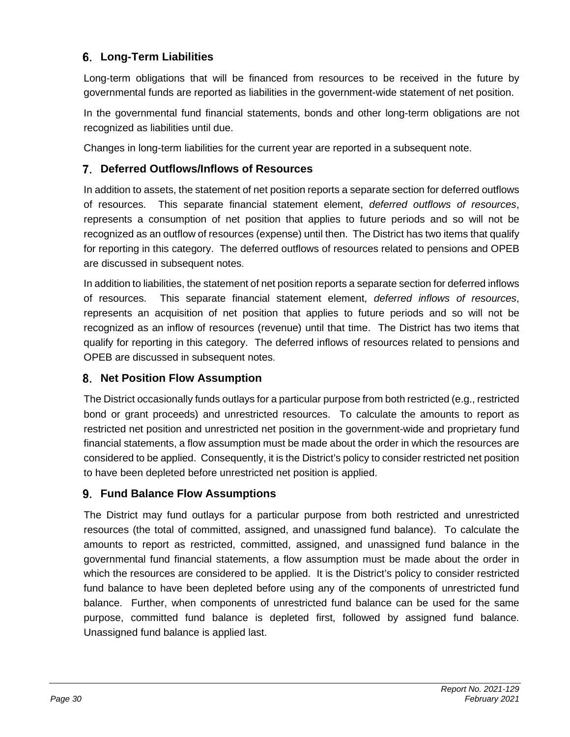# **Long-Term Liabilities**

Long-term obligations that will be financed from resources to be received in the future by governmental funds are reported as liabilities in the government-wide statement of net position.

In the governmental fund financial statements, bonds and other long-term obligations are not recognized as liabilities until due.

Changes in long-term liabilities for the current year are reported in a subsequent note.

## **Deferred Outflows/Inflows of Resources**

In addition to assets, the statement of net position reports a separate section for deferred outflows of resources. This separate financial statement element, *deferred outflows of resources*, represents a consumption of net position that applies to future periods and so will not be recognized as an outflow of resources (expense) until then. The District has two items that qualify for reporting in this category. The deferred outflows of resources related to pensions and OPEB are discussed in subsequent notes.

In addition to liabilities, the statement of net position reports a separate section for deferred inflows of resources. This separate financial statement element, *deferred inflows of resources*, represents an acquisition of net position that applies to future periods and so will not be recognized as an inflow of resources (revenue) until that time. The District has two items that qualify for reporting in this category. The deferred inflows of resources related to pensions and OPEB are discussed in subsequent notes.

## **Net Position Flow Assumption**

The District occasionally funds outlays for a particular purpose from both restricted (e.g., restricted bond or grant proceeds) and unrestricted resources. To calculate the amounts to report as restricted net position and unrestricted net position in the government-wide and proprietary fund financial statements, a flow assumption must be made about the order in which the resources are considered to be applied. Consequently, it is the District's policy to consider restricted net position to have been depleted before unrestricted net position is applied.

## **Fund Balance Flow Assumptions**

The District may fund outlays for a particular purpose from both restricted and unrestricted resources (the total of committed, assigned, and unassigned fund balance). To calculate the amounts to report as restricted, committed, assigned, and unassigned fund balance in the governmental fund financial statements, a flow assumption must be made about the order in which the resources are considered to be applied. It is the District's policy to consider restricted fund balance to have been depleted before using any of the components of unrestricted fund balance. Further, when components of unrestricted fund balance can be used for the same purpose, committed fund balance is depleted first, followed by assigned fund balance. Unassigned fund balance is applied last.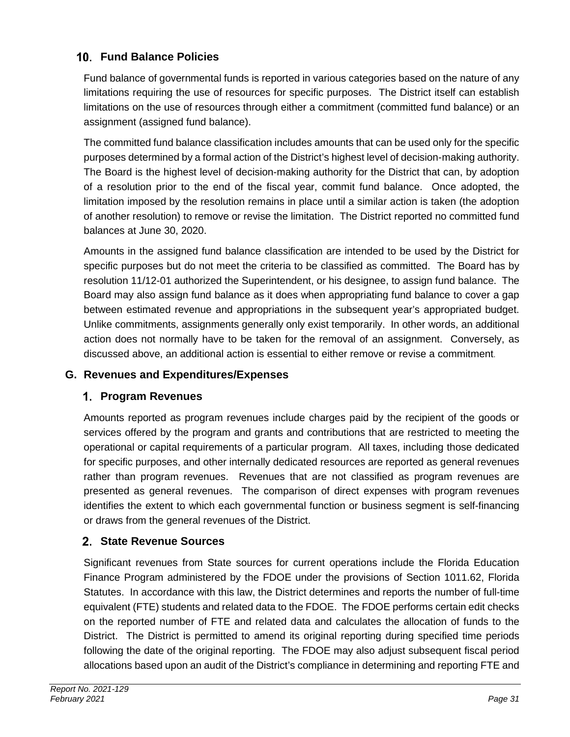## **Fund Balance Policies**

Fund balance of governmental funds is reported in various categories based on the nature of any limitations requiring the use of resources for specific purposes. The District itself can establish limitations on the use of resources through either a commitment (committed fund balance) or an assignment (assigned fund balance).

The committed fund balance classification includes amounts that can be used only for the specific purposes determined by a formal action of the District's highest level of decision-making authority. The Board is the highest level of decision-making authority for the District that can, by adoption of a resolution prior to the end of the fiscal year, commit fund balance. Once adopted, the limitation imposed by the resolution remains in place until a similar action is taken (the adoption of another resolution) to remove or revise the limitation. The District reported no committed fund balances at June 30, 2020.

Amounts in the assigned fund balance classification are intended to be used by the District for specific purposes but do not meet the criteria to be classified as committed. The Board has by resolution 11/12-01 authorized the Superintendent, or his designee, to assign fund balance. The Board may also assign fund balance as it does when appropriating fund balance to cover a gap between estimated revenue and appropriations in the subsequent year's appropriated budget. Unlike commitments, assignments generally only exist temporarily. In other words, an additional action does not normally have to be taken for the removal of an assignment. Conversely, as discussed above, an additional action is essential to either remove or revise a commitment.

## **G. Revenues and Expenditures/Expenses**

## **Program Revenues**

Amounts reported as program revenues include charges paid by the recipient of the goods or services offered by the program and grants and contributions that are restricted to meeting the operational or capital requirements of a particular program. All taxes, including those dedicated for specific purposes, and other internally dedicated resources are reported as general revenues rather than program revenues. Revenues that are not classified as program revenues are presented as general revenues. The comparison of direct expenses with program revenues identifies the extent to which each governmental function or business segment is self-financing or draws from the general revenues of the District.

## **State Revenue Sources**

Significant revenues from State sources for current operations include the Florida Education Finance Program administered by the FDOE under the provisions of Section 1011.62, Florida Statutes. In accordance with this law, the District determines and reports the number of full-time equivalent (FTE) students and related data to the FDOE. The FDOE performs certain edit checks on the reported number of FTE and related data and calculates the allocation of funds to the District. The District is permitted to amend its original reporting during specified time periods following the date of the original reporting. The FDOE may also adjust subsequent fiscal period allocations based upon an audit of the District's compliance in determining and reporting FTE and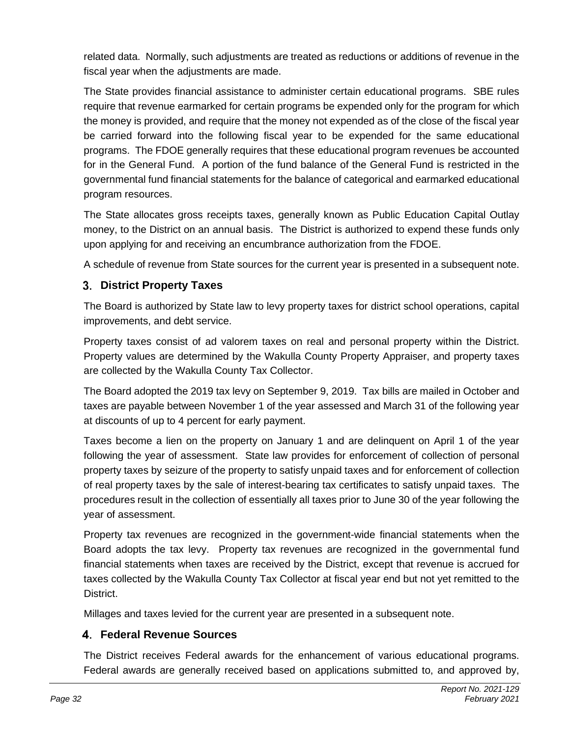related data. Normally, such adjustments are treated as reductions or additions of revenue in the fiscal year when the adjustments are made.

The State provides financial assistance to administer certain educational programs. SBE rules require that revenue earmarked for certain programs be expended only for the program for which the money is provided, and require that the money not expended as of the close of the fiscal year be carried forward into the following fiscal year to be expended for the same educational programs. The FDOE generally requires that these educational program revenues be accounted for in the General Fund. A portion of the fund balance of the General Fund is restricted in the governmental fund financial statements for the balance of categorical and earmarked educational program resources.

The State allocates gross receipts taxes, generally known as Public Education Capital Outlay money, to the District on an annual basis. The District is authorized to expend these funds only upon applying for and receiving an encumbrance authorization from the FDOE.

A schedule of revenue from State sources for the current year is presented in a subsequent note.

## **District Property Taxes**

The Board is authorized by State law to levy property taxes for district school operations, capital improvements, and debt service.

Property taxes consist of ad valorem taxes on real and personal property within the District. Property values are determined by the Wakulla County Property Appraiser, and property taxes are collected by the Wakulla County Tax Collector.

The Board adopted the 2019 tax levy on September 9, 2019. Tax bills are mailed in October and taxes are payable between November 1 of the year assessed and March 31 of the following year at discounts of up to 4 percent for early payment.

Taxes become a lien on the property on January 1 and are delinquent on April 1 of the year following the year of assessment. State law provides for enforcement of collection of personal property taxes by seizure of the property to satisfy unpaid taxes and for enforcement of collection of real property taxes by the sale of interest-bearing tax certificates to satisfy unpaid taxes. The procedures result in the collection of essentially all taxes prior to June 30 of the year following the year of assessment.

Property tax revenues are recognized in the government-wide financial statements when the Board adopts the tax levy. Property tax revenues are recognized in the governmental fund financial statements when taxes are received by the District, except that revenue is accrued for taxes collected by the Wakulla County Tax Collector at fiscal year end but not yet remitted to the District.

Millages and taxes levied for the current year are presented in a subsequent note.

## **Federal Revenue Sources**

The District receives Federal awards for the enhancement of various educational programs. Federal awards are generally received based on applications submitted to, and approved by,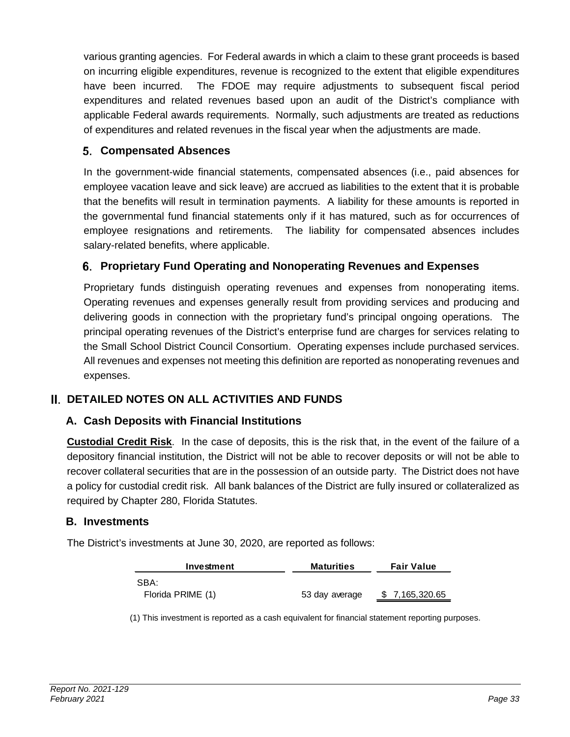various granting agencies. For Federal awards in which a claim to these grant proceeds is based on incurring eligible expenditures, revenue is recognized to the extent that eligible expenditures have been incurred. The FDOE may require adjustments to subsequent fiscal period expenditures and related revenues based upon an audit of the District's compliance with applicable Federal awards requirements. Normally, such adjustments are treated as reductions of expenditures and related revenues in the fiscal year when the adjustments are made.

## **Compensated Absences**

In the government-wide financial statements, compensated absences (i.e., paid absences for employee vacation leave and sick leave) are accrued as liabilities to the extent that it is probable that the benefits will result in termination payments. A liability for these amounts is reported in the governmental fund financial statements only if it has matured, such as for occurrences of employee resignations and retirements. The liability for compensated absences includes salary-related benefits, where applicable.

## **Proprietary Fund Operating and Nonoperating Revenues and Expenses**

Proprietary funds distinguish operating revenues and expenses from nonoperating items. Operating revenues and expenses generally result from providing services and producing and delivering goods in connection with the proprietary fund's principal ongoing operations. The principal operating revenues of the District's enterprise fund are charges for services relating to the Small School District Council Consortium. Operating expenses include purchased services. All revenues and expenses not meeting this definition are reported as nonoperating revenues and expenses.

## **DETAILED NOTES ON ALL ACTIVITIES AND FUNDS**

## **A. Cash Deposits with Financial Institutions**

**Custodial Credit Risk**. In the case of deposits, this is the risk that, in the event of the failure of a depository financial institution, the District will not be able to recover deposits or will not be able to recover collateral securities that are in the possession of an outside party. The District does not have a policy for custodial credit risk. All bank balances of the District are fully insured or collateralized as required by Chapter 280, Florida Statutes.

## **B. Investments**

The District's investments at June 30, 2020, are reported as follows:

| Investment        | <b>Maturities</b> | <b>Fair Value</b> |
|-------------------|-------------------|-------------------|
| SBA:              |                   |                   |
| Florida PRIME (1) | 53 day average    | \$7,165,320.65    |

(1) This investment is reported as a cash equivalent for financial statement reporting purposes.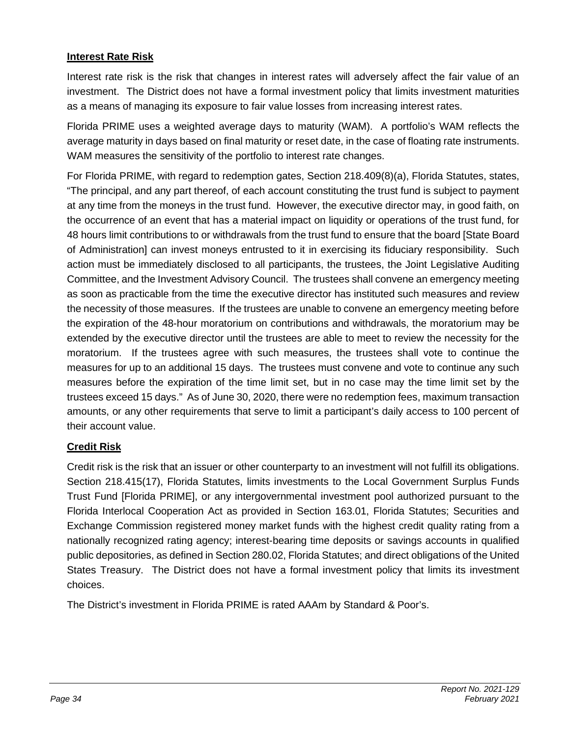## **Interest Rate Risk**

Interest rate risk is the risk that changes in interest rates will adversely affect the fair value of an investment. The District does not have a formal investment policy that limits investment maturities as a means of managing its exposure to fair value losses from increasing interest rates.

Florida PRIME uses a weighted average days to maturity (WAM). A portfolio's WAM reflects the average maturity in days based on final maturity or reset date, in the case of floating rate instruments. WAM measures the sensitivity of the portfolio to interest rate changes.

For Florida PRIME, with regard to redemption gates, Section 218.409(8)(a), Florida Statutes, states, "The principal, and any part thereof, of each account constituting the trust fund is subject to payment at any time from the moneys in the trust fund. However, the executive director may, in good faith, on the occurrence of an event that has a material impact on liquidity or operations of the trust fund, for 48 hours limit contributions to or withdrawals from the trust fund to ensure that the board [State Board of Administration] can invest moneys entrusted to it in exercising its fiduciary responsibility. Such action must be immediately disclosed to all participants, the trustees, the Joint Legislative Auditing Committee, and the Investment Advisory Council. The trustees shall convene an emergency meeting as soon as practicable from the time the executive director has instituted such measures and review the necessity of those measures. If the trustees are unable to convene an emergency meeting before the expiration of the 48-hour moratorium on contributions and withdrawals, the moratorium may be extended by the executive director until the trustees are able to meet to review the necessity for the moratorium. If the trustees agree with such measures, the trustees shall vote to continue the measures for up to an additional 15 days. The trustees must convene and vote to continue any such measures before the expiration of the time limit set, but in no case may the time limit set by the trustees exceed 15 days." As of June 30, 2020, there were no redemption fees, maximum transaction amounts, or any other requirements that serve to limit a participant's daily access to 100 percent of their account value.

## **Credit Risk**

Credit risk is the risk that an issuer or other counterparty to an investment will not fulfill its obligations. Section 218.415(17), Florida Statutes, limits investments to the Local Government Surplus Funds Trust Fund [Florida PRIME], or any intergovernmental investment pool authorized pursuant to the Florida Interlocal Cooperation Act as provided in Section 163.01, Florida Statutes; Securities and Exchange Commission registered money market funds with the highest credit quality rating from a nationally recognized rating agency; interest-bearing time deposits or savings accounts in qualified public depositories, as defined in Section 280.02, Florida Statutes; and direct obligations of the United States Treasury. The District does not have a formal investment policy that limits its investment choices.

The District's investment in Florida PRIME is rated AAAm by Standard & Poor's.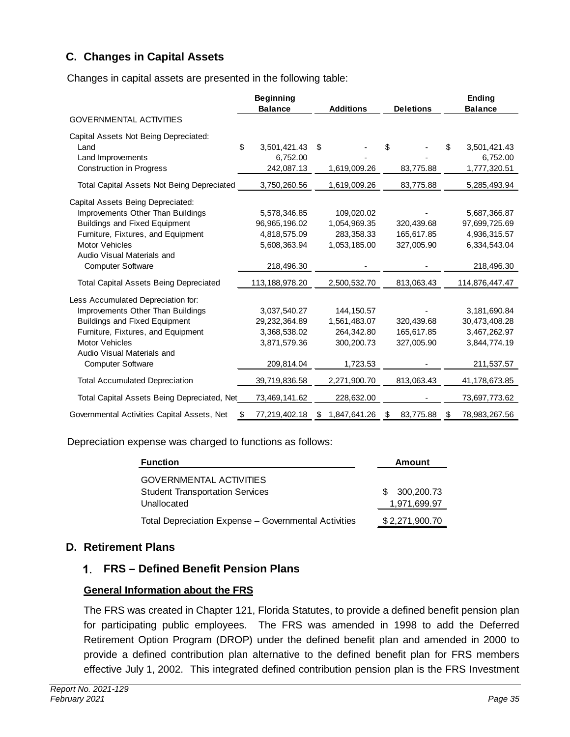## **C. Changes in Capital Assets**

Changes in capital assets are presented in the following table:

|                                                                                                                                                                                                                                                                                                                           | <b>Beginning</b><br><b>Balance</b>                                                                              | <b>Additions</b>                                                                                 | <b>Deletions</b>                                     | <b>Ending</b><br><b>Balance</b>                                                                               |
|---------------------------------------------------------------------------------------------------------------------------------------------------------------------------------------------------------------------------------------------------------------------------------------------------------------------------|-----------------------------------------------------------------------------------------------------------------|--------------------------------------------------------------------------------------------------|------------------------------------------------------|---------------------------------------------------------------------------------------------------------------|
| <b>GOVERNMENTAL ACTIVITIES</b>                                                                                                                                                                                                                                                                                            |                                                                                                                 |                                                                                                  |                                                      |                                                                                                               |
| Capital Assets Not Being Depreciated:<br>Land<br>Land Improvements<br><b>Construction in Progress</b>                                                                                                                                                                                                                     | \$<br>3,501,421.43<br>6,752.00<br>242,087.13                                                                    | \$<br>1,619,009.26                                                                               | \$<br>83,775.88                                      | \$<br>3,501,421.43<br>6,752.00<br>1,777,320.51                                                                |
| <b>Total Capital Assets Not Being Depreciated</b>                                                                                                                                                                                                                                                                         | 3,750,260.56                                                                                                    | 1,619,009.26                                                                                     | 83,775.88                                            | 5,285,493.94                                                                                                  |
| Capital Assets Being Depreciated:<br>Improvements Other Than Buildings<br><b>Buildings and Fixed Equipment</b><br>Furniture, Fixtures, and Equipment<br><b>Motor Vehicles</b><br>Audio Visual Materials and<br><b>Computer Software</b><br><b>Total Capital Assets Being Depreciated</b>                                  | 5,578,346.85<br>96, 965, 196.02<br>4,818,575.09<br>5,608,363.94<br>218,496.30<br>113, 188, 978. 20              | 109,020.02<br>1,054,969.35<br>283,358.33<br>1,053,185.00<br>2,500,532.70                         | 320.439.68<br>165,617.85<br>327,005.90<br>813,063.43 | 5,687,366.87<br>97,699,725.69<br>4,936,315.57<br>6,334,543.04<br>218,496.30<br>114,876,447.47                 |
| Less Accumulated Depreciation for:<br>Improvements Other Than Buildings<br><b>Buildings and Fixed Equipment</b><br>Furniture, Fixtures, and Equipment<br>Motor Vehicles<br>Audio Visual Materials and<br><b>Computer Software</b><br><b>Total Accumulated Depreciation</b><br>Total Capital Assets Being Depreciated, Net | 3,037,540.27<br>29, 232, 364.89<br>3,368,538.02<br>3,871,579.36<br>209,814.04<br>39,719,836.58<br>73,469,141.62 | 144,150.57<br>1,561,483.07<br>264,342.80<br>300,200.73<br>1,723.53<br>2,271,900.70<br>228,632.00 | 320,439.68<br>165,617.85<br>327,005.90<br>813,063.43 | 3,181,690.84<br>30,473,408.28<br>3,467,262.97<br>3,844,774.19<br>211,537.57<br>41,178,673.85<br>73,697,773.62 |
| Governmental Activities Capital Assets, Net                                                                                                                                                                                                                                                                               | 77,219,402.18<br>S                                                                                              | 1,847,641.26<br>S                                                                                | 83,775.88<br>S                                       | 78,983,267.56<br>S                                                                                            |

Depreciation expense was charged to functions as follows:

| <b>Function</b>                                      | Amount         |
|------------------------------------------------------|----------------|
| <b>GOVERNMENTAL ACTIVITIES</b>                       |                |
| <b>Student Transportation Services</b>               | 300.200.73     |
| Unallocated                                          | 1,971,699.97   |
| Total Depreciation Expense - Governmental Activities | \$2,271,900.70 |

## **D. Retirement Plans**

## **FRS – Defined Benefit Pension Plans**

#### **General Information about the FRS**

The FRS was created in Chapter 121, Florida Statutes, to provide a defined benefit pension plan for participating public employees. The FRS was amended in 1998 to add the Deferred Retirement Option Program (DROP) under the defined benefit plan and amended in 2000 to provide a defined contribution plan alternative to the defined benefit plan for FRS members effective July 1, 2002. This integrated defined contribution pension plan is the FRS Investment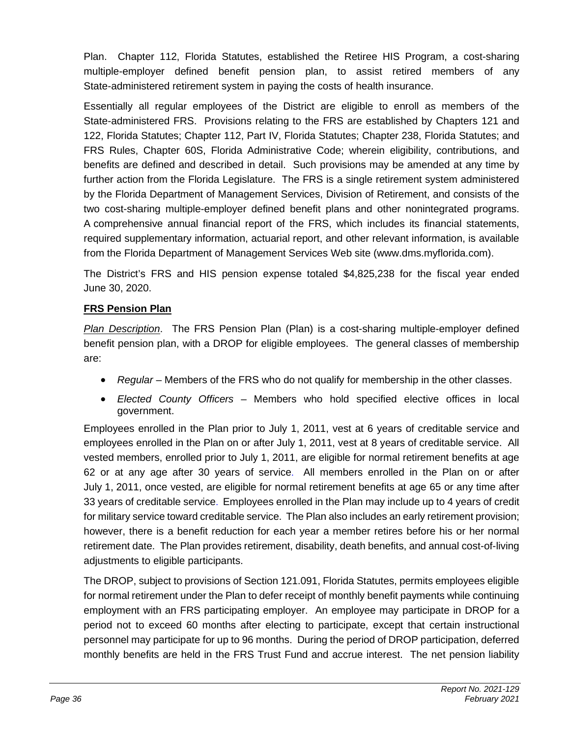Plan. Chapter 112, Florida Statutes, established the Retiree HIS Program, a cost-sharing multiple-employer defined benefit pension plan, to assist retired members of any State-administered retirement system in paying the costs of health insurance.

Essentially all regular employees of the District are eligible to enroll as members of the State-administered FRS. Provisions relating to the FRS are established by Chapters 121 and 122, Florida Statutes; Chapter 112, Part IV, Florida Statutes; Chapter 238, Florida Statutes; and FRS Rules, Chapter 60S, Florida Administrative Code; wherein eligibility, contributions, and benefits are defined and described in detail. Such provisions may be amended at any time by further action from the Florida Legislature. The FRS is a single retirement system administered by the Florida Department of Management Services, Division of Retirement, and consists of the two cost-sharing multiple-employer defined benefit plans and other nonintegrated programs. A comprehensive annual financial report of the FRS, which includes its financial statements, required supplementary information, actuarial report, and other relevant information, is available from the Florida Department of Management Services Web site (www.dms.myflorida.com).

The District's FRS and HIS pension expense totaled \$4,825,238 for the fiscal year ended June 30, 2020.

## **FRS Pension Plan**

*Plan Description*. The FRS Pension Plan (Plan) is a cost-sharing multiple-employer defined benefit pension plan, with a DROP for eligible employees. The general classes of membership are:

- *Regular* Members of the FRS who do not qualify for membership in the other classes.
- *Elected County Officers* Members who hold specified elective offices in local government.

Employees enrolled in the Plan prior to July 1, 2011, vest at 6 years of creditable service and employees enrolled in the Plan on or after July 1, 2011, vest at 8 years of creditable service. All vested members, enrolled prior to July 1, 2011, are eligible for normal retirement benefits at age 62 or at any age after 30 years of service. All members enrolled in the Plan on or after July 1, 2011, once vested, are eligible for normal retirement benefits at age 65 or any time after 33 years of creditable service. Employees enrolled in the Plan may include up to 4 years of credit for military service toward creditable service. The Plan also includes an early retirement provision; however, there is a benefit reduction for each year a member retires before his or her normal retirement date. The Plan provides retirement, disability, death benefits, and annual cost-of-living adjustments to eligible participants.

The DROP, subject to provisions of Section 121.091, Florida Statutes, permits employees eligible for normal retirement under the Plan to defer receipt of monthly benefit payments while continuing employment with an FRS participating employer. An employee may participate in DROP for a period not to exceed 60 months after electing to participate, except that certain instructional personnel may participate for up to 96 months. During the period of DROP participation, deferred monthly benefits are held in the FRS Trust Fund and accrue interest. The net pension liability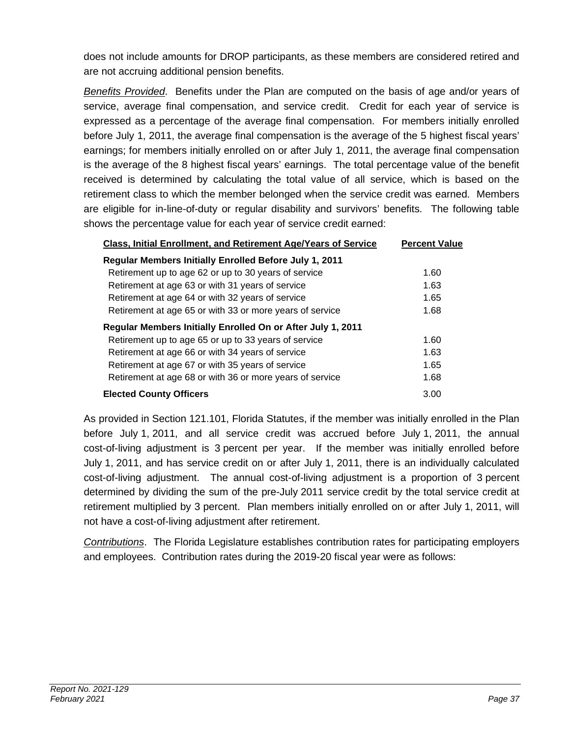does not include amounts for DROP participants, as these members are considered retired and are not accruing additional pension benefits.

*Benefits Provided*. Benefits under the Plan are computed on the basis of age and/or years of service, average final compensation, and service credit. Credit for each year of service is expressed as a percentage of the average final compensation. For members initially enrolled before July 1, 2011, the average final compensation is the average of the 5 highest fiscal years' earnings; for members initially enrolled on or after July 1, 2011, the average final compensation is the average of the 8 highest fiscal years' earnings. The total percentage value of the benefit received is determined by calculating the total value of all service, which is based on the retirement class to which the member belonged when the service credit was earned. Members are eligible for in-line-of-duty or regular disability and survivors' benefits. The following table shows the percentage value for each year of service credit earned:

| Class, Initial Enrollment, and Retirement Age/Years of Service | <b>Percent Value</b> |
|----------------------------------------------------------------|----------------------|
| <b>Regular Members Initially Enrolled Before July 1, 2011</b>  |                      |
| Retirement up to age 62 or up to 30 years of service           | 1.60                 |
| Retirement at age 63 or with 31 years of service               | 1.63                 |
| Retirement at age 64 or with 32 years of service               | 1.65                 |
| Retirement at age 65 or with 33 or more years of service       | 1.68                 |
| Regular Members Initially Enrolled On or After July 1, 2011    |                      |
| Retirement up to age 65 or up to 33 years of service           | 1.60                 |
| Retirement at age 66 or with 34 years of service               | 1.63                 |
| Retirement at age 67 or with 35 years of service               | 1.65                 |
| Retirement at age 68 or with 36 or more years of service       | 1.68                 |
| <b>Elected County Officers</b>                                 | 3.00                 |

As provided in Section 121.101, Florida Statutes, if the member was initially enrolled in the Plan before July 1, 2011, and all service credit was accrued before July 1, 2011, the annual cost-of-living adjustment is 3 percent per year. If the member was initially enrolled before July 1, 2011, and has service credit on or after July 1, 2011, there is an individually calculated cost-of-living adjustment. The annual cost-of-living adjustment is a proportion of 3 percent determined by dividing the sum of the pre-July 2011 service credit by the total service credit at retirement multiplied by 3 percent. Plan members initially enrolled on or after July 1, 2011, will not have a cost-of-living adjustment after retirement.

*Contributions*. The Florida Legislature establishes contribution rates for participating employers and employees. Contribution rates during the 2019-20 fiscal year were as follows: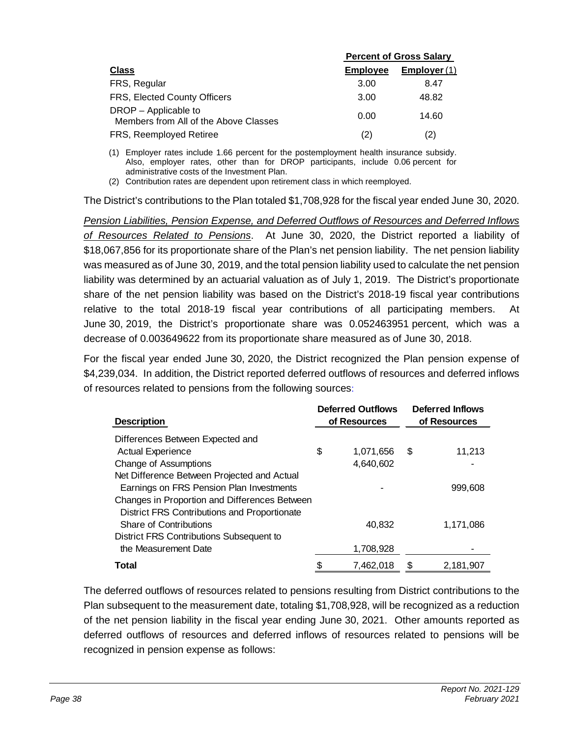|                                                               | <b>Percent of Gross Salary</b> |                |  |
|---------------------------------------------------------------|--------------------------------|----------------|--|
| <b>Class</b>                                                  | <b>Employee</b>                | Employer $(1)$ |  |
| FRS, Regular                                                  | 3.00                           | 8.47           |  |
| FRS, Elected County Officers                                  | 3.00                           | 48.82          |  |
| DROP - Applicable to<br>Members from All of the Above Classes | 0.00                           | 14.60          |  |
| FRS, Reemployed Retiree                                       |                                | (2)            |  |

(1) Employer rates include 1.66 percent for the postemployment health insurance subsidy. Also, employer rates, other than for DROP participants, include 0.06 percent for administrative costs of the Investment Plan.

(2) Contribution rates are dependent upon retirement class in which reemployed.

The District's contributions to the Plan totaled \$1,708,928 for the fiscal year ended June 30, 2020.

*Pension Liabilities, Pension Expense, and Deferred Outflows of Resources and Deferred Inflows of Resources Related to Pensions*. At June 30, 2020, the District reported a liability of \$18,067,856 for its proportionate share of the Plan's net pension liability. The net pension liability was measured as of June 30, 2019, and the total pension liability used to calculate the net pension liability was determined by an actuarial valuation as of July 1, 2019. The District's proportionate share of the net pension liability was based on the District's 2018-19 fiscal year contributions relative to the total 2018-19 fiscal year contributions of all participating members. At June 30, 2019, the District's proportionate share was 0.052463951 percent, which was a decrease of 0.003649622 from its proportionate share measured as of June 30, 2018.

For the fiscal year ended June 30, 2020, the District recognized the Plan pension expense of \$4,239,034. In addition, the District reported deferred outflows of resources and deferred inflows of resources related to pensions from the following sources:

| <b>Description</b>                            | <b>Deferred Outflows</b><br>of Resources |           | <b>Deferred Inflows</b><br>of Resources |           |
|-----------------------------------------------|------------------------------------------|-----------|-----------------------------------------|-----------|
| Differences Between Expected and              |                                          |           |                                         |           |
| <b>Actual Experience</b>                      | \$                                       | 1,071,656 | \$                                      | 11,213    |
| Change of Assumptions                         |                                          | 4,640,602 |                                         |           |
| Net Difference Between Projected and Actual   |                                          |           |                                         |           |
| Earnings on FRS Pension Plan Investments      |                                          |           |                                         | 999,608   |
| Changes in Proportion and Differences Between |                                          |           |                                         |           |
| District FRS Contributions and Proportionate  |                                          |           |                                         |           |
| <b>Share of Contributions</b>                 |                                          | 40,832    |                                         | 1,171,086 |
| District FRS Contributions Subsequent to      |                                          |           |                                         |           |
| the Measurement Date                          |                                          | 1,708,928 |                                         |           |
| Total                                         |                                          | 7.462.018 | \$                                      | 2,181,907 |

The deferred outflows of resources related to pensions resulting from District contributions to the Plan subsequent to the measurement date, totaling \$1,708,928, will be recognized as a reduction of the net pension liability in the fiscal year ending June 30, 2021. Other amounts reported as deferred outflows of resources and deferred inflows of resources related to pensions will be recognized in pension expense as follows: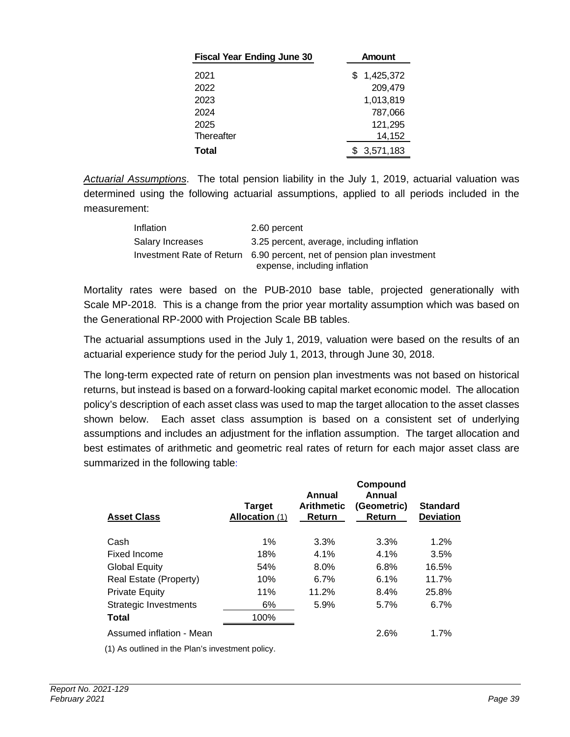| <b>Fiscal Year Ending June 30</b> | Amount      |  |  |
|-----------------------------------|-------------|--|--|
| 2021                              | \$1,425,372 |  |  |
| 2022                              | 209,479     |  |  |
| 2023                              | 1,013,819   |  |  |
| 2024                              | 787,066     |  |  |
| 2025                              | 121,295     |  |  |
| Thereafter                        | 14,152      |  |  |
| Total                             | 3,571,183   |  |  |

*Actuarial Assumptions*. The total pension liability in the July 1, 2019, actuarial valuation was determined using the following actuarial assumptions, applied to all periods included in the measurement:

| Inflation        | 2.60 percent                                                           |
|------------------|------------------------------------------------------------------------|
| Salary Increases | 3.25 percent, average, including inflation                             |
|                  | Investment Rate of Return 6.90 percent, net of pension plan investment |
|                  | expense, including inflation                                           |

Mortality rates were based on the PUB-2010 base table, projected generationally with Scale MP-2018. This is a change from the prior year mortality assumption which was based on the Generational RP-2000 with Projection Scale BB tables.

The actuarial assumptions used in the July 1, 2019, valuation were based on the results of an actuarial experience study for the period July 1, 2013, through June 30, 2018.

The long-term expected rate of return on pension plan investments was not based on historical returns, but instead is based on a forward-looking capital market economic model. The allocation policy's description of each asset class was used to map the target allocation to the asset classes shown below. Each asset class assumption is based on a consistent set of underlying assumptions and includes an adjustment for the inflation assumption. The target allocation and best estimates of arithmetic and geometric real rates of return for each major asset class are summarized in the following table:

| <b>Asset Class</b>       | <b>Target</b><br>Allocation (1) | Annual<br><b>Arithmetic</b><br>Return | Compound<br>Annual<br>(Geometric)<br>Return | <b>Standard</b><br><b>Deviation</b> |
|--------------------------|---------------------------------|---------------------------------------|---------------------------------------------|-------------------------------------|
| Cash                     | $1\%$                           | 3.3%                                  | 3.3%                                        | 1.2%                                |
| Fixed Income             | 18%                             | 4.1%                                  | 4.1%                                        | 3.5%                                |
| <b>Global Equity</b>     | 54%                             | 8.0%                                  | 6.8%                                        | 16.5%                               |
| Real Estate (Property)   | 10%                             | 6.7%                                  | 6.1%                                        | 11.7%                               |
| <b>Private Equity</b>    | 11%                             | 11.2%                                 | 8.4%                                        | 25.8%                               |
| Strategic Investments    | 6%                              | 5.9%                                  | 5.7%                                        | 6.7%                                |
| Total                    | 100%                            |                                       |                                             |                                     |
| Assumed inflation - Mean |                                 |                                       | 2.6%                                        | 1.7%                                |

(1) As outlined in the Plan's investment policy.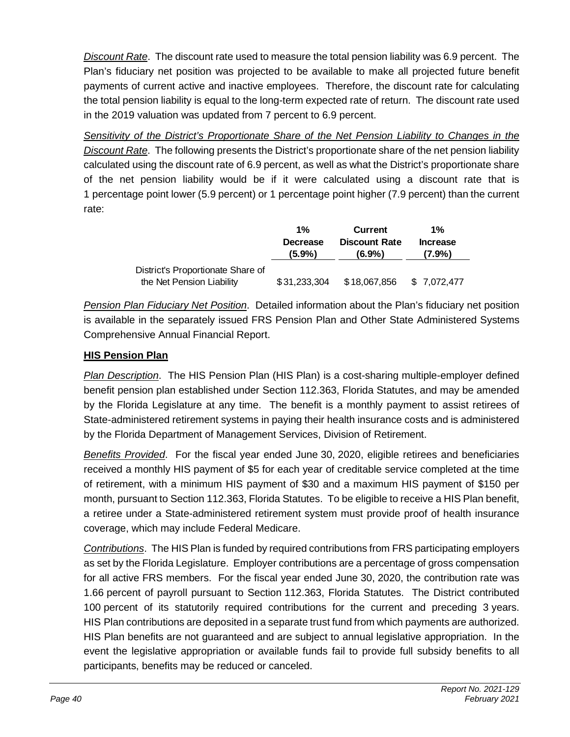*Discount Rate*. The discount rate used to measure the total pension liability was 6.9 percent. The Plan's fiduciary net position was projected to be available to make all projected future benefit payments of current active and inactive employees. Therefore, the discount rate for calculating the total pension liability is equal to the long-term expected rate of return. The discount rate used in the 2019 valuation was updated from 7 percent to 6.9 percent.

*Sensitivity of the District's Proportionate Share of the Net Pension Liability to Changes in the Discount Rate*. The following presents the District's proportionate share of the net pension liability calculated using the discount rate of 6.9 percent, as well as what the District's proportionate share of the net pension liability would be if it were calculated using a discount rate that is 1 percentage point lower (5.9 percent) or 1 percentage point higher (7.9 percent) than the current rate:

|                                   | $1\%$              | <b>Current</b>                    | $1\%$                        |
|-----------------------------------|--------------------|-----------------------------------|------------------------------|
|                                   | Decrease<br>(5.9%) | <b>Discount Rate</b><br>$(6.9\%)$ | <b>Increase</b><br>$(7.9\%)$ |
| District's Proportionate Share of |                    |                                   |                              |
| the Net Pension Liability         | \$31,233,304       | \$18,067,856                      | \$7,072,477                  |

*Pension Plan Fiduciary Net Position*. Detailed information about the Plan's fiduciary net position is available in the separately issued FRS Pension Plan and Other State Administered Systems Comprehensive Annual Financial Report.

## **HIS Pension Plan**

*Plan Description*. The HIS Pension Plan (HIS Plan) is a cost-sharing multiple-employer defined benefit pension plan established under Section 112.363, Florida Statutes, and may be amended by the Florida Legislature at any time. The benefit is a monthly payment to assist retirees of State-administered retirement systems in paying their health insurance costs and is administered by the Florida Department of Management Services, Division of Retirement.

*Benefits Provided*. For the fiscal year ended June 30, 2020, eligible retirees and beneficiaries received a monthly HIS payment of \$5 for each year of creditable service completed at the time of retirement, with a minimum HIS payment of \$30 and a maximum HIS payment of \$150 per month, pursuant to Section 112.363, Florida Statutes. To be eligible to receive a HIS Plan benefit, a retiree under a State-administered retirement system must provide proof of health insurance coverage, which may include Federal Medicare.

*Contributions*. The HIS Plan is funded by required contributions from FRS participating employers as set by the Florida Legislature. Employer contributions are a percentage of gross compensation for all active FRS members. For the fiscal year ended June 30, 2020, the contribution rate was 1.66 percent of payroll pursuant to Section 112.363, Florida Statutes. The District contributed 100 percent of its statutorily required contributions for the current and preceding 3 years. HIS Plan contributions are deposited in a separate trust fund from which payments are authorized. HIS Plan benefits are not guaranteed and are subject to annual legislative appropriation. In the event the legislative appropriation or available funds fail to provide full subsidy benefits to all participants, benefits may be reduced or canceled.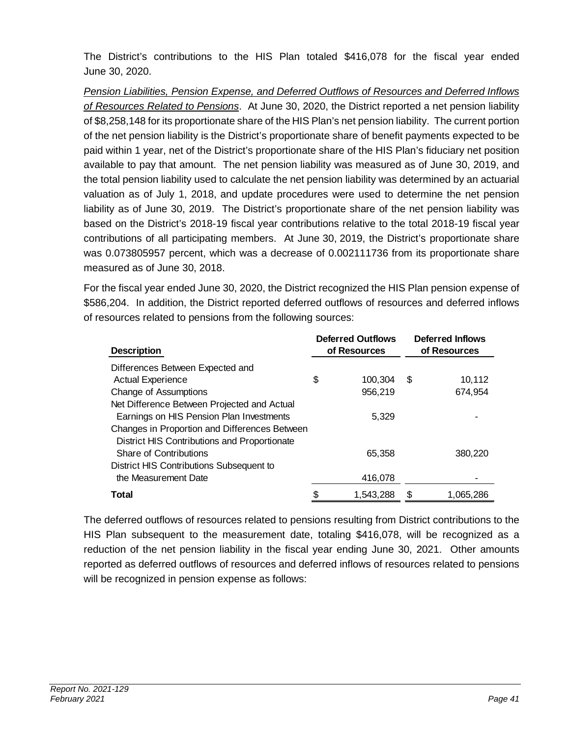The District's contributions to the HIS Plan totaled \$416,078 for the fiscal year ended June 30, 2020.

*Pension Liabilities, Pension Expense, and Deferred Outflows of Resources and Deferred Inflows of Resources Related to Pensions*. At June 30, 2020, the District reported a net pension liability of \$8,258,148 for its proportionate share of the HIS Plan's net pension liability. The current portion of the net pension liability is the District's proportionate share of benefit payments expected to be paid within 1 year, net of the District's proportionate share of the HIS Plan's fiduciary net position available to pay that amount. The net pension liability was measured as of June 30, 2019, and the total pension liability used to calculate the net pension liability was determined by an actuarial valuation as of July 1, 2018, and update procedures were used to determine the net pension liability as of June 30, 2019. The District's proportionate share of the net pension liability was based on the District's 2018-19 fiscal year contributions relative to the total 2018-19 fiscal year contributions of all participating members. At June 30, 2019, the District's proportionate share was 0.073805957 percent, which was a decrease of 0.002111736 from its proportionate share measured as of June 30, 2018.

For the fiscal year ended June 30, 2020, the District recognized the HIS Plan pension expense of \$586,204. In addition, the District reported deferred outflows of resources and deferred inflows of resources related to pensions from the following sources:

| <b>Description</b>                            | <b>Deferred Outflows</b><br>of Resources |           | <b>Deferred Inflows</b><br>of Resources |           |
|-----------------------------------------------|------------------------------------------|-----------|-----------------------------------------|-----------|
| Differences Between Expected and              |                                          |           |                                         |           |
| <b>Actual Experience</b>                      | \$                                       | 100,304   | \$                                      | 10,112    |
| Change of Assumptions                         |                                          | 956,219   |                                         | 674,954   |
| Net Difference Between Projected and Actual   |                                          |           |                                         |           |
| Earnings on HIS Pension Plan Investments      |                                          | 5.329     |                                         |           |
| Changes in Proportion and Differences Between |                                          |           |                                         |           |
| District HIS Contributions and Proportionate  |                                          |           |                                         |           |
| Share of Contributions                        |                                          | 65,358    |                                         | 380,220   |
| District HIS Contributions Subsequent to      |                                          |           |                                         |           |
| the Measurement Date                          |                                          | 416,078   |                                         |           |
| Total                                         |                                          | 1,543,288 | \$                                      | 1,065,286 |

The deferred outflows of resources related to pensions resulting from District contributions to the HIS Plan subsequent to the measurement date, totaling \$416,078, will be recognized as a reduction of the net pension liability in the fiscal year ending June 30, 2021. Other amounts reported as deferred outflows of resources and deferred inflows of resources related to pensions will be recognized in pension expense as follows: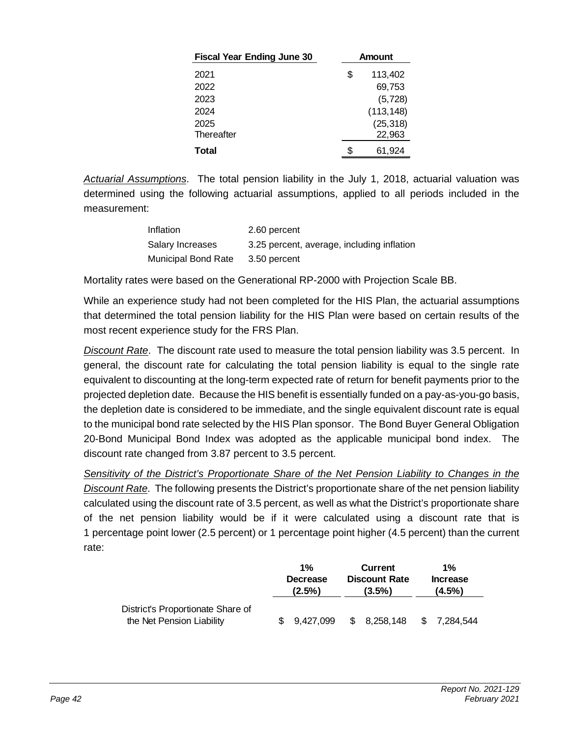| <b>Fiscal Year Ending June 30</b> |    | Amount     |  |  |
|-----------------------------------|----|------------|--|--|
| 2021                              | \$ | 113.402    |  |  |
| 2022                              |    | 69,753     |  |  |
| 2023                              |    | (5, 728)   |  |  |
| 2024                              |    | (113, 148) |  |  |
| 2025                              |    | (25, 318)  |  |  |
| Thereafter                        |    | 22,963     |  |  |
| <b>Total</b>                      |    | 61,924     |  |  |

*Actuarial Assumptions*. The total pension liability in the July 1, 2018, actuarial valuation was determined using the following actuarial assumptions, applied to all periods included in the measurement:

| Inflation                  | 2.60 percent                               |
|----------------------------|--------------------------------------------|
| Salary Increases           | 3.25 percent, average, including inflation |
| <b>Municipal Bond Rate</b> | 3.50 percent                               |

Mortality rates were based on the Generational RP-2000 with Projection Scale BB.

While an experience study had not been completed for the HIS Plan, the actuarial assumptions that determined the total pension liability for the HIS Plan were based on certain results of the most recent experience study for the FRS Plan.

*Discount Rate*. The discount rate used to measure the total pension liability was 3.5 percent. In general, the discount rate for calculating the total pension liability is equal to the single rate equivalent to discounting at the long-term expected rate of return for benefit payments prior to the projected depletion date. Because the HIS benefit is essentially funded on a pay-as-you-go basis, the depletion date is considered to be immediate, and the single equivalent discount rate is equal to the municipal bond rate selected by the HIS Plan sponsor. The Bond Buyer General Obligation 20-Bond Municipal Bond Index was adopted as the applicable municipal bond index. The discount rate changed from 3.87 percent to 3.5 percent.

*Sensitivity of the District's Proportionate Share of the Net Pension Liability to Changes in the Discount Rate*. The following presents the District's proportionate share of the net pension liability calculated using the discount rate of 3.5 percent, as well as what the District's proportionate share of the net pension liability would be if it were calculated using a discount rate that is 1 percentage point lower (2.5 percent) or 1 percentage point higher (4.5 percent) than the current rate:

|                                                                | $1\%$                        | <b>Current</b>                    | 1%                           |
|----------------------------------------------------------------|------------------------------|-----------------------------------|------------------------------|
|                                                                | <b>Decrease</b><br>$(2.5\%)$ | <b>Discount Rate</b><br>$(3.5\%)$ | <b>Increase</b><br>$(4.5\%)$ |
| District's Proportionate Share of<br>the Net Pension Liability | 9.427.099                    | \$8,258,148                       | \$7.284.544                  |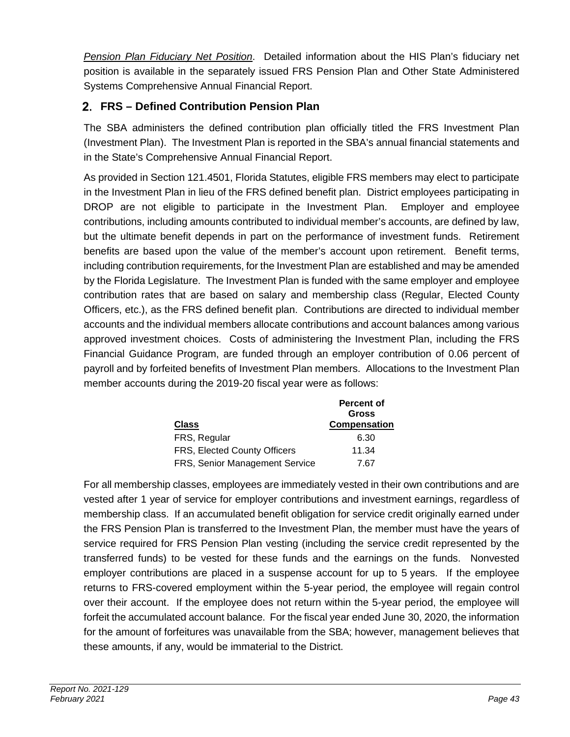*Pension Plan Fiduciary Net Position*. Detailed information about the HIS Plan's fiduciary net position is available in the separately issued FRS Pension Plan and Other State Administered Systems Comprehensive Annual Financial Report.

## **FRS – Defined Contribution Pension Plan**

The SBA administers the defined contribution plan officially titled the FRS Investment Plan (Investment Plan). The Investment Plan is reported in the SBA's annual financial statements and in the State's Comprehensive Annual Financial Report.

As provided in Section 121.4501, Florida Statutes, eligible FRS members may elect to participate in the Investment Plan in lieu of the FRS defined benefit plan. District employees participating in DROP are not eligible to participate in the Investment Plan. Employer and employee contributions, including amounts contributed to individual member's accounts, are defined by law, but the ultimate benefit depends in part on the performance of investment funds. Retirement benefits are based upon the value of the member's account upon retirement. Benefit terms, including contribution requirements, for the Investment Plan are established and may be amended by the Florida Legislature. The Investment Plan is funded with the same employer and employee contribution rates that are based on salary and membership class (Regular, Elected County Officers, etc.), as the FRS defined benefit plan. Contributions are directed to individual member accounts and the individual members allocate contributions and account balances among various approved investment choices. Costs of administering the Investment Plan, including the FRS Financial Guidance Program, are funded through an employer contribution of 0.06 percent of payroll and by forfeited benefits of Investment Plan members. Allocations to the Investment Plan member accounts during the 2019-20 fiscal year were as follows:

|                                | <b>Percent of</b>   |
|--------------------------------|---------------------|
|                                | Gross               |
| <b>Class</b>                   | <b>Compensation</b> |
| FRS, Regular                   | 6.30                |
| FRS, Elected County Officers   | 11.34               |
| FRS, Senior Management Service | 7 67                |

For all membership classes, employees are immediately vested in their own contributions and are vested after 1 year of service for employer contributions and investment earnings, regardless of membership class. If an accumulated benefit obligation for service credit originally earned under the FRS Pension Plan is transferred to the Investment Plan, the member must have the years of service required for FRS Pension Plan vesting (including the service credit represented by the transferred funds) to be vested for these funds and the earnings on the funds. Nonvested employer contributions are placed in a suspense account for up to 5 years. If the employee returns to FRS-covered employment within the 5-year period, the employee will regain control over their account. If the employee does not return within the 5-year period, the employee will forfeit the accumulated account balance. For the fiscal year ended June 30, 2020, the information for the amount of forfeitures was unavailable from the SBA; however, management believes that these amounts, if any, would be immaterial to the District.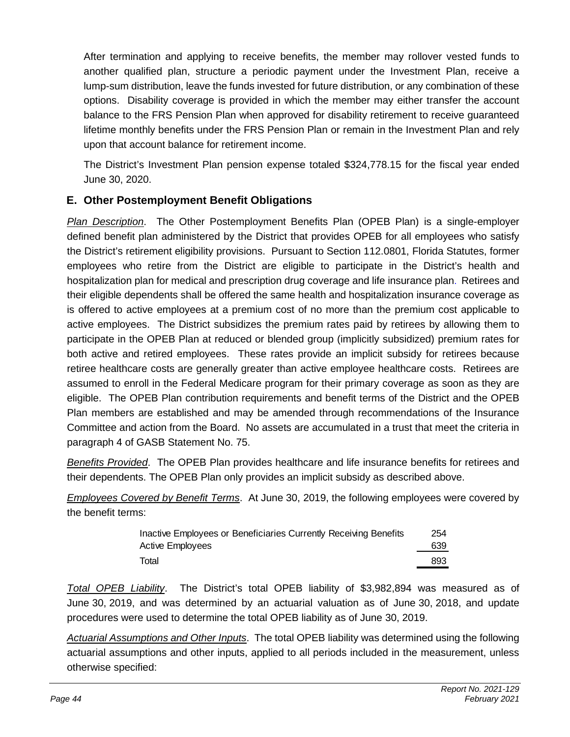After termination and applying to receive benefits, the member may rollover vested funds to another qualified plan, structure a periodic payment under the Investment Plan, receive a lump-sum distribution, leave the funds invested for future distribution, or any combination of these options. Disability coverage is provided in which the member may either transfer the account balance to the FRS Pension Plan when approved for disability retirement to receive guaranteed lifetime monthly benefits under the FRS Pension Plan or remain in the Investment Plan and rely upon that account balance for retirement income.

The District's Investment Plan pension expense totaled \$324,778.15 for the fiscal year ended June 30, 2020.

## **E. Other Postemployment Benefit Obligations**

*Plan Description*. The Other Postemployment Benefits Plan (OPEB Plan) is a single-employer defined benefit plan administered by the District that provides OPEB for all employees who satisfy the District's retirement eligibility provisions. Pursuant to Section 112.0801, Florida Statutes, former employees who retire from the District are eligible to participate in the District's health and hospitalization plan for medical and prescription drug coverage and life insurance plan. Retirees and their eligible dependents shall be offered the same health and hospitalization insurance coverage as is offered to active employees at a premium cost of no more than the premium cost applicable to active employees. The District subsidizes the premium rates paid by retirees by allowing them to participate in the OPEB Plan at reduced or blended group (implicitly subsidized) premium rates for both active and retired employees. These rates provide an implicit subsidy for retirees because retiree healthcare costs are generally greater than active employee healthcare costs. Retirees are assumed to enroll in the Federal Medicare program for their primary coverage as soon as they are eligible. The OPEB Plan contribution requirements and benefit terms of the District and the OPEB Plan members are established and may be amended through recommendations of the Insurance Committee and action from the Board. No assets are accumulated in a trust that meet the criteria in paragraph 4 of GASB Statement No. 75.

*Benefits Provided*.The OPEB Plan provides healthcare and life insurance benefits for retirees and their dependents. The OPEB Plan only provides an implicit subsidy as described above.

*Employees Covered by Benefit Terms*. At June 30, 2019, the following employees were covered by the benefit terms:

| Inactive Employees or Beneficiaries Currently Receiving Benefits | 254 |
|------------------------------------------------------------------|-----|
| <b>Active Employees</b>                                          | 639 |
| Total                                                            | 893 |

*Total OPEB Liability*. The District's total OPEB liability of \$3,982,894 was measured as of June 30, 2019, and was determined by an actuarial valuation as of June 30, 2018, and update procedures were used to determine the total OPEB liability as of June 30, 2019.

*Actuarial Assumptions and Other Inputs*. The total OPEB liability was determined using the following actuarial assumptions and other inputs, applied to all periods included in the measurement, unless otherwise specified: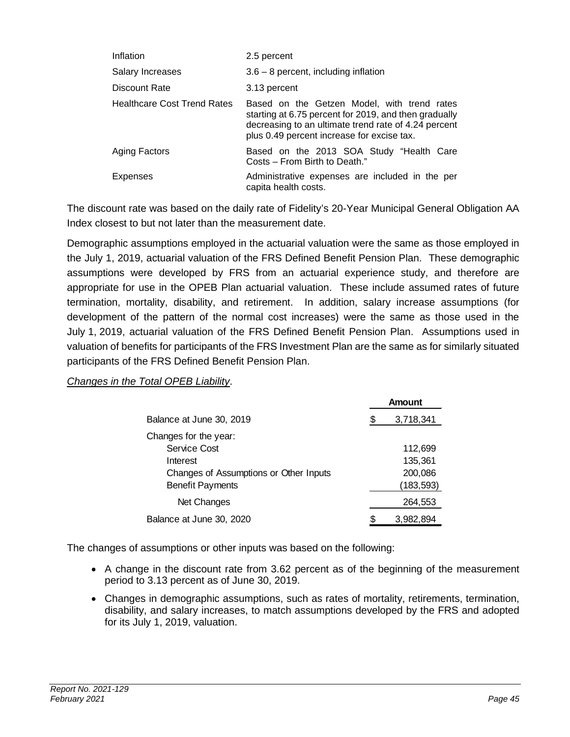| Inflation                          | 2.5 percent                                                                                                                                                                                                |
|------------------------------------|------------------------------------------------------------------------------------------------------------------------------------------------------------------------------------------------------------|
| Salary Increases                   | $3.6 - 8$ percent, including inflation                                                                                                                                                                     |
| Discount Rate                      | 3.13 percent                                                                                                                                                                                               |
| <b>Healthcare Cost Trend Rates</b> | Based on the Getzen Model, with trend rates<br>starting at 6.75 percent for 2019, and then gradually<br>decreasing to an ultimate trend rate of 4.24 percent<br>plus 0.49 percent increase for excise tax. |
| Aging Factors                      | Based on the 2013 SOA Study "Health Care<br>Costs – From Birth to Death."                                                                                                                                  |
| Expenses                           | Administrative expenses are included in the per<br>capita health costs.                                                                                                                                    |

The discount rate was based on the daily rate of Fidelity's 20-Year Municipal General Obligation AA Index closest to but not later than the measurement date.

Demographic assumptions employed in the actuarial valuation were the same as those employed in the July 1, 2019, actuarial valuation of the FRS Defined Benefit Pension Plan. These demographic assumptions were developed by FRS from an actuarial experience study, and therefore are appropriate for use in the OPEB Plan actuarial valuation. These include assumed rates of future termination, mortality, disability, and retirement. In addition, salary increase assumptions (for development of the pattern of the normal cost increases) were the same as those used in the July 1, 2019, actuarial valuation of the FRS Defined Benefit Pension Plan. Assumptions used in valuation of benefits for participants of the FRS Investment Plan are the same as for similarly situated participants of the FRS Defined Benefit Pension Plan.

#### *Changes in the Total OPEB Liability*.

|                                        | Amount |            |
|----------------------------------------|--------|------------|
| Balance at June 30, 2019               | S      | 3,718,341  |
| Changes for the year:                  |        |            |
| Service Cost                           |        | 112,699    |
| Interest                               |        | 135,361    |
| Changes of Assumptions or Other Inputs |        | 200,086    |
| <b>Benefit Payments</b>                |        | (183, 593) |
| Net Changes                            |        | 264,553    |
| Balance at June 30, 2020               |        | 3,982,894  |

The changes of assumptions or other inputs was based on the following:

- A change in the discount rate from 3.62 percent as of the beginning of the measurement period to 3.13 percent as of June 30, 2019.
- Changes in demographic assumptions, such as rates of mortality, retirements, termination, disability, and salary increases, to match assumptions developed by the FRS and adopted for its July 1, 2019, valuation.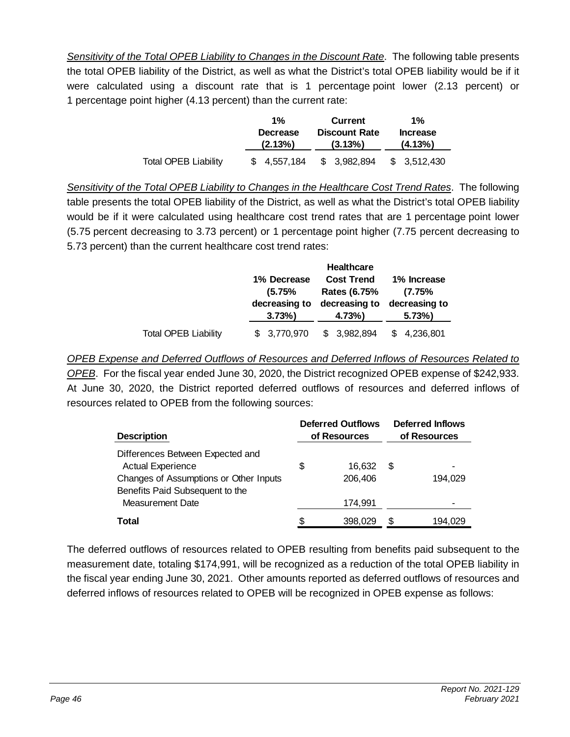*Sensitivity of the Total OPEB Liability to Changes in the Discount Rate*. The following table presents the total OPEB liability of the District, as well as what the District's total OPEB liability would be if it were calculated using a discount rate that is 1 percentage point lower (2.13 percent) or 1 percentage point higher (4.13 percent) than the current rate:

|                             | $1\%$           | <b>Current</b>       | $1\%$           |  |
|-----------------------------|-----------------|----------------------|-----------------|--|
|                             | <b>Decrease</b> | <b>Discount Rate</b> | <b>Increase</b> |  |
|                             | (2.13%)         | (3.13%)              | (4.13%)         |  |
| <b>Total OPEB Liability</b> | \$ 4.557.184    | \$ 3.982,894         | \$ 3.512.430    |  |

*Sensitivity of the Total OPEB Liability to Changes in the Healthcare Cost Trend Rates*. The following table presents the total OPEB liability of the District, as well as what the District's total OPEB liability would be if it were calculated using healthcare cost trend rates that are 1 percentage point lower (5.75 percent decreasing to 3.73 percent) or 1 percentage point higher (7.75 percent decreasing to 5.73 percent) than the current healthcare cost trend rates:

|                             |               | <b>Healthcare</b> |               |
|-----------------------------|---------------|-------------------|---------------|
|                             | 1% Decrease   | <b>Cost Trend</b> | 1% Increase   |
|                             | (5.75%        | Rates (6.75%      | (7.75%        |
|                             | decreasing to | decreasing to     | decreasing to |
|                             | 3.73%         | 4.73%)            | 5.73%         |
| <b>Total OPEB Liability</b> | \$3,770,970   | \$3,982,894       | \$4,236,801   |

*OPEB Expense and Deferred Outflows of Resources and Deferred Inflows of Resources Related to OPEB*. For the fiscal year ended June 30, 2020, the District recognized OPEB expense of \$242,933. At June 30, 2020, the District reported deferred outflows of resources and deferred inflows of resources related to OPEB from the following sources:

| <b>Description</b>                                                        |    | <b>Deferred Outflows</b><br>of Resources | <b>Deferred Inflows</b><br>of Resources |         |
|---------------------------------------------------------------------------|----|------------------------------------------|-----------------------------------------|---------|
| Differences Between Expected and<br><b>Actual Experience</b>              | \$ | 16,632                                   | \$                                      |         |
| Changes of Assumptions or Other Inputs<br>Benefits Paid Subsequent to the |    | 206,406                                  |                                         | 194.029 |
| Measurement Date                                                          |    | 174,991                                  |                                         |         |
| Total                                                                     | S. | 398,029                                  | ß.                                      | 194.029 |

The deferred outflows of resources related to OPEB resulting from benefits paid subsequent to the measurement date, totaling \$174,991, will be recognized as a reduction of the total OPEB liability in the fiscal year ending June 30, 2021. Other amounts reported as deferred outflows of resources and deferred inflows of resources related to OPEB will be recognized in OPEB expense as follows: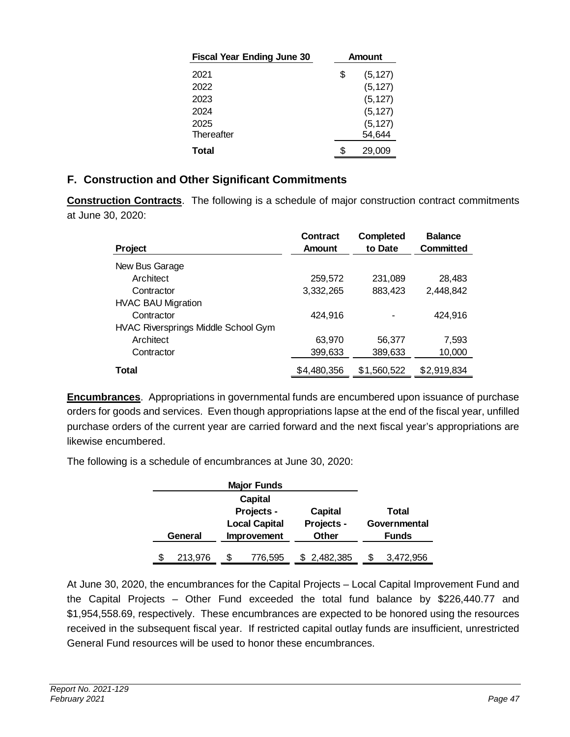| <b>Fiscal Year Ending June 30</b> |   | Amount   |  |  |
|-----------------------------------|---|----------|--|--|
| 2021                              | S | (5, 127) |  |  |
| 2022                              |   | (5, 127) |  |  |
| 2023                              |   | (5, 127) |  |  |
| 2024                              |   | (5, 127) |  |  |
| 2025                              |   | (5, 127) |  |  |
| Thereafter                        |   | 54,644   |  |  |
| Total                             |   | 29,009   |  |  |

## **F. Construction and Other Significant Commitments**

**Construction Contracts**. The following is a schedule of major construction contract commitments at June 30, 2020:

| Project                             | Contract<br>Amount | <b>Completed</b><br>to Date | <b>Balance</b><br>Committed |
|-------------------------------------|--------------------|-----------------------------|-----------------------------|
| New Bus Garage                      |                    |                             |                             |
| Architect                           | 259,572            | 231,089                     | 28,483                      |
| Contractor                          | 3,332,265          | 883,423                     | 2,448,842                   |
| <b>HVAC BAU Migration</b>           |                    |                             |                             |
| Contractor                          | 424.916            |                             | 424,916                     |
| HVAC Riversprings Middle School Gym |                    |                             |                             |
| Architect                           | 63.970             | 56.377                      | 7.593                       |
| Contractor                          | 399,633            | 389,633                     | 10,000                      |
| Total                               | \$4.480.356        | \$1,560,522                 | \$2,919,834                 |

**Encumbrances**. Appropriations in governmental funds are encumbered upon issuance of purchase orders for goods and services. Even though appropriations lapse at the end of the fiscal year, unfilled purchase orders of the current year are carried forward and the next fiscal year's appropriations are likewise encumbered.

The following is a schedule of encumbrances at June 30, 2020:

|                              |                                    |  | <b>Major Funds</b> |             |              |
|------------------------------|------------------------------------|--|--------------------|-------------|--------------|
|                              |                                    |  | Capital            |             |              |
| Projects -<br><b>Capital</b> |                                    |  | Total              |             |              |
|                              | Projects -<br><b>Local Capital</b> |  | Governmental       |             |              |
|                              | General                            |  | <b>Improvement</b> | Other       | <b>Funds</b> |
|                              | 213,976                            |  | 776,595            | \$2,482,385 | 3,472,956    |

At June 30, 2020, the encumbrances for the Capital Projects – Local Capital Improvement Fund and the Capital Projects – Other Fund exceeded the total fund balance by \$226,440.77 and \$1,954,558.69, respectively. These encumbrances are expected to be honored using the resources received in the subsequent fiscal year. If restricted capital outlay funds are insufficient, unrestricted General Fund resources will be used to honor these encumbrances.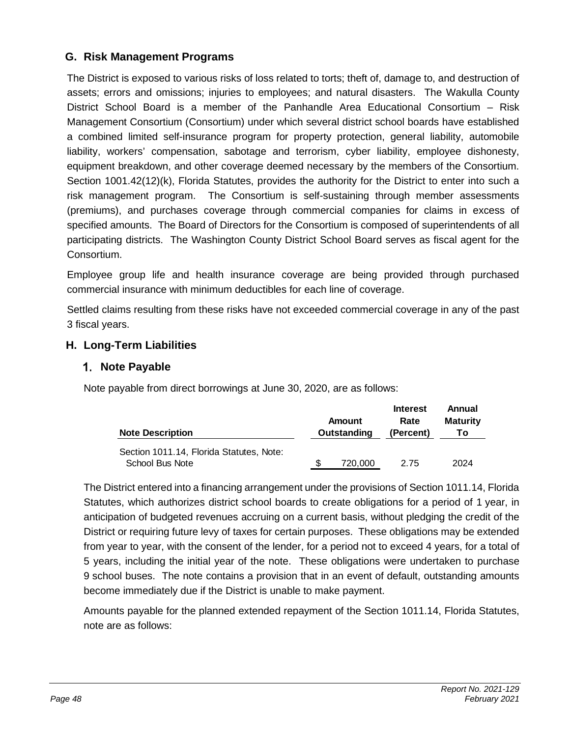## **G. Risk Management Programs**

The District is exposed to various risks of loss related to torts; theft of, damage to, and destruction of assets; errors and omissions; injuries to employees; and natural disasters. The Wakulla County District School Board is a member of the Panhandle Area Educational Consortium – Risk Management Consortium (Consortium) under which several district school boards have established a combined limited self-insurance program for property protection, general liability, automobile liability, workers' compensation, sabotage and terrorism, cyber liability, employee dishonesty, equipment breakdown, and other coverage deemed necessary by the members of the Consortium. Section 1001.42(12)(k), Florida Statutes, provides the authority for the District to enter into such a risk management program. The Consortium is self-sustaining through member assessments (premiums), and purchases coverage through commercial companies for claims in excess of specified amounts. The Board of Directors for the Consortium is composed of superintendents of all participating districts. The Washington County District School Board serves as fiscal agent for the Consortium.

Employee group life and health insurance coverage are being provided through purchased commercial insurance with minimum deductibles for each line of coverage.

Settled claims resulting from these risks have not exceeded commercial coverage in any of the past 3 fiscal years.

## **H. Long-Term Liabilities**

## **1. Note Payable**

Note payable from direct borrowings at June 30, 2020, are as follows:

| <b>Note Description</b>                                     | Amount<br>Outstanding | <b>Interest</b><br>Rate<br>(Percent) | Annual<br><b>Maturity</b><br>Τo |
|-------------------------------------------------------------|-----------------------|--------------------------------------|---------------------------------|
| Section 1011.14, Florida Statutes, Note:<br>School Bus Note | 720,000               | 2.75                                 | 2024                            |

The District entered into a financing arrangement under the provisions of Section 1011.14, Florida Statutes, which authorizes district school boards to create obligations for a period of 1 year, in anticipation of budgeted revenues accruing on a current basis, without pledging the credit of the District or requiring future levy of taxes for certain purposes. These obligations may be extended from year to year, with the consent of the lender, for a period not to exceed 4 years, for a total of 5 years, including the initial year of the note. These obligations were undertaken to purchase 9 school buses. The note contains a provision that in an event of default, outstanding amounts become immediately due if the District is unable to make payment.

Amounts payable for the planned extended repayment of the Section 1011.14, Florida Statutes, note are as follows: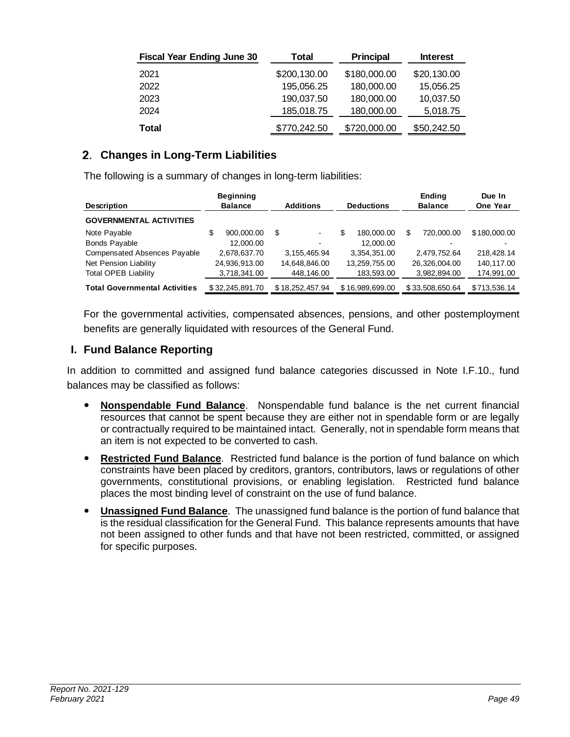| <b>Fiscal Year Ending June 30</b> | Total        | <b>Principal</b> | <b>Interest</b> |  |
|-----------------------------------|--------------|------------------|-----------------|--|
| 2021                              | \$200,130.00 | \$180,000.00     | \$20,130.00     |  |
| 2022                              | 195,056.25   | 180,000.00       | 15,056.25       |  |
| 2023                              | 190,037.50   | 180,000.00       | 10,037.50       |  |
| 2024                              | 185,018.75   | 180,000.00       | 5,018.75        |  |
| <b>Total</b>                      | \$770,242.50 | \$720,000.00     | \$50,242.50     |  |

## **Changes in Long-Term Liabilities**

The following is a summary of changes in long-term liabilities:

| <b>Description</b>                   | <b>Beginning</b><br><b>Balance</b> | <b>Additions</b> | <b>Deductions</b> | <b>Ending</b><br><b>Balance</b> | Due In<br><b>One Year</b> |
|--------------------------------------|------------------------------------|------------------|-------------------|---------------------------------|---------------------------|
| <b>GOVERNMENTAL ACTIVITIES</b>       |                                    |                  |                   |                                 |                           |
| Note Payable                         | \$<br>900,000.00                   | \$<br>-          | \$<br>180,000.00  | 720.000.00<br>S                 | \$180,000.00              |
| <b>Bonds Payable</b>                 | 12,000.00                          | $\overline{a}$   | 12,000.00         |                                 |                           |
| <b>Compensated Absences Payable</b>  | 2,678,637.70                       | 3, 155, 465. 94  | 3,354,351.00      | 2,479,752.64                    | 218,428.14                |
| Net Pension Liability                | 24,936,913.00                      | 14,648,846.00    | 13,259,755.00     | 26,326,004.00                   | 140.117.00                |
| <b>Total OPEB Liability</b>          | 3,718,341.00                       | 448,146.00       | 183,593.00        | 3,982,894.00                    | 174,991.00                |
| <b>Total Governmental Activities</b> | \$32,245,891.70                    | \$18,252,457.94  | \$16,989,699.00   | \$33,508,650.64                 | \$713,536.14              |

For the governmental activities, compensated absences, pensions, and other postemployment benefits are generally liquidated with resources of the General Fund.

## **I. Fund Balance Reporting**

In addition to committed and assigned fund balance categories discussed in Note I.F.10., fund balances may be classified as follows:

- **Nonspendable Fund Balance**. Nonspendable fund balance is the net current financial resources that cannot be spent because they are either not in spendable form or are legally or contractually required to be maintained intact. Generally, not in spendable form means that an item is not expected to be converted to cash.
- **Restricted Fund Balance**. Restricted fund balance is the portion of fund balance on which constraints have been placed by creditors, grantors, contributors, laws or regulations of other governments, constitutional provisions, or enabling legislation. Restricted fund balance places the most binding level of constraint on the use of fund balance.
- **Unassigned Fund Balance**. The unassigned fund balance is the portion of fund balance that is the residual classification for the General Fund. This balance represents amounts that have not been assigned to other funds and that have not been restricted, committed, or assigned for specific purposes.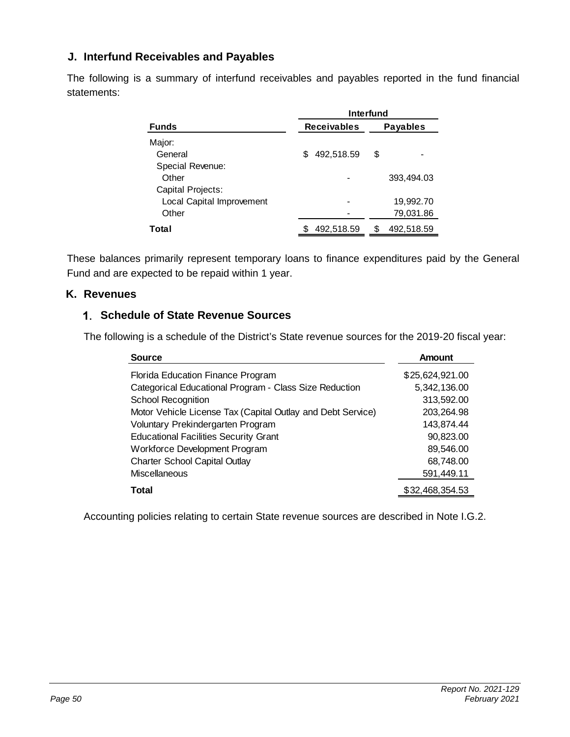## **J. Interfund Receivables and Payables**

The following is a summary of interfund receivables and payables reported in the fund financial statements:

|                           | Interfund          |                   |  |  |  |  |
|---------------------------|--------------------|-------------------|--|--|--|--|
| <b>Funds</b>              | <b>Receivables</b> | <b>Payables</b>   |  |  |  |  |
| Major:                    |                    |                   |  |  |  |  |
| General                   | 492,518.59<br>S.   | S                 |  |  |  |  |
| Special Revenue:          |                    |                   |  |  |  |  |
| Other                     |                    | 393,494.03        |  |  |  |  |
| Capital Projects:         |                    |                   |  |  |  |  |
| Local Capital Improvement |                    | 19,992.70         |  |  |  |  |
| Other                     |                    | 79,031.86         |  |  |  |  |
| Total                     | 492,518.59         | 492,518.59<br>\$. |  |  |  |  |
|                           |                    |                   |  |  |  |  |

These balances primarily represent temporary loans to finance expenditures paid by the General Fund and are expected to be repaid within 1 year.

### **K. Revenues**

## **Schedule of State Revenue Sources**

The following is a schedule of the District's State revenue sources for the 2019-20 fiscal year:

| <b>Source</b>                                               | Amount          |
|-------------------------------------------------------------|-----------------|
| Florida Education Finance Program                           | \$25,624,921.00 |
| Categorical Educational Program - Class Size Reduction      | 5,342,136.00    |
| <b>School Recognition</b>                                   | 313,592.00      |
| Motor Vehicle License Tax (Capital Outlay and Debt Service) | 203,264.98      |
| Voluntary Prekindergarten Program                           | 143,874.44      |
| <b>Educational Facilities Security Grant</b>                | 90,823.00       |
| Workforce Development Program                               | 89,546.00       |
| <b>Charter School Capital Outlay</b>                        | 68,748.00       |
| Miscellaneous                                               | 591,449.11      |
| <b>Total</b>                                                | \$32,468,354.53 |

Accounting policies relating to certain State revenue sources are described in Note I.G.2.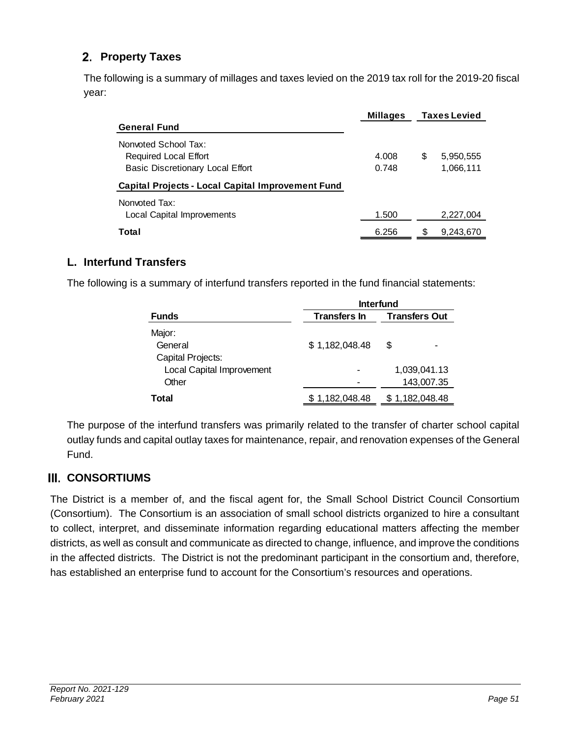## **Property Taxes**

The following is a summary of millages and taxes levied on the 2019 tax roll for the 2019-20 fiscal year:

|                                                          | <b>Millages</b> |     | <b>Taxes Levied</b> |  |  |
|----------------------------------------------------------|-----------------|-----|---------------------|--|--|
| <b>General Fund</b>                                      |                 |     |                     |  |  |
| Nonvoted School Tax:                                     |                 |     |                     |  |  |
| Required Local Effort                                    | 4.008           | S   | 5,950,555           |  |  |
| <b>Basic Discretionary Local Effort</b>                  | 0.748           |     | 1,066,111           |  |  |
| <b>Capital Projects - Local Capital Improvement Fund</b> |                 |     |                     |  |  |
| Nonvoted Tax:                                            |                 |     |                     |  |  |
| Local Capital Improvements                               | 1.500           |     | 2,227,004           |  |  |
| Total                                                    | 6.256           | \$. | 9,243,670           |  |  |

## **L. Interfund Transfers**

The following is a summary of interfund transfers reported in the fund financial statements:

|                           | <b>Interfund</b>    |                      |  |  |  |
|---------------------------|---------------------|----------------------|--|--|--|
| <b>Funds</b>              | <b>Transfers In</b> | <b>Transfers Out</b> |  |  |  |
| Major:                    |                     |                      |  |  |  |
| General                   | \$1,182,048.48      | S<br>-               |  |  |  |
| Capital Projects:         |                     |                      |  |  |  |
| Local Capital Improvement |                     | 1,039,041.13         |  |  |  |
| Other                     |                     | 143,007.35           |  |  |  |
| Total                     | \$1,182,048.48      | \$1,182,048.48       |  |  |  |

The purpose of the interfund transfers was primarily related to the transfer of charter school capital outlay funds and capital outlay taxes for maintenance, repair, and renovation expenses of the General Fund.

## **III. CONSORTIUMS**

The District is a member of, and the fiscal agent for, the Small School District Council Consortium (Consortium). The Consortium is an association of small school districts organized to hire a consultant to collect, interpret, and disseminate information regarding educational matters affecting the member districts, as well as consult and communicate as directed to change, influence, and improve the conditions in the affected districts. The District is not the predominant participant in the consortium and, therefore, has established an enterprise fund to account for the Consortium's resources and operations.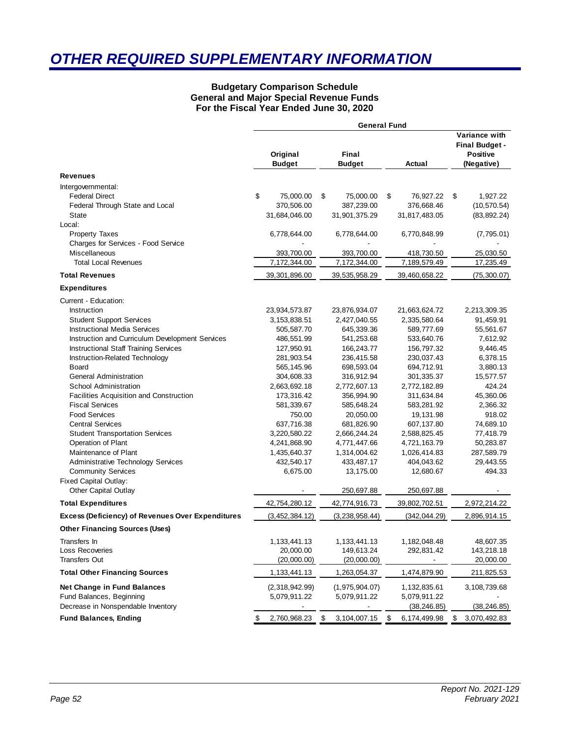## *OTHER REQUIRED SUPPLEMENTARY INFORMATION*

#### **Budgetary Comparison Schedule General and Major Special Revenue Funds For the Fiscal Year Ended June 30, 2020**

|                                                          | <b>General Fund</b>       |                         |                         |                                                                         |  |
|----------------------------------------------------------|---------------------------|-------------------------|-------------------------|-------------------------------------------------------------------------|--|
|                                                          | Original<br><b>Budget</b> | Final<br><b>Budget</b>  | Actual                  | Variance with<br><b>Final Budget -</b><br><b>Positive</b><br>(Negative) |  |
| <b>Revenues</b>                                          |                           |                         |                         |                                                                         |  |
| Intergovernmental:                                       |                           |                         |                         |                                                                         |  |
| <b>Federal Direct</b>                                    | \$<br>75,000.00           | \$<br>75,000.00         | \$<br>76,927.22         | \$<br>1,927.22                                                          |  |
| Federal Through State and Local                          | 370,506.00                | 387,239.00              | 376,668.46              | (10, 570.54)                                                            |  |
| State                                                    | 31,684,046.00             | 31,901,375.29           | 31,817,483.05           | (83, 892.24)                                                            |  |
| Local:                                                   |                           |                         |                         |                                                                         |  |
| <b>Property Taxes</b>                                    | 6,778,644.00              | 6,778,644.00            | 6,770,848.99            | (7,795.01)                                                              |  |
| <b>Charges for Services - Food Service</b>               |                           |                         |                         |                                                                         |  |
| Miscellaneous                                            | 393,700.00                | 393,700.00              | 418,730.50              | 25,030.50                                                               |  |
| <b>Total Local Revenues</b>                              | 7,172,344.00              | 7,172,344.00            | 7,189,579.49            | 17,235.49                                                               |  |
| <b>Total Revenues</b>                                    | 39,301,896.00             | 39,535,958.29           | 39,460,658.22           | (75, 300.07)                                                            |  |
| <b>Expenditures</b>                                      |                           |                         |                         |                                                                         |  |
| Current - Education:                                     |                           |                         |                         |                                                                         |  |
| Instruction                                              | 23,934,573.87             | 23,876,934.07           | 21,663,624.72           | 2,213,309.35                                                            |  |
| <b>Student Support Services</b>                          | 3, 153, 838.51            | 2,427,040.55            | 2,335,580.64            | 91,459.91                                                               |  |
| <b>Instructional Media Services</b>                      | 505,587.70                | 645,339.36              | 589,777.69              | 55,561.67                                                               |  |
| Instruction and Curriculum Development Services          | 486,551.99                | 541,253.68              | 533,640.76              | 7,612.92                                                                |  |
| <b>Instructional Staff Training Services</b>             | 127,950.91                | 166,243.77              | 156,797.32              | 9,446.45                                                                |  |
| Instruction-Related Technology                           | 281,903.54                | 236,415.58              | 230,037.43              | 6,378.15                                                                |  |
| <b>Board</b>                                             | 565,145.96                | 698,593.04              | 694,712.91              | 3,880.13                                                                |  |
| <b>General Administration</b>                            | 304,608.33                | 316,912.94              | 301,335.37              | 15,577.57                                                               |  |
| School Administration                                    | 2,663,692.18              | 2,772,607.13            | 2,772,182.89            | 424.24                                                                  |  |
| Facilities Acquisition and Construction                  | 173,316.42                | 356,994.90              | 311,634.84              | 45,360.06                                                               |  |
| <b>Fiscal Services</b><br><b>Food Services</b>           | 581,339.67<br>750.00      | 585,648.24<br>20,050.00 | 583,281.92<br>19,131.98 | 2,366.32<br>918.02                                                      |  |
| <b>Central Services</b>                                  | 637,716.38                | 681,826.90              | 607,137.80              | 74,689.10                                                               |  |
| <b>Student Transportation Services</b>                   | 3,220,580.22              | 2,666,244.24            | 2,588,825.45            | 77,418.79                                                               |  |
| Operation of Plant                                       | 4,241,868.90              | 4,771,447.66            | 4,721,163.79            | 50,283.87                                                               |  |
| Maintenance of Plant                                     | 1,435,640.37              | 1,314,004.62            | 1,026,414.83            | 287,589.79                                                              |  |
| <b>Administrative Technology Services</b>                | 432,540.17                | 433,487.17              | 404,043.62              | 29,443.55                                                               |  |
| <b>Community Services</b>                                | 6,675.00                  | 13,175.00               | 12,680.67               | 494.33                                                                  |  |
| Fixed Capital Outlay:                                    |                           |                         |                         |                                                                         |  |
| Other Capital Outlay                                     |                           | 250,697.88              | 250,697.88              |                                                                         |  |
| <b>Total Expenditures</b>                                | 42,754,280.12             | 42,774,916.73           | 39,802,702.51           | 2,972,214.22                                                            |  |
| <b>Excess (Deficiency) of Revenues Over Expenditures</b> | (3,452,384.12)            | (3,238,958.44)          | (342, 044.29)           | 2,896,914.15                                                            |  |
| <b>Other Financing Sources (Uses)</b>                    |                           |                         |                         |                                                                         |  |
| Transfers In                                             | 1,133,441.13              | 1,133,441.13            | 1,182,048.48            | 48,607.35                                                               |  |
| Loss Recoveries                                          | 20,000.00                 | 149,613.24              | 292,831.42              | 143,218.18                                                              |  |
| <b>Transfers Out</b>                                     | (20,000.00)               | (20,000.00)             |                         | 20,000.00                                                               |  |
| <b>Total Other Financing Sources</b>                     | 1,133,441.13              | 1,263,054.37            | 1,474,879.90            | 211,825.53                                                              |  |
| Net Change in Fund Balances                              | (2,318,942.99)            | (1,975,904.07)          | 1,132,835.61            | 3,108,739.68                                                            |  |
| Fund Balances, Beginning                                 | 5,079,911.22              | 5,079,911.22            | 5,079,911.22            |                                                                         |  |
| Decrease in Nonspendable Inventory                       |                           |                         | (38, 246.85)            | (38, 246.85)                                                            |  |
| <b>Fund Balances, Ending</b>                             | \$<br>2,760,968.23        | \$<br>3,104,007.15      | \$<br>6,174,499.98      | \$<br>3,070,492.83                                                      |  |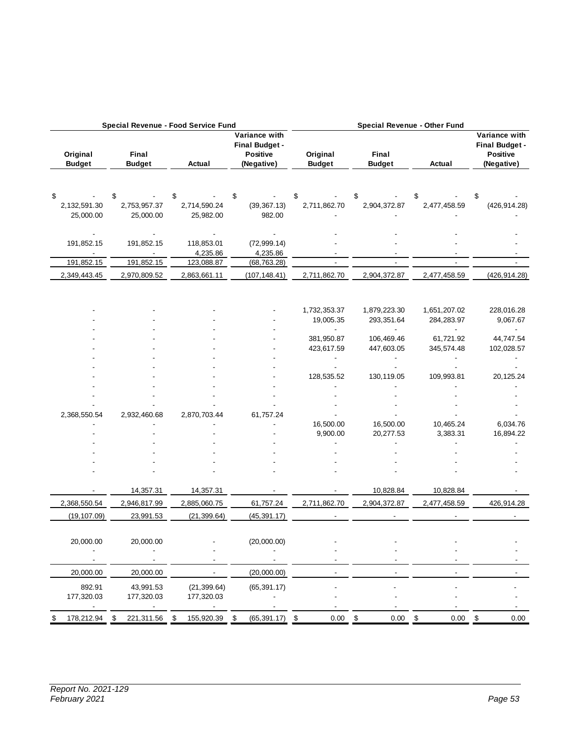|                                 |                                 | Special Revenue - Food Service Fund  |                                                                         |                                                                                              | Special Revenue - Other Fund                                                                   |                                                                                              |                                                                                          |  |
|---------------------------------|---------------------------------|--------------------------------------|-------------------------------------------------------------------------|----------------------------------------------------------------------------------------------|------------------------------------------------------------------------------------------------|----------------------------------------------------------------------------------------------|------------------------------------------------------------------------------------------|--|
| Original<br><b>Budget</b>       | Final<br><b>Budget</b>          | Actual                               | Variance with<br><b>Final Budget -</b><br><b>Positive</b><br>(Negative) | Original<br><b>Budget</b>                                                                    | Final<br><b>Budget</b>                                                                         | Actual                                                                                       | Variance with<br>Final Budget -<br>Positive<br>(Negative)                                |  |
| \$<br>2,132,591.30<br>25,000.00 | \$<br>2,753,957.37<br>25,000.00 | \$<br>2,714,590.24<br>25,982.00      | \$<br>(39, 367.13)<br>982.00                                            | \$<br>2,711,862.70                                                                           | \$<br>2,904,372.87                                                                             | \$<br>2,477,458.59                                                                           | \$<br>(426, 914.28)                                                                      |  |
| 191,852.15<br>191,852.15        | 191,852.15<br>191,852.15        | 118,853.01<br>4,235.86<br>123,088.87 | (72, 999.14)<br>4,235.86<br>(68, 763.28)                                |                                                                                              |                                                                                                |                                                                                              |                                                                                          |  |
| 2,349,443.45                    | 2,970,809.52                    | 2,863,661.11                         | (107, 148.41)                                                           | 2,711,862.70                                                                                 | 2,904,372.87                                                                                   | 2,477,458.59                                                                                 | (426, 914.28)                                                                            |  |
| 2,368,550.54                    | 2,932,460.68                    | 2,870,703.44                         | 61,757.24                                                               | 1,732,353.37<br>19,005.35<br>381,950.87<br>423,617.59<br>128,535.52<br>16,500.00<br>9,900.00 | 1,879,223.30<br>293,351.64<br>106,469.46<br>447,603.05<br>130,119.05<br>16,500.00<br>20,277.53 | 1,651,207.02<br>284,283.97<br>61,721.92<br>345,574.48<br>109,993.81<br>10,465.24<br>3,383.31 | 228,016.28<br>9,067.67<br>44,747.54<br>102,028.57<br>20, 125.24<br>6,034.76<br>16,894.22 |  |
|                                 |                                 |                                      |                                                                         |                                                                                              |                                                                                                |                                                                                              |                                                                                          |  |
|                                 | 14,357.31                       | 14,357.31                            |                                                                         |                                                                                              | 10,828.84                                                                                      | 10,828.84                                                                                    |                                                                                          |  |
| 2,368,550.54                    | 2,946,817.99                    | 2,885,060.75                         | 61,757.24                                                               | 2,711,862.70                                                                                 | 2,904,372.87                                                                                   | 2,477,458.59                                                                                 | 426,914.28                                                                               |  |
| (19, 107.09)                    | 23,991.53                       | (21, 399.64)                         | (45, 391.17)                                                            |                                                                                              |                                                                                                |                                                                                              |                                                                                          |  |
| 20,000.00                       | 20,000.00                       |                                      | (20,000.00)                                                             |                                                                                              |                                                                                                |                                                                                              |                                                                                          |  |
| 20,000.00                       | 20,000.00                       |                                      | (20,000.00)                                                             |                                                                                              |                                                                                                |                                                                                              |                                                                                          |  |
| 892.91<br>177,320.03            | 43,991.53<br>177,320.03         | (21, 399.64)<br>177,320.03           | (65, 391.17)                                                            |                                                                                              |                                                                                                |                                                                                              |                                                                                          |  |
| 178,212.94                      | 221,311.56<br>-5                | 155,920.39<br>- \$                   | $(65, 391.17)$ \$<br>- \$                                               | 0.00                                                                                         | 0.00<br>- \$                                                                                   | 0.00<br>$\frac{3}{2}$                                                                        | 0.00<br>-\$                                                                              |  |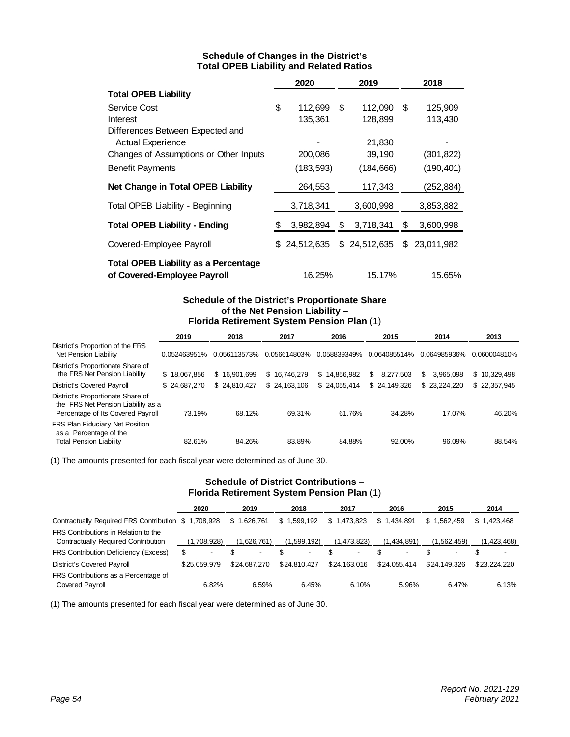#### **Schedule of Changes in the District's Total OPEB Liability and Related Ratios**

|                                                                            | 2020 |              |    | 2019         |    | 2018       |
|----------------------------------------------------------------------------|------|--------------|----|--------------|----|------------|
| <b>Total OPEB Liability</b>                                                |      |              |    |              |    |            |
| Service Cost                                                               | \$   | 112,699      | \$ | 112,090      | S  | 125,909    |
| Interest                                                                   |      | 135,361      |    | 128,899      |    | 113,430    |
| Differences Between Expected and                                           |      |              |    |              |    |            |
| <b>Actual Experience</b>                                                   |      |              |    | 21,830       |    |            |
| Changes of Assumptions or Other Inputs                                     |      | 200,086      |    | 39,190       |    | (301, 822) |
| <b>Benefit Payments</b>                                                    |      | (183, 593)   |    | (184, 666)   |    | (190, 401) |
| <b>Net Change in Total OPEB Liability</b>                                  |      | 264,553      |    | 117,343      |    | (252, 884) |
| Total OPEB Liability - Beginning                                           |      | 3,718,341    |    | 3,600,998    |    | 3,853,882  |
| <b>Total OPEB Liability - Ending</b>                                       |      | 3,982,894    | \$ | 3,718,341    | \$ | 3,600,998  |
| Covered-Employee Payroll                                                   |      | \$24,512,635 |    | \$24,512,635 | \$ | 23,011,982 |
| <b>Total OPEB Liability as a Percentage</b><br>of Covered-Employee Payroll |      | 16.25%       |    | 15.17%       |    | 15.65%     |

#### **Schedule of the District's Proportionate Share of the Net Pension Liability – Florida Retirement System Pension Plan** (1)

|                                                                                                              | 2019         | 2018         | 2017         | 2016         | 2015            | 2014             | 2013             |
|--------------------------------------------------------------------------------------------------------------|--------------|--------------|--------------|--------------|-----------------|------------------|------------------|
| District's Proportion of the FRS<br>Net Pension Liability                                                    | 0.052463951% | 0.056113573% | 0.056614803% | 0.058839349% | 0.064085514%    | 0.064985936%     | 0.060004810%     |
| District's Proportionate Share of<br>the FRS Net Pension Liability                                           | \$18,067,856 | \$16.901.699 | \$16,746,279 | \$14,856,982 | 8,277,503<br>S. | 3.965.098<br>\$. | \$<br>10,329,498 |
| District's Covered Payroll                                                                                   | \$24,687,270 | \$24.810.427 | \$24,163,106 | \$24.055.414 | \$24,149,326    | \$23,224,220     | \$22,357,945     |
| District's Proportionate Share of<br>the FRS Net Pension Liability as a<br>Percentage of Its Covered Payroll | 73.19%       | 68.12%       | 69.31%       | 61.76%       | 34.28%          | 17.07%           | 46.20%           |
| FRS Plan Fiduciary Net Position<br>as a Percentage of the<br><b>Total Pension Liability</b>                  | 82.61%       | 84.26%       | 83.89%       | 84.88%       | 92.00%          | 96.09%           | 88.54%           |

(1) The amounts presented for each fiscal year were determined as of June 30.

#### **Schedule of District Contributions – Florida Retirement System Pension Plan** (1)

|                                                                             | 2020         | 2019                     | 2018                     | 2017                     | 2016         | 2015                       | 2014         |
|-----------------------------------------------------------------------------|--------------|--------------------------|--------------------------|--------------------------|--------------|----------------------------|--------------|
| Contractually Required FRS Contribution \$1,708,928                         |              | \$1,626,761              | \$1,599,192              | \$1.473.823              | \$1.434.891  | $$^{\circ}$ 1<br>1.562.459 | \$1.423.468  |
| FRS Contributions in Relation to the<br>Contractually Required Contribution | (1,708,928)  | (1,626,761)              | (1,599,192)              | (1,473,823)              | (1,434,891)  | 1.562.459)                 | (1,423,468)  |
| FRS Contribution Deficiency (Excess)                                        |              | $\overline{\phantom{a}}$ | $\overline{\phantom{a}}$ | $\overline{\phantom{a}}$ |              |                            |              |
| District's Covered Payroll                                                  | \$25,059,979 | \$24,687,270             | \$24.810.427             | \$24.163.016             | \$24.055.414 | \$24,149,326               | \$23.224.220 |
| FRS Contributions as a Percentage of<br>Covered Payroll                     | 6.82%        | 6.59%                    | 6.45%                    | 6.10%                    | 5.96%        | 6.47%                      | 6.13%        |

(1) The amounts presented for each fiscal year were determined as of June 30.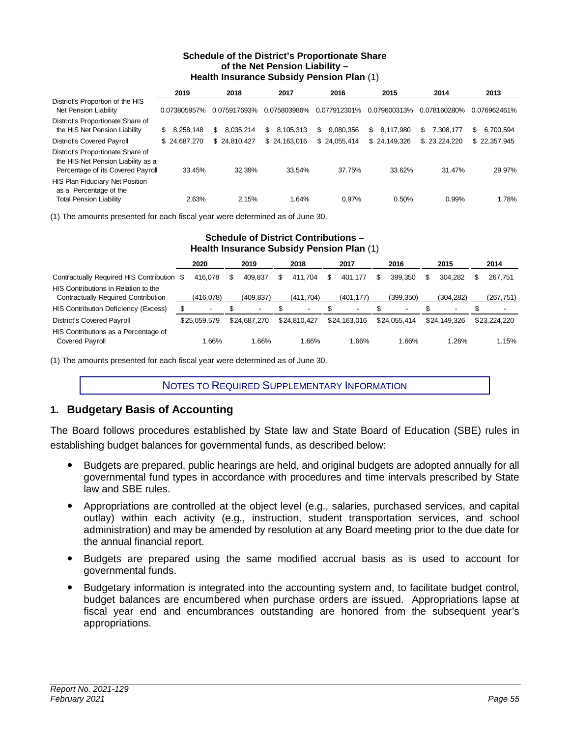#### **Schedule of the District's Proportionate Share of the Net Pension Liability – Health Insurance Subsidy Pension Plan** (1)

|                                                                                                              | 2019             | 2018           | 2017            | 2016         | 2015            | 2014            | 2013           |
|--------------------------------------------------------------------------------------------------------------|------------------|----------------|-----------------|--------------|-----------------|-----------------|----------------|
| District's Proportion of the HIS<br>Net Pension Liability                                                    | 0.073805957%     | 0.075917693%   | 0.075803986%    | 0.077912301% | 0.079600313%    | 0.078160280%    | 0.076962461%   |
| District's Proportionate Share of<br>the HIS Net Pension Liability                                           | 8.258.148<br>SS. | 8.035.214<br>S | \$<br>8.105.313 | 9,080,356    | 8.117.980<br>S. | 7.308.177<br>\$ | S<br>6,700,594 |
| District's Covered Payroll                                                                                   | \$24,687,270     | \$24.810.427   | \$24.163.016    | \$24,055,414 | \$24,149,326    | \$23,224,220    | \$22,357,945   |
| District's Proportionate Share of<br>the HIS Net Pension Liability as a<br>Percentage of its Covered Payroll | 33.45%           | 32.39%         | 33.54%          | 37.75%       | 33.62%          | 31.47%          | 29.97%         |
| HIS Plan Fiduciary Net Position<br>as a Percentage of the<br><b>Total Pension Liability</b>                  | 2.63%            | 2.15%          | 1.64%           | 0.97%        | 0.50%           | 0.99%           | 1.78%          |

(1) The amounts presented for each fiscal year were determined as of June 30.

#### **Schedule of District Contributions – Health Insurance Subsidy Pension Plan** (1)

|                                                                             | 2020         | 2019                     | 2018         | 2017         |     | 2016         |     | 2015         | 2014         |
|-----------------------------------------------------------------------------|--------------|--------------------------|--------------|--------------|-----|--------------|-----|--------------|--------------|
| Contractually Required HIS Contribution \$                                  | 416.078      | 409.837                  | 411.704      | 401.177      | \$. | 399.350      | \$. | 304.282      | 267.751      |
| HIS Contributions in Relation to the<br>Contractually Required Contribution | (416,078)    | (409, 837)               | (411, 704)   | (401, 177)   |     | (399,350)    |     | (304, 282)   | (267,751)    |
| HIS Contribution Deficiency (Excess)                                        |              | $\overline{\phantom{a}}$ | -            |              |     |              |     |              |              |
| District's Covered Payroll                                                  | \$25,059,579 | \$24,687,270             | \$24.810.427 | \$24,163,016 |     | \$24.055.414 |     | \$24,149,326 | \$23,224,220 |
| HIS Contributions as a Percentage of<br><b>Covered Payroll</b>              | .66%         | .66%                     | .66%         | .66%         |     | 1.66%        |     | .26%         | .15%         |

(1) The amounts presented for each fiscal year were determined as of June 30.

#### NOTES TO REQUIRED SUPPLEMENTARY INFORMATION

## **1. Budgetary Basis of Accounting**

The Board follows procedures established by State law and State Board of Education (SBE) rules in establishing budget balances for governmental funds, as described below:

- Budgets are prepared, public hearings are held, and original budgets are adopted annually for all governmental fund types in accordance with procedures and time intervals prescribed by State law and SBE rules.
- Appropriations are controlled at the object level (e.g., salaries, purchased services, and capital outlay) within each activity (e.g., instruction, student transportation services, and school administration) and may be amended by resolution at any Board meeting prior to the due date for the annual financial report.
- Budgets are prepared using the same modified accrual basis as is used to account for governmental funds.
- Budgetary information is integrated into the accounting system and, to facilitate budget control, budget balances are encumbered when purchase orders are issued. Appropriations lapse at fiscal year end and encumbrances outstanding are honored from the subsequent year's appropriations.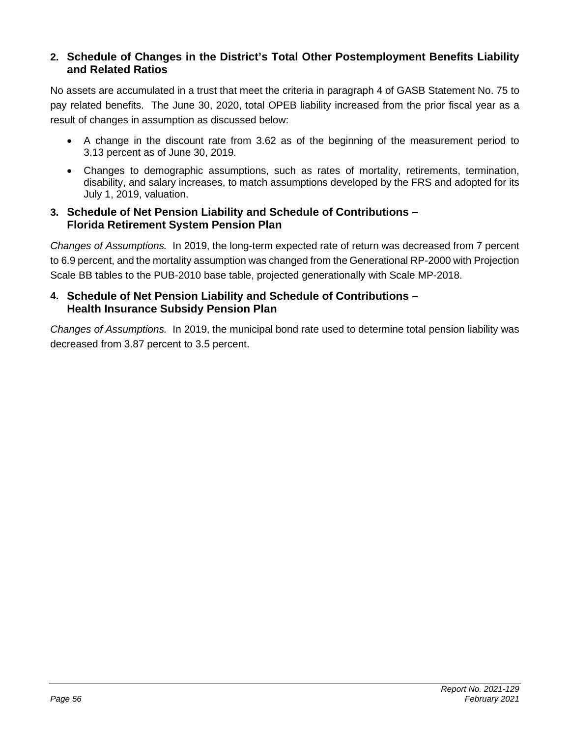## **2. Schedule of Changes in the District's Total Other Postemployment Benefits Liability and Related Ratios**

No assets are accumulated in a trust that meet the criteria in paragraph 4 of GASB Statement No. 75 to pay related benefits. The June 30, 2020, total OPEB liability increased from the prior fiscal year as a result of changes in assumption as discussed below:

- A change in the discount rate from 3.62 as of the beginning of the measurement period to 3.13 percent as of June 30, 2019.
- Changes to demographic assumptions, such as rates of mortality, retirements, termination, disability, and salary increases, to match assumptions developed by the FRS and adopted for its July 1, 2019, valuation.

## **3. Schedule of Net Pension Liability and Schedule of Contributions – Florida Retirement System Pension Plan**

*Changes of Assumptions.* In 2019, the long-term expected rate of return was decreased from 7 percent to 6.9 percent, and the mortality assumption was changed from the Generational RP-2000 with Projection Scale BB tables to the PUB-2010 base table, projected generationally with Scale MP-2018.

## **4. Schedule of Net Pension Liability and Schedule of Contributions – Health Insurance Subsidy Pension Plan**

*Changes of Assumptions.* In 2019, the municipal bond rate used to determine total pension liability was decreased from 3.87 percent to 3.5 percent.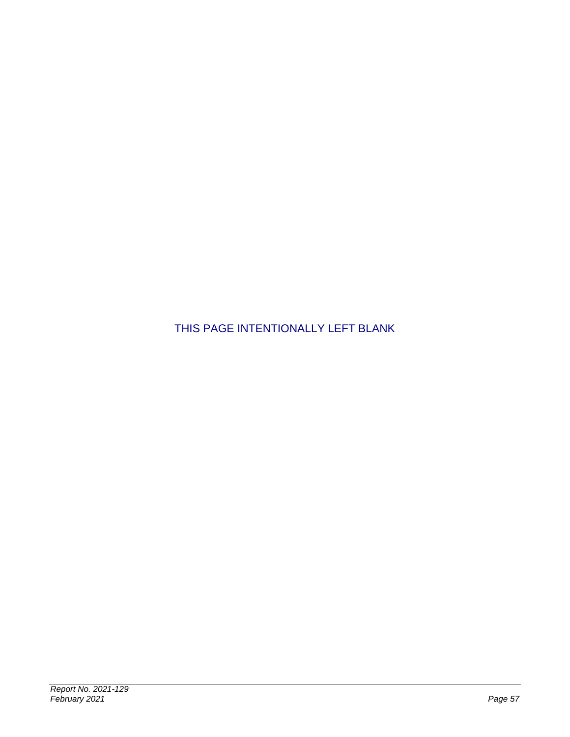THIS PAGE INTENTIONALLY LEFT BLANK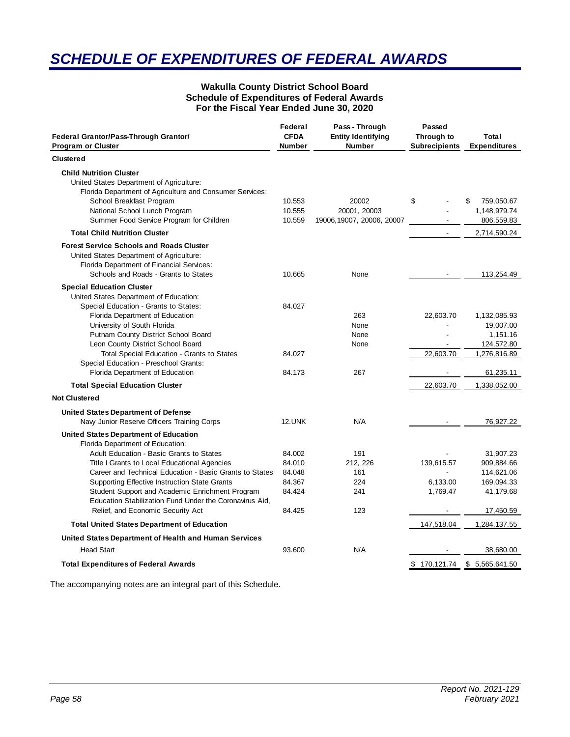## *SCHEDULE OF EXPENDITURES OF FEDERAL AWARDS*

#### **Wakulla County District School Board Schedule of Expenditures of Federal Awards For the Fiscal Year Ended June 30, 2020**

| Federal Grantor/Pass-Through Grantor/<br><b>Program or Cluster</b>                                                                                                                                                                                                                                                                                                    |                                                          | Pass - Through<br><b>Entity Identifying</b><br><b>Number</b> | Passed<br>Through to<br><b>Subrecipients</b>         | Total<br><b>Expenditures</b>                                                  |  |
|-----------------------------------------------------------------------------------------------------------------------------------------------------------------------------------------------------------------------------------------------------------------------------------------------------------------------------------------------------------------------|----------------------------------------------------------|--------------------------------------------------------------|------------------------------------------------------|-------------------------------------------------------------------------------|--|
| Clustered                                                                                                                                                                                                                                                                                                                                                             |                                                          |                                                              |                                                      |                                                                               |  |
| <b>Child Nutrition Cluster</b><br>United States Department of Agriculture:<br>Florida Department of Agriculture and Consumer Services:<br>School Breakfast Program<br>National School Lunch Program<br>Summer Food Service Program for Children                                                                                                                       | 10.553<br>10.555<br>10.559                               | 20002<br>20001, 20003<br>19006, 19007, 20006, 20007          | \$<br>÷.                                             | \$<br>759,050.67<br>1,148,979.74<br>806,559.83                                |  |
| <b>Total Child Nutrition Cluster</b>                                                                                                                                                                                                                                                                                                                                  |                                                          |                                                              |                                                      | 2,714,590.24                                                                  |  |
| <b>Forest Service Schools and Roads Cluster</b><br>United States Department of Agriculture:<br>Florida Department of Financial Services:<br>Schools and Roads - Grants to States                                                                                                                                                                                      | 10.665                                                   | None                                                         |                                                      | 113,254.49                                                                    |  |
| <b>Special Education Cluster</b><br>United States Department of Education:<br>Special Education - Grants to States:<br>Florida Department of Education<br>University of South Florida<br>Putnam County District School Board<br>Leon County District School Board                                                                                                     | 84.027                                                   | 263<br>None<br>None<br>None                                  | 22,603.70<br>$\overline{a}$                          | 1,132,085.93<br>19,007.00<br>1,151.16<br>124,572.80                           |  |
| Total Special Education - Grants to States<br>Special Education - Preschool Grants:<br>Florida Department of Education                                                                                                                                                                                                                                                | 84.027<br>84.173                                         | 267                                                          | 22,603.70                                            | 1,276,816.89<br>61,235.11                                                     |  |
| <b>Total Special Education Cluster</b>                                                                                                                                                                                                                                                                                                                                |                                                          |                                                              | 22,603.70                                            | 1,338,052.00                                                                  |  |
| <b>Not Clustered</b>                                                                                                                                                                                                                                                                                                                                                  |                                                          |                                                              |                                                      |                                                                               |  |
| <b>United States Department of Defense</b><br>Navy Junior Reserve Officers Training Corps                                                                                                                                                                                                                                                                             | <b>12.UNK</b>                                            | N/A                                                          |                                                      | 76,927.22                                                                     |  |
| <b>United States Department of Education</b><br>Florida Department of Education:                                                                                                                                                                                                                                                                                      |                                                          |                                                              |                                                      |                                                                               |  |
| <b>Adult Education - Basic Grants to States</b><br>Title I Grants to Local Educational Agencies<br>Career and Technical Education - Basic Grants to States<br><b>Supporting Effective Instruction State Grants</b><br>Student Support and Academic Enrichment Program<br>Education Stabilization Fund Under the Coronavirus Aid,<br>Relief, and Economic Security Act | 84.002<br>84.010<br>84.048<br>84.367<br>84.424<br>84.425 | 191<br>212, 226<br>161<br>224<br>241<br>123                  | 139,615.57<br>$\blacksquare$<br>6,133.00<br>1,769.47 | 31,907.23<br>909,884.66<br>114,621.06<br>169,094.33<br>41,179.68<br>17,450.59 |  |
| <b>Total United States Department of Education</b>                                                                                                                                                                                                                                                                                                                    |                                                          |                                                              | 147,518.04                                           | 1,284,137.55                                                                  |  |
| United States Department of Health and Human Services                                                                                                                                                                                                                                                                                                                 |                                                          |                                                              |                                                      |                                                                               |  |
| <b>Head Start</b>                                                                                                                                                                                                                                                                                                                                                     | 93.600                                                   | N/A                                                          |                                                      | 38,680.00                                                                     |  |
| <b>Total Expenditures of Federal Awards</b>                                                                                                                                                                                                                                                                                                                           |                                                          |                                                              |                                                      | \$170,121.74 \$5,565,641.50                                                   |  |

The accompanying notes are an integral part of this Schedule.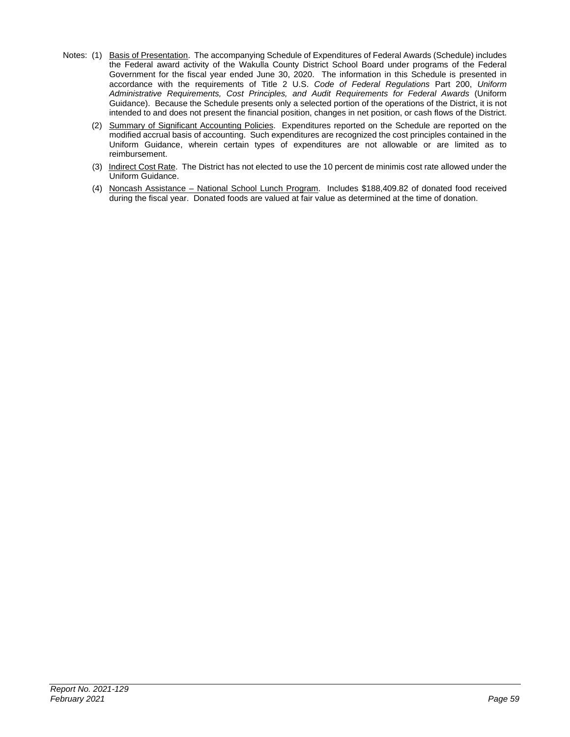- Notes: (1) Basis of Presentation. The accompanying Schedule of Expenditures of Federal Awards (Schedule) includes the Federal award activity of the Wakulla County District School Board under programs of the Federal Government for the fiscal year ended June 30, 2020. The information in this Schedule is presented in accordance with the requirements of Title 2 U.S. *Code of Federal Regulations* Part 200, *Uniform Administrative Requirements, Cost Principles, and Audit Requirements for Federal Awards* (Uniform Guidance). Because the Schedule presents only a selected portion of the operations of the District, it is not intended to and does not present the financial position, changes in net position, or cash flows of the District.
	- (2) Summary of Significant Accounting Policies. Expenditures reported on the Schedule are reported on the modified accrual basis of accounting. Such expenditures are recognized the cost principles contained in the Uniform Guidance, wherein certain types of expenditures are not allowable or are limited as to reimbursement.
	- (3) Indirect Cost Rate. The District has not elected to use the 10 percent de minimis cost rate allowed under the Uniform Guidance.
	- (4) Noncash Assistance National School Lunch Program. Includes \$188,409.82 of donated food received during the fiscal year. Donated foods are valued at fair value as determined at the time of donation.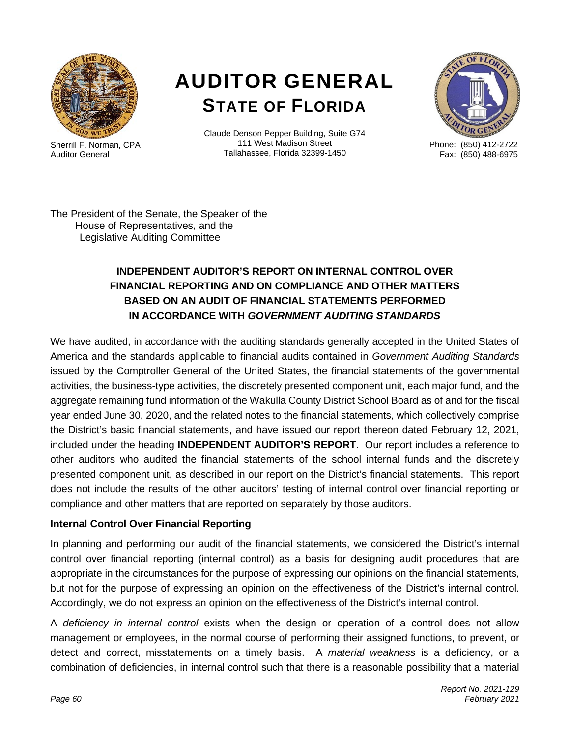

Sherrill F. Norman, CPA Auditor General

# **AUDITOR GENERAL STATE OF FLORIDA**

Claude Denson Pepper Building, Suite G74 111 West Madison Street Tallahassee, Florida 32399-1450



Phone: (850) 412-2722 Fax: (850) 488-6975

The President of the Senate, the Speaker of the House of Representatives, and the Legislative Auditing Committee

## **INDEPENDENT AUDITOR'S REPORT ON INTERNAL CONTROL OVER FINANCIAL REPORTING AND ON COMPLIANCE AND OTHER MATTERS BASED ON AN AUDIT OF FINANCIAL STATEMENTS PERFORMED IN ACCORDANCE WITH** *GOVERNMENT AUDITING STANDARDS*

We have audited, in accordance with the auditing standards generally accepted in the United States of America and the standards applicable to financial audits contained in *Government Auditing Standards* issued by the Comptroller General of the United States, the financial statements of the governmental activities, the business-type activities, the discretely presented component unit, each major fund, and the aggregate remaining fund information of the Wakulla County District School Board as of and for the fiscal year ended June 30, 2020, and the related notes to the financial statements, which collectively comprise the District's basic financial statements, and have issued our report thereon dated February 12, 2021, included under the heading **INDEPENDENT AUDITOR'S REPORT**. Our report includes a reference to other auditors who audited the financial statements of the school internal funds and the discretely presented component unit, as described in our report on the District's financial statements. This report does not include the results of the other auditors' testing of internal control over financial reporting or compliance and other matters that are reported on separately by those auditors.

## **Internal Control Over Financial Reporting**

In planning and performing our audit of the financial statements, we considered the District's internal control over financial reporting (internal control) as a basis for designing audit procedures that are appropriate in the circumstances for the purpose of expressing our opinions on the financial statements, but not for the purpose of expressing an opinion on the effectiveness of the District's internal control. Accordingly, we do not express an opinion on the effectiveness of the District's internal control.

A *deficiency in internal control* exists when the design or operation of a control does not allow management or employees, in the normal course of performing their assigned functions, to prevent, or detect and correct, misstatements on a timely basis. A *material weakness* is a deficiency, or a combination of deficiencies, in internal control such that there is a reasonable possibility that a material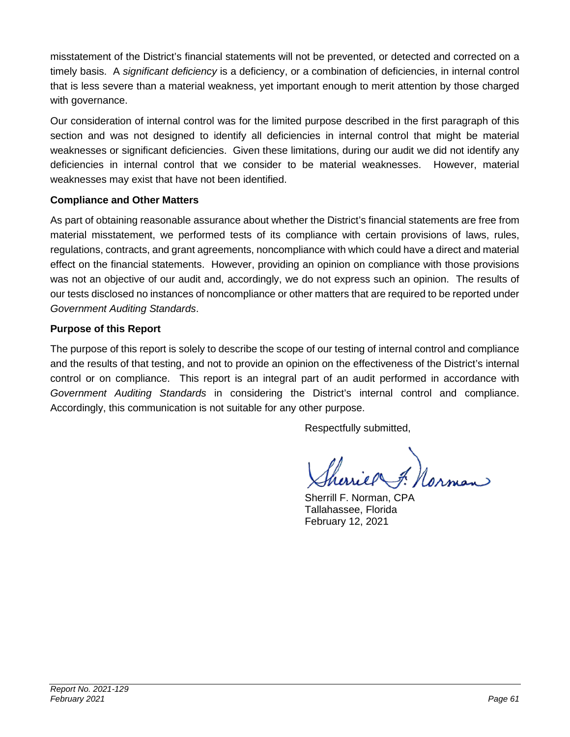misstatement of the District's financial statements will not be prevented, or detected and corrected on a timely basis. A *significant deficiency* is a deficiency, or a combination of deficiencies, in internal control that is less severe than a material weakness, yet important enough to merit attention by those charged with governance.

Our consideration of internal control was for the limited purpose described in the first paragraph of this section and was not designed to identify all deficiencies in internal control that might be material weaknesses or significant deficiencies. Given these limitations, during our audit we did not identify any deficiencies in internal control that we consider to be material weaknesses. However, material weaknesses may exist that have not been identified.

## **Compliance and Other Matters**

As part of obtaining reasonable assurance about whether the District's financial statements are free from material misstatement, we performed tests of its compliance with certain provisions of laws, rules, regulations, contracts, and grant agreements, noncompliance with which could have a direct and material effect on the financial statements. However, providing an opinion on compliance with those provisions was not an objective of our audit and, accordingly, we do not express such an opinion. The results of our tests disclosed no instances of noncompliance or other matters that are required to be reported under *Government Auditing Standards*.

## **Purpose of this Report**

The purpose of this report is solely to describe the scope of our testing of internal control and compliance and the results of that testing, and not to provide an opinion on the effectiveness of the District's internal control or on compliance. This report is an integral part of an audit performed in accordance with *Government Auditing Standards* in considering the District's internal control and compliance. Accordingly, this communication is not suitable for any other purpose.

Respectfully submitted,

Sherrill F. Norman, CPA Tallahassee, Florida February 12, 2021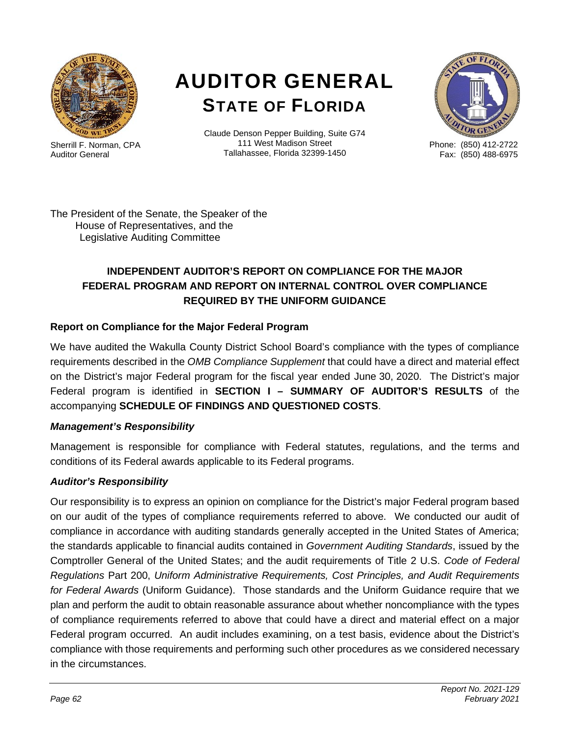

Sherrill F. Norman, CPA Auditor General

# **AUDITOR GENERAL STATE OF FLORIDA**

Claude Denson Pepper Building, Suite G74 111 West Madison Street Tallahassee, Florida 32399-1450



Phone: (850) 412-2722 Fax: (850) 488-6975

The President of the Senate, the Speaker of the House of Representatives, and the Legislative Auditing Committee

## **INDEPENDENT AUDITOR'S REPORT ON COMPLIANCE FOR THE MAJOR FEDERAL PROGRAM AND REPORT ON INTERNAL CONTROL OVER COMPLIANCE REQUIRED BY THE UNIFORM GUIDANCE**

## **Report on Compliance for the Major Federal Program**

We have audited the Wakulla County District School Board's compliance with the types of compliance requirements described in the *OMB Compliance Supplement* that could have a direct and material effect on the District's major Federal program for the fiscal year ended June 30, 2020. The District's major Federal program is identified in **SECTION I – SUMMARY OF AUDITOR'S RESULTS** of the accompanying **SCHEDULE OF FINDINGS AND QUESTIONED COSTS**.

## *Management's Responsibility*

Management is responsible for compliance with Federal statutes, regulations, and the terms and conditions of its Federal awards applicable to its Federal programs.

## *Auditor's Responsibility*

Our responsibility is to express an opinion on compliance for the District's major Federal program based on our audit of the types of compliance requirements referred to above. We conducted our audit of compliance in accordance with auditing standards generally accepted in the United States of America; the standards applicable to financial audits contained in *Government Auditing Standards*, issued by the Comptroller General of the United States; and the audit requirements of Title 2 U.S. *Code of Federal Regulations* Part 200, *Uniform Administrative Requirements, Cost Principles, and Audit Requirements for Federal Awards* (Uniform Guidance). Those standards and the Uniform Guidance require that we plan and perform the audit to obtain reasonable assurance about whether noncompliance with the types of compliance requirements referred to above that could have a direct and material effect on a major Federal program occurred. An audit includes examining, on a test basis, evidence about the District's compliance with those requirements and performing such other procedures as we considered necessary in the circumstances.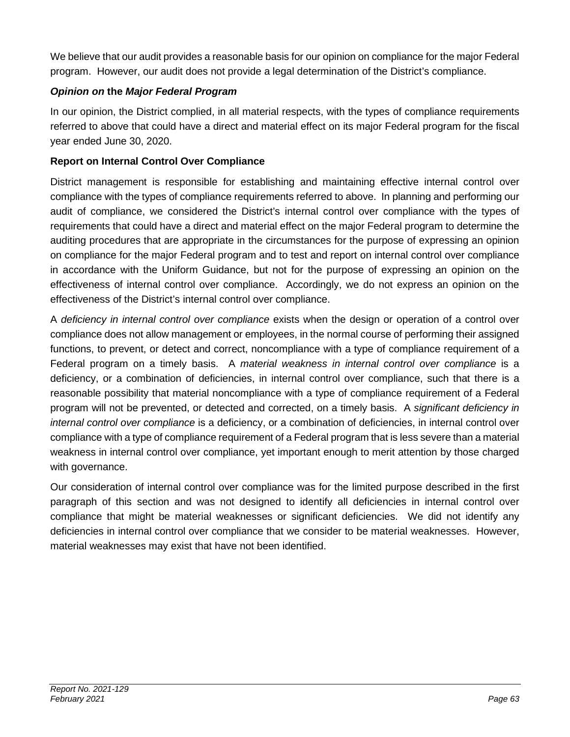We believe that our audit provides a reasonable basis for our opinion on compliance for the major Federal program. However, our audit does not provide a legal determination of the District's compliance.

## *Opinion on* **the** *Major Federal Program*

In our opinion, the District complied, in all material respects, with the types of compliance requirements referred to above that could have a direct and material effect on its major Federal program for the fiscal year ended June 30, 2020.

## **Report on Internal Control Over Compliance**

District management is responsible for establishing and maintaining effective internal control over compliance with the types of compliance requirements referred to above. In planning and performing our audit of compliance, we considered the District's internal control over compliance with the types of requirements that could have a direct and material effect on the major Federal program to determine the auditing procedures that are appropriate in the circumstances for the purpose of expressing an opinion on compliance for the major Federal program and to test and report on internal control over compliance in accordance with the Uniform Guidance, but not for the purpose of expressing an opinion on the effectiveness of internal control over compliance. Accordingly, we do not express an opinion on the effectiveness of the District's internal control over compliance.

A *deficiency in internal control over compliance* exists when the design or operation of a control over compliance does not allow management or employees, in the normal course of performing their assigned functions, to prevent, or detect and correct, noncompliance with a type of compliance requirement of a Federal program on a timely basis. A *material weakness in internal control over compliance* is a deficiency, or a combination of deficiencies, in internal control over compliance, such that there is a reasonable possibility that material noncompliance with a type of compliance requirement of a Federal program will not be prevented, or detected and corrected, on a timely basis. A *significant deficiency in internal control over compliance* is a deficiency, or a combination of deficiencies, in internal control over compliance with a type of compliance requirement of a Federal program that is less severe than a material weakness in internal control over compliance, yet important enough to merit attention by those charged with governance.

Our consideration of internal control over compliance was for the limited purpose described in the first paragraph of this section and was not designed to identify all deficiencies in internal control over compliance that might be material weaknesses or significant deficiencies. We did not identify any deficiencies in internal control over compliance that we consider to be material weaknesses. However, material weaknesses may exist that have not been identified.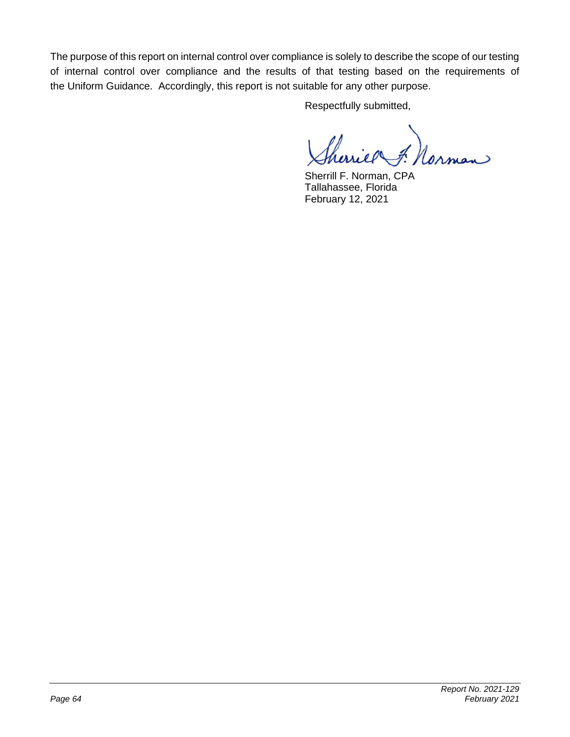The purpose of this report on internal control over compliance is solely to describe the scope of our testing of internal control over compliance and the results of that testing based on the requirements of the Uniform Guidance. Accordingly, this report is not suitable for any other purpose.

Respectfully submitted,

Verman

Sherrill F. Norman, CPA Tallahassee, Florida February 12, 2021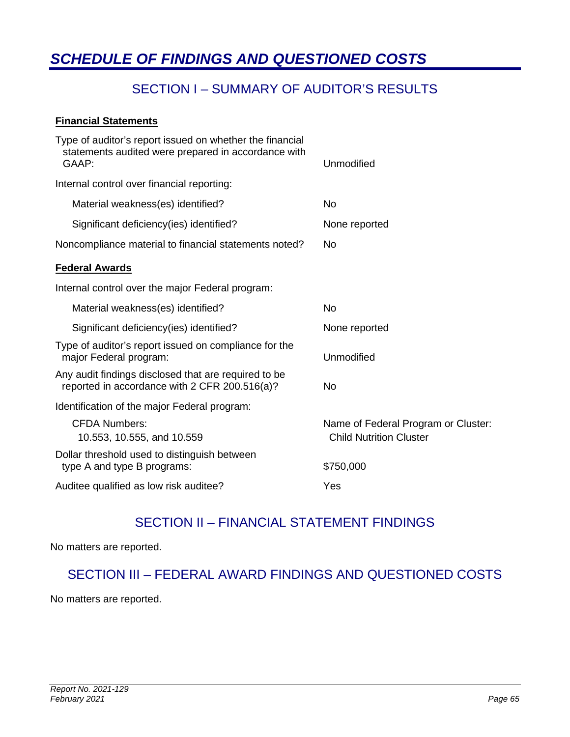# *SCHEDULE OF FINDINGS AND QUESTIONED COSTS*

## SECTION I – SUMMARY OF AUDITOR'S RESULTS

#### **Financial Statements**

| Type of auditor's report issued on whether the financial<br>statements audited were prepared in accordance with<br>GAAP: | Unmodified                                                            |  |  |  |  |  |
|--------------------------------------------------------------------------------------------------------------------------|-----------------------------------------------------------------------|--|--|--|--|--|
| Internal control over financial reporting:                                                                               |                                                                       |  |  |  |  |  |
| Material weakness(es) identified?                                                                                        | No                                                                    |  |  |  |  |  |
| Significant deficiency(ies) identified?                                                                                  | None reported                                                         |  |  |  |  |  |
| Noncompliance material to financial statements noted?                                                                    | No                                                                    |  |  |  |  |  |
| <b>Federal Awards</b>                                                                                                    |                                                                       |  |  |  |  |  |
| Internal control over the major Federal program:                                                                         |                                                                       |  |  |  |  |  |
| Material weakness(es) identified?                                                                                        | <b>No</b>                                                             |  |  |  |  |  |
| Significant deficiency (ies) identified?                                                                                 | None reported                                                         |  |  |  |  |  |
| Type of auditor's report issued on compliance for the<br>major Federal program:                                          | Unmodified                                                            |  |  |  |  |  |
| Any audit findings disclosed that are required to be<br>reported in accordance with 2 CFR 200.516(a)?                    | No                                                                    |  |  |  |  |  |
| Identification of the major Federal program:                                                                             |                                                                       |  |  |  |  |  |
| <b>CFDA Numbers:</b><br>10.553, 10.555, and 10.559                                                                       | Name of Federal Program or Cluster:<br><b>Child Nutrition Cluster</b> |  |  |  |  |  |
| Dollar threshold used to distinguish between<br>type A and type B programs:                                              | \$750,000                                                             |  |  |  |  |  |
| Auditee qualified as low risk auditee?                                                                                   | Yes                                                                   |  |  |  |  |  |

## SECTION II – FINANCIAL STATEMENT FINDINGS

No matters are reported.

## SECTION III – FEDERAL AWARD FINDINGS AND QUESTIONED COSTS

No matters are reported.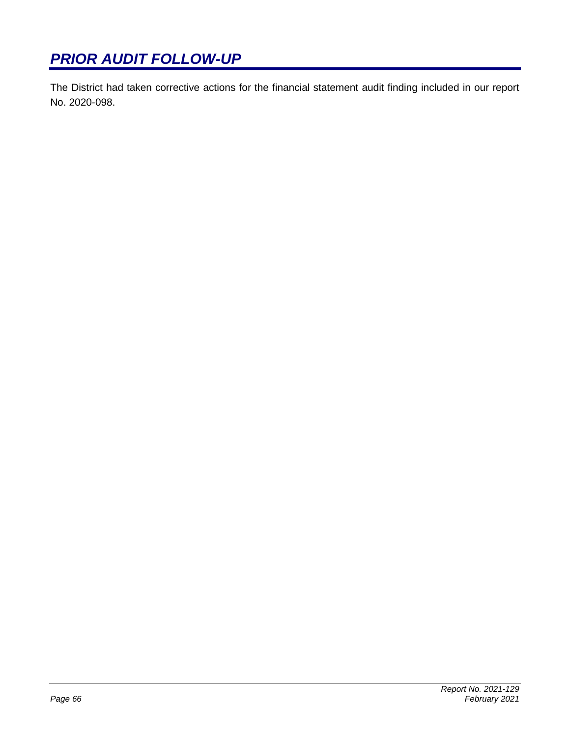# *PRIOR AUDIT FOLLOW-UP*

The District had taken corrective actions for the financial statement audit finding included in our report No. 2020-098.